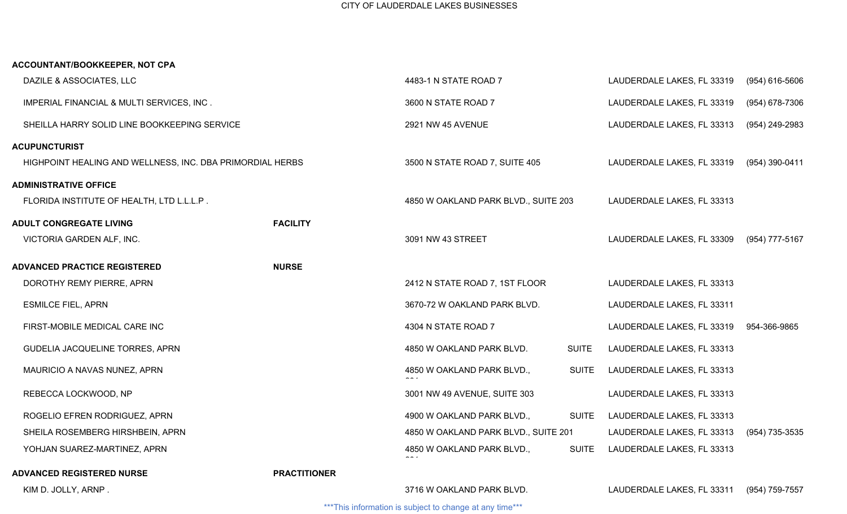| ACCOUNTANT/BOOKKEEPER, NOT CPA                            |                     |                                      |              |                            |                  |
|-----------------------------------------------------------|---------------------|--------------------------------------|--------------|----------------------------|------------------|
| DAZILE & ASSOCIATES, LLC                                  |                     | 4483-1 N STATE ROAD 7                |              | LAUDERDALE LAKES, FL 33319 | $(954)$ 616-5606 |
| IMPERIAL FINANCIAL & MULTI SERVICES, INC.                 |                     | 3600 N STATE ROAD 7                  |              | LAUDERDALE LAKES, FL 33319 | (954) 678-7306   |
| SHEILLA HARRY SOLID LINE BOOKKEEPING SERVICE              |                     | 2921 NW 45 AVENUE                    |              | LAUDERDALE LAKES, FL 33313 | (954) 249-2983   |
| <b>ACUPUNCTURIST</b>                                      |                     |                                      |              |                            |                  |
| HIGHPOINT HEALING AND WELLNESS, INC. DBA PRIMORDIAL HERBS |                     | 3500 N STATE ROAD 7, SUITE 405       |              | LAUDERDALE LAKES, FL 33319 | (954) 390-0411   |
| <b>ADMINISTRATIVE OFFICE</b>                              |                     |                                      |              |                            |                  |
| FLORIDA INSTITUTE OF HEALTH, LTD L.L.L.P.                 |                     | 4850 W OAKLAND PARK BLVD., SUITE 203 |              | LAUDERDALE LAKES, FL 33313 |                  |
| <b>ADULT CONGREGATE LIVING</b>                            | <b>FACILITY</b>     |                                      |              |                            |                  |
| VICTORIA GARDEN ALF, INC.                                 |                     | 3091 NW 43 STREET                    |              | LAUDERDALE LAKES, FL 33309 | (954) 777-5167   |
| <b>ADVANCED PRACTICE REGISTERED</b>                       | <b>NURSE</b>        |                                      |              |                            |                  |
| DOROTHY REMY PIERRE, APRN                                 |                     | 2412 N STATE ROAD 7, 1ST FLOOR       |              | LAUDERDALE LAKES, FL 33313 |                  |
| <b>ESMILCE FIEL, APRN</b>                                 |                     | 3670-72 W OAKLAND PARK BLVD.         |              | LAUDERDALE LAKES, FL 33311 |                  |
| FIRST-MOBILE MEDICAL CARE INC                             |                     | 4304 N STATE ROAD 7                  |              | LAUDERDALE LAKES, FL 33319 | 954-366-9865     |
| GUDELIA JACQUELINE TORRES, APRN                           |                     | 4850 W OAKLAND PARK BLVD.            | <b>SUITE</b> | LAUDERDALE LAKES, FL 33313 |                  |
| MAURICIO A NAVAS NUNEZ, APRN                              |                     | 4850 W OAKLAND PARK BLVD.,           | <b>SUITE</b> | LAUDERDALE LAKES, FL 33313 |                  |
| REBECCA LOCKWOOD, NP                                      |                     | 3001 NW 49 AVENUE, SUITE 303         |              | LAUDERDALE LAKES, FL 33313 |                  |
| ROGELIO EFREN RODRIGUEZ, APRN                             |                     | 4900 W OAKLAND PARK BLVD.,           | <b>SUITE</b> | LAUDERDALE LAKES, FL 33313 |                  |
| SHEILA ROSEMBERG HIRSHBEIN, APRN                          |                     | 4850 W OAKLAND PARK BLVD., SUITE 201 |              | LAUDERDALE LAKES, FL 33313 | (954) 735-3535   |
| YOHJAN SUAREZ-MARTINEZ, APRN                              |                     | 4850 W OAKLAND PARK BLVD.,           | <b>SUITE</b> | LAUDERDALE LAKES, FL 33313 |                  |
| <b>ADVANCED REGISTERED NURSE</b>                          | <b>PRACTITIONER</b> |                                      |              |                            |                  |
| KIM D. JOLLY, ARNP.                                       |                     | 3716 W OAKLAND PARK BLVD.            |              | LAUDERDALE LAKES, FL 33311 | (954) 759-7557   |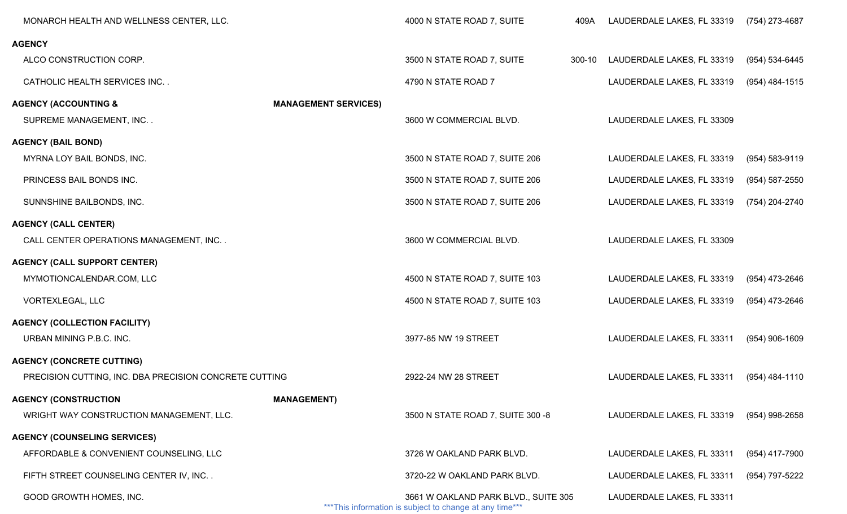| MONARCH HEALTH AND WELLNESS CENTER, LLC.               |                             | 4000 N STATE ROAD 7, SUITE                                                                       | 409A   | LAUDERDALE LAKES, FL 33319                | (754) 273-4687   |
|--------------------------------------------------------|-----------------------------|--------------------------------------------------------------------------------------------------|--------|-------------------------------------------|------------------|
| <b>AGENCY</b>                                          |                             |                                                                                                  |        |                                           |                  |
| ALCO CONSTRUCTION CORP.                                |                             | 3500 N STATE ROAD 7, SUITE                                                                       | 300-10 | LAUDERDALE LAKES, FL 33319                | (954) 534-6445   |
| CATHOLIC HEALTH SERVICES INC                           |                             | 4790 N STATE ROAD 7                                                                              |        | LAUDERDALE LAKES, FL 33319                | $(954)$ 484-1515 |
| <b>AGENCY (ACCOUNTING &amp;</b>                        | <b>MANAGEMENT SERVICES)</b> |                                                                                                  |        |                                           |                  |
| SUPREME MANAGEMENT, INC                                |                             | 3600 W COMMERCIAL BLVD.                                                                          |        | LAUDERDALE LAKES, FL 33309                |                  |
| <b>AGENCY (BAIL BOND)</b>                              |                             |                                                                                                  |        |                                           |                  |
| MYRNA LOY BAIL BONDS, INC.                             |                             | 3500 N STATE ROAD 7, SUITE 206                                                                   |        | LAUDERDALE LAKES, FL 33319                | (954) 583-9119   |
| PRINCESS BAIL BONDS INC.                               |                             | 3500 N STATE ROAD 7, SUITE 206                                                                   |        | LAUDERDALE LAKES, FL 33319                | (954) 587-2550   |
| SUNNSHINE BAILBONDS, INC.                              |                             | 3500 N STATE ROAD 7, SUITE 206                                                                   |        | LAUDERDALE LAKES, FL 33319                | (754) 204-2740   |
| <b>AGENCY (CALL CENTER)</b>                            |                             |                                                                                                  |        |                                           |                  |
| CALL CENTER OPERATIONS MANAGEMENT, INC                 |                             | 3600 W COMMERCIAL BLVD.                                                                          |        | LAUDERDALE LAKES, FL 33309                |                  |
| <b>AGENCY (CALL SUPPORT CENTER)</b>                    |                             |                                                                                                  |        |                                           |                  |
| MYMOTIONCALENDAR.COM, LLC                              |                             | 4500 N STATE ROAD 7, SUITE 103                                                                   |        | LAUDERDALE LAKES, FL 33319                | (954) 473-2646   |
| VORTEXLEGAL, LLC                                       |                             | 4500 N STATE ROAD 7, SUITE 103                                                                   |        | LAUDERDALE LAKES, FL 33319                | (954) 473-2646   |
| <b>AGENCY (COLLECTION FACILITY)</b>                    |                             |                                                                                                  |        |                                           |                  |
| URBAN MINING P.B.C. INC.                               |                             | 3977-85 NW 19 STREET                                                                             |        | LAUDERDALE LAKES, FL 33311                | (954) 906-1609   |
| <b>AGENCY (CONCRETE CUTTING)</b>                       |                             |                                                                                                  |        |                                           |                  |
| PRECISION CUTTING, INC. DBA PRECISION CONCRETE CUTTING |                             | 2922-24 NW 28 STREET                                                                             |        | LAUDERDALE LAKES, FL 33311 (954) 484-1110 |                  |
| <b>AGENCY (CONSTRUCTION</b>                            | <b>MANAGEMENT)</b>          |                                                                                                  |        |                                           |                  |
| WRIGHT WAY CONSTRUCTION MANAGEMENT, LLC.               |                             | 3500 N STATE ROAD 7, SUITE 300 -8                                                                |        | LAUDERDALE LAKES, FL 33319                | (954) 998-2658   |
| <b>AGENCY (COUNSELING SERVICES)</b>                    |                             |                                                                                                  |        |                                           |                  |
| AFFORDABLE & CONVENIENT COUNSELING, LLC                |                             | 3726 W OAKLAND PARK BLVD.                                                                        |        | LAUDERDALE LAKES, FL 33311                | (954) 417-7900   |
| FIFTH STREET COUNSELING CENTER IV, INC                 |                             | 3720-22 W OAKLAND PARK BLVD.                                                                     |        | LAUDERDALE LAKES, FL 33311                | (954) 797-5222   |
| GOOD GROWTH HOMES, INC.                                |                             | 3661 W OAKLAND PARK BLVD., SUITE 305<br>*** This information is subject to change at any time*** |        | LAUDERDALE LAKES, FL 33311                |                  |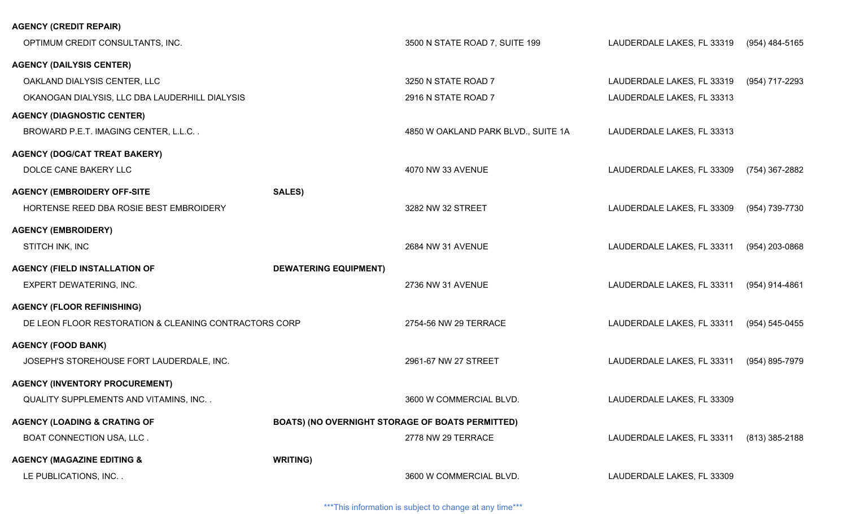## **AGENCY (CREDIT REPAIR)**

| OPTIMUM CREDIT CONSULTANTS, INC.                      |                                                  | 3500 N STATE ROAD 7, SUITE 199      | LAUDERDALE LAKES, FL 33319 | (954) 484-5165     |
|-------------------------------------------------------|--------------------------------------------------|-------------------------------------|----------------------------|--------------------|
| <b>AGENCY (DAILYSIS CENTER)</b>                       |                                                  |                                     |                            |                    |
| OAKLAND DIALYSIS CENTER, LLC                          |                                                  | 3250 N STATE ROAD 7                 | LAUDERDALE LAKES, FL 33319 | (954) 717-2293     |
| OKANOGAN DIALYSIS, LLC DBA LAUDERHILL DIALYSIS        |                                                  | 2916 N STATE ROAD 7                 | LAUDERDALE LAKES, FL 33313 |                    |
| <b>AGENCY (DIAGNOSTIC CENTER)</b>                     |                                                  |                                     |                            |                    |
| BROWARD P.E.T. IMAGING CENTER, L.L.C                  |                                                  | 4850 W OAKLAND PARK BLVD., SUITE 1A | LAUDERDALE LAKES, FL 33313 |                    |
| <b>AGENCY (DOG/CAT TREAT BAKERY)</b>                  |                                                  |                                     |                            |                    |
| DOLCE CANE BAKERY LLC                                 |                                                  | 4070 NW 33 AVENUE                   | LAUDERDALE LAKES, FL 33309 | (754) 367-2882     |
| <b>AGENCY (EMBROIDERY OFF-SITE</b>                    | <b>SALES)</b>                                    |                                     |                            |                    |
| HORTENSE REED DBA ROSIE BEST EMBROIDERY               |                                                  | 3282 NW 32 STREET                   | LAUDERDALE LAKES, FL 33309 | (954) 739-7730     |
| <b>AGENCY (EMBROIDERY)</b>                            |                                                  |                                     |                            |                    |
| STITCH INK, INC                                       |                                                  | 2684 NW 31 AVENUE                   | LAUDERDALE LAKES, FL 33311 | (954) 203-0868     |
| <b>AGENCY (FIELD INSTALLATION OF</b>                  | <b>DEWATERING EQUIPMENT)</b>                     |                                     |                            |                    |
| EXPERT DEWATERING, INC.                               |                                                  | 2736 NW 31 AVENUE                   | LAUDERDALE LAKES, FL 33311 | (954) 914-4861     |
| <b>AGENCY (FLOOR REFINISHING)</b>                     |                                                  |                                     |                            |                    |
| DE LEON FLOOR RESTORATION & CLEANING CONTRACTORS CORP |                                                  | 2754-56 NW 29 TERRACE               | LAUDERDALE LAKES, FL 33311 | $(954) 545 - 0455$ |
| <b>AGENCY (FOOD BANK)</b>                             |                                                  |                                     |                            |                    |
| JOSEPH'S STOREHOUSE FORT LAUDERDALE, INC.             |                                                  | 2961-67 NW 27 STREET                | LAUDERDALE LAKES, FL 33311 | (954) 895-7979     |
| <b>AGENCY (INVENTORY PROCUREMENT)</b>                 |                                                  |                                     |                            |                    |
| QUALITY SUPPLEMENTS AND VITAMINS, INC                 |                                                  | 3600 W COMMERCIAL BLVD.             | LAUDERDALE LAKES, FL 33309 |                    |
| <b>AGENCY (LOADING &amp; CRATING OF</b>               | BOATS) (NO OVERNIGHT STORAGE OF BOATS PERMITTED) |                                     |                            |                    |
| BOAT CONNECTION USA, LLC.                             |                                                  | 2778 NW 29 TERRACE                  | LAUDERDALE LAKES, FL 33311 | $(813)$ 385-2188   |
| <b>AGENCY (MAGAZINE EDITING &amp;</b>                 | <b>WRITING)</b>                                  |                                     |                            |                    |
| LE PUBLICATIONS, INC                                  |                                                  | 3600 W COMMERCIAL BLVD.             | LAUDERDALE LAKES, FL 33309 |                    |
|                                                       |                                                  |                                     |                            |                    |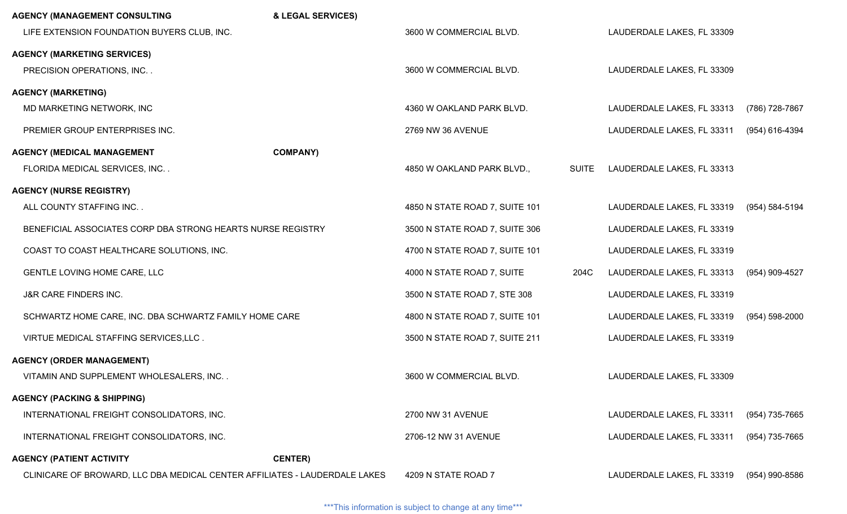| <b>AGENCY (MANAGEMENT CONSULTING</b>                                       | & LEGAL SERVICES) |                                |              |                            |                |
|----------------------------------------------------------------------------|-------------------|--------------------------------|--------------|----------------------------|----------------|
| LIFE EXTENSION FOUNDATION BUYERS CLUB, INC.                                |                   | 3600 W COMMERCIAL BLVD.        |              | LAUDERDALE LAKES, FL 33309 |                |
| <b>AGENCY (MARKETING SERVICES)</b>                                         |                   |                                |              |                            |                |
| PRECISION OPERATIONS, INC                                                  |                   | 3600 W COMMERCIAL BLVD.        |              | LAUDERDALE LAKES, FL 33309 |                |
| <b>AGENCY (MARKETING)</b>                                                  |                   |                                |              |                            |                |
| MD MARKETING NETWORK, INC                                                  |                   | 4360 W OAKLAND PARK BLVD.      |              | LAUDERDALE LAKES, FL 33313 | (786) 728-7867 |
| PREMIER GROUP ENTERPRISES INC.                                             |                   | 2769 NW 36 AVENUE              |              | LAUDERDALE LAKES, FL 33311 | (954) 616-4394 |
| <b>AGENCY (MEDICAL MANAGEMENT</b>                                          | <b>COMPANY)</b>   |                                |              |                            |                |
| FLORIDA MEDICAL SERVICES, INC. .                                           |                   | 4850 W OAKLAND PARK BLVD.,     | <b>SUITE</b> | LAUDERDALE LAKES, FL 33313 |                |
| <b>AGENCY (NURSE REGISTRY)</b>                                             |                   |                                |              |                            |                |
| ALL COUNTY STAFFING INC                                                    |                   | 4850 N STATE ROAD 7, SUITE 101 |              | LAUDERDALE LAKES, FL 33319 | (954) 584-5194 |
| BENEFICIAL ASSOCIATES CORP DBA STRONG HEARTS NURSE REGISTRY                |                   | 3500 N STATE ROAD 7, SUITE 306 |              | LAUDERDALE LAKES, FL 33319 |                |
| COAST TO COAST HEALTHCARE SOLUTIONS, INC.                                  |                   | 4700 N STATE ROAD 7, SUITE 101 |              | LAUDERDALE LAKES, FL 33319 |                |
| GENTLE LOVING HOME CARE, LLC                                               |                   | 4000 N STATE ROAD 7, SUITE     | 204C         | LAUDERDALE LAKES, FL 33313 | (954) 909-4527 |
| J&R CARE FINDERS INC.                                                      |                   | 3500 N STATE ROAD 7, STE 308   |              | LAUDERDALE LAKES, FL 33319 |                |
| SCHWARTZ HOME CARE, INC. DBA SCHWARTZ FAMILY HOME CARE                     |                   | 4800 N STATE ROAD 7, SUITE 101 |              | LAUDERDALE LAKES, FL 33319 | (954) 598-2000 |
| VIRTUE MEDICAL STAFFING SERVICES, LLC.                                     |                   | 3500 N STATE ROAD 7, SUITE 211 |              | LAUDERDALE LAKES, FL 33319 |                |
| <b>AGENCY (ORDER MANAGEMENT)</b>                                           |                   |                                |              |                            |                |
| VITAMIN AND SUPPLEMENT WHOLESALERS, INC                                    |                   | 3600 W COMMERCIAL BLVD.        |              | LAUDERDALE LAKES, FL 33309 |                |
| <b>AGENCY (PACKING &amp; SHIPPING)</b>                                     |                   |                                |              |                            |                |
| INTERNATIONAL FREIGHT CONSOLIDATORS, INC.                                  |                   | 2700 NW 31 AVENUE              |              | LAUDERDALE LAKES, FL 33311 | (954) 735-7665 |
| INTERNATIONAL FREIGHT CONSOLIDATORS, INC.                                  |                   | 2706-12 NW 31 AVENUE           |              | LAUDERDALE LAKES, FL 33311 | (954) 735-7665 |
| <b>AGENCY (PATIENT ACTIVITY</b>                                            | <b>CENTER)</b>    |                                |              |                            |                |
| CLINICARE OF BROWARD, LLC DBA MEDICAL CENTER AFFILIATES - LAUDERDALE LAKES |                   | 4209 N STATE ROAD 7            |              | LAUDERDALE LAKES, FL 33319 | (954) 990-8586 |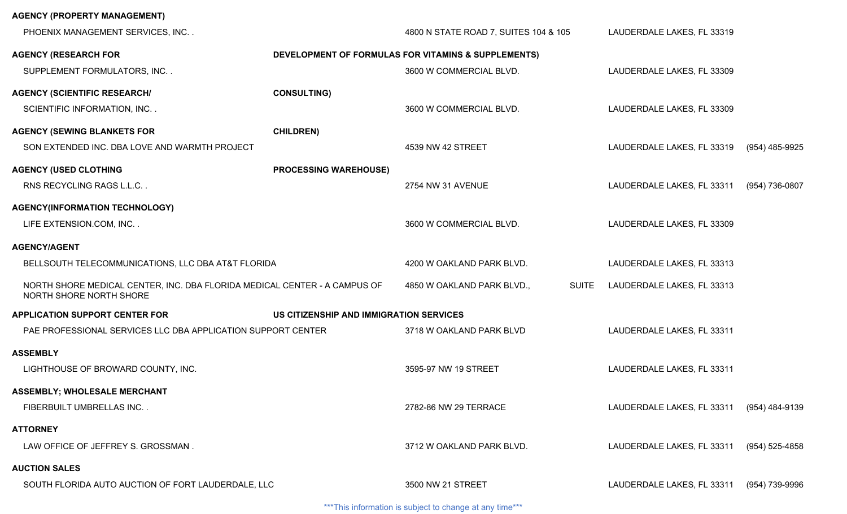| <b>AGENCY (PROPERTY MANAGEMENT)</b>                                                                  |                                         |                                                     |              |                            |                    |
|------------------------------------------------------------------------------------------------------|-----------------------------------------|-----------------------------------------------------|--------------|----------------------------|--------------------|
| PHOENIX MANAGEMENT SERVICES, INC                                                                     |                                         | 4800 N STATE ROAD 7, SUITES 104 & 105               |              | LAUDERDALE LAKES, FL 33319 |                    |
| <b>AGENCY (RESEARCH FOR</b>                                                                          |                                         | DEVELOPMENT OF FORMULAS FOR VITAMINS & SUPPLEMENTS) |              |                            |                    |
| SUPPLEMENT FORMULATORS, INC. .                                                                       |                                         | 3600 W COMMERCIAL BLVD.                             |              | LAUDERDALE LAKES, FL 33309 |                    |
| <b>AGENCY (SCIENTIFIC RESEARCH/</b>                                                                  | <b>CONSULTING)</b>                      |                                                     |              |                            |                    |
| <b>SCIENTIFIC INFORMATION, INC</b>                                                                   |                                         | 3600 W COMMERCIAL BLVD.                             |              | LAUDERDALE LAKES, FL 33309 |                    |
| <b>AGENCY (SEWING BLANKETS FOR</b>                                                                   | <b>CHILDREN)</b>                        |                                                     |              |                            |                    |
| SON EXTENDED INC. DBA LOVE AND WARMTH PROJECT                                                        |                                         | 4539 NW 42 STREET                                   |              | LAUDERDALE LAKES, FL 33319 | (954) 485-9925     |
| <b>AGENCY (USED CLOTHING</b>                                                                         | <b>PROCESSING WAREHOUSE)</b>            |                                                     |              |                            |                    |
| RNS RECYCLING RAGS L.L.C.                                                                            |                                         | 2754 NW 31 AVENUE                                   |              | LAUDERDALE LAKES, FL 33311 | (954) 736-0807     |
| AGENCY(INFORMATION TECHNOLOGY)                                                                       |                                         |                                                     |              |                            |                    |
| LIFE EXTENSION.COM, INC                                                                              |                                         | 3600 W COMMERCIAL BLVD.                             |              | LAUDERDALE LAKES, FL 33309 |                    |
| <b>AGENCY/AGENT</b>                                                                                  |                                         |                                                     |              |                            |                    |
| BELLSOUTH TELECOMMUNICATIONS, LLC DBA AT&T FLORIDA                                                   |                                         | 4200 W OAKLAND PARK BLVD.                           |              | LAUDERDALE LAKES, FL 33313 |                    |
| NORTH SHORE MEDICAL CENTER, INC. DBA FLORIDA MEDICAL CENTER - A CAMPUS OF<br>NORTH SHORE NORTH SHORE |                                         | 4850 W OAKLAND PARK BLVD.,                          | <b>SUITE</b> | LAUDERDALE LAKES, FL 33313 |                    |
| <b>APPLICATION SUPPORT CENTER FOR</b>                                                                | US CITIZENSHIP AND IMMIGRATION SERVICES |                                                     |              |                            |                    |
| PAE PROFESSIONAL SERVICES LLC DBA APPLICATION SUPPORT CENTER                                         |                                         | 3718 W OAKLAND PARK BLVD                            |              | LAUDERDALE LAKES, FL 33311 |                    |
| <b>ASSEMBLY</b>                                                                                      |                                         |                                                     |              |                            |                    |
| LIGHTHOUSE OF BROWARD COUNTY, INC.                                                                   |                                         | 3595-97 NW 19 STREET                                |              | LAUDERDALE LAKES, FL 33311 |                    |
| <b>ASSEMBLY; WHOLESALE MERCHANT</b>                                                                  |                                         |                                                     |              |                            |                    |
| FIBERBUILT UMBRELLAS INC                                                                             |                                         | 2782-86 NW 29 TERRACE                               |              | LAUDERDALE LAKES, FL 33311 | (954) 484-9139     |
| <b>ATTORNEY</b>                                                                                      |                                         |                                                     |              |                            |                    |
| LAW OFFICE OF JEFFREY S. GROSSMAN.                                                                   |                                         | 3712 W OAKLAND PARK BLVD.                           |              | LAUDERDALE LAKES, FL 33311 | $(954) 525 - 4858$ |
| <b>AUCTION SALES</b>                                                                                 |                                         |                                                     |              |                            |                    |
| SOUTH FLORIDA AUTO AUCTION OF FORT LAUDERDALE, LLC                                                   |                                         | 3500 NW 21 STREET                                   |              | LAUDERDALE LAKES, FL 33311 | (954) 739-9996     |
|                                                                                                      |                                         |                                                     |              |                            |                    |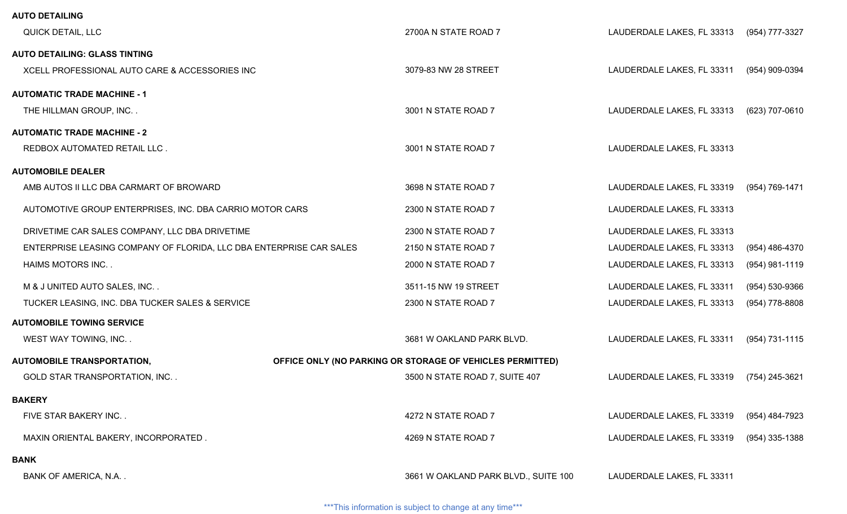| <b>AUTO DETAILING</b>                                               |                                                           |                            |                |
|---------------------------------------------------------------------|-----------------------------------------------------------|----------------------------|----------------|
| QUICK DETAIL, LLC                                                   | 2700A N STATE ROAD 7                                      | LAUDERDALE LAKES, FL 33313 | (954) 777-3327 |
| <b>AUTO DETAILING: GLASS TINTING</b>                                |                                                           |                            |                |
| XCELL PROFESSIONAL AUTO CARE & ACCESSORIES INC                      | 3079-83 NW 28 STREET                                      | LAUDERDALE LAKES, FL 33311 | (954) 909-0394 |
| <b>AUTOMATIC TRADE MACHINE - 1</b>                                  |                                                           |                            |                |
| THE HILLMAN GROUP, INC. .                                           | 3001 N STATE ROAD 7                                       | LAUDERDALE LAKES, FL 33313 | (623) 707-0610 |
| <b>AUTOMATIC TRADE MACHINE - 2</b>                                  |                                                           |                            |                |
| REDBOX AUTOMATED RETAIL LLC.                                        | 3001 N STATE ROAD 7                                       | LAUDERDALE LAKES, FL 33313 |                |
| <b>AUTOMOBILE DEALER</b>                                            |                                                           |                            |                |
| AMB AUTOS II LLC DBA CARMART OF BROWARD                             | 3698 N STATE ROAD 7                                       | LAUDERDALE LAKES, FL 33319 | (954) 769-1471 |
| AUTOMOTIVE GROUP ENTERPRISES, INC. DBA CARRIO MOTOR CARS            | 2300 N STATE ROAD 7                                       | LAUDERDALE LAKES, FL 33313 |                |
| DRIVETIME CAR SALES COMPANY, LLC DBA DRIVETIME                      | 2300 N STATE ROAD 7                                       | LAUDERDALE LAKES, FL 33313 |                |
| ENTERPRISE LEASING COMPANY OF FLORIDA, LLC DBA ENTERPRISE CAR SALES | 2150 N STATE ROAD 7                                       | LAUDERDALE LAKES, FL 33313 | (954) 486-4370 |
| HAIMS MOTORS INC                                                    | 2000 N STATE ROAD 7                                       | LAUDERDALE LAKES, FL 33313 | (954) 981-1119 |
| M & J UNITED AUTO SALES, INC                                        | 3511-15 NW 19 STREET                                      | LAUDERDALE LAKES, FL 33311 | (954) 530-9366 |
| TUCKER LEASING, INC. DBA TUCKER SALES & SERVICE                     | 2300 N STATE ROAD 7                                       | LAUDERDALE LAKES, FL 33313 | (954) 778-8808 |
| <b>AUTOMOBILE TOWING SERVICE</b>                                    |                                                           |                            |                |
| WEST WAY TOWING, INC                                                | 3681 W OAKLAND PARK BLVD.                                 | LAUDERDALE LAKES, FL 33311 | (954) 731-1115 |
| <b>AUTOMOBILE TRANSPORTATION,</b>                                   | OFFICE ONLY (NO PARKING OR STORAGE OF VEHICLES PERMITTED) |                            |                |
| GOLD STAR TRANSPORTATION, INC. .                                    | 3500 N STATE ROAD 7, SUITE 407                            | LAUDERDALE LAKES, FL 33319 | (754) 245-3621 |
| <b>BAKERY</b>                                                       |                                                           |                            |                |
| FIVE STAR BAKERY INC                                                | 4272 N STATE ROAD 7                                       | LAUDERDALE LAKES, FL 33319 | (954) 484-7923 |
| MAXIN ORIENTAL BAKERY, INCORPORATED.                                | 4269 N STATE ROAD 7                                       | LAUDERDALE LAKES, FL 33319 | (954) 335-1388 |
| <b>BANK</b>                                                         |                                                           |                            |                |
| BANK OF AMERICA, N.A. .                                             | 3661 W OAKLAND PARK BLVD., SUITE 100                      | LAUDERDALE LAKES, FL 33311 |                |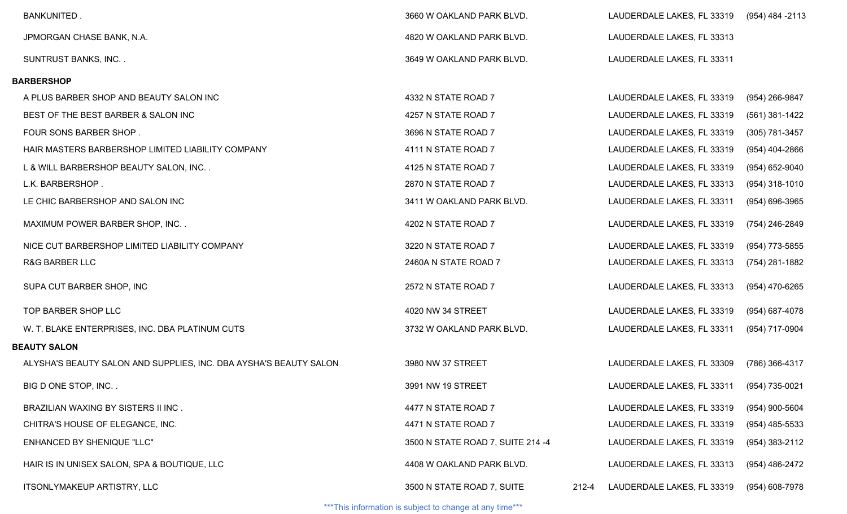| <b>BANKUNITED.</b>                                                | 3660 W OAKLAND PARK BLVD.         |       | LAUDERDALE LAKES, FL 33319                | (954) 484 -2113    |
|-------------------------------------------------------------------|-----------------------------------|-------|-------------------------------------------|--------------------|
| JPMORGAN CHASE BANK, N.A.                                         | 4820 W OAKLAND PARK BLVD.         |       | LAUDERDALE LAKES, FL 33313                |                    |
| <b>SUNTRUST BANKS, INC</b>                                        | 3649 W OAKLAND PARK BLVD.         |       | LAUDERDALE LAKES, FL 33311                |                    |
| <b>BARBERSHOP</b>                                                 |                                   |       |                                           |                    |
| A PLUS BARBER SHOP AND BEAUTY SALON INC                           | 4332 N STATE ROAD 7               |       | LAUDERDALE LAKES, FL 33319                | (954) 266-9847     |
| BEST OF THE BEST BARBER & SALON INC                               | 4257 N STATE ROAD 7               |       | LAUDERDALE LAKES, FL 33319                | $(561)$ 381-1422   |
| FOUR SONS BARBER SHOP.                                            | 3696 N STATE ROAD 7               |       | LAUDERDALE LAKES, FL 33319                | (305) 781-3457     |
| HAIR MASTERS BARBERSHOP LIMITED LIABILITY COMPANY                 | 4111 N STATE ROAD 7               |       | LAUDERDALE LAKES, FL 33319                | (954) 404-2866     |
| L & WILL BARBERSHOP BEAUTY SALON, INC                             | 4125 N STATE ROAD 7               |       | LAUDERDALE LAKES, FL 33319                | (954) 652-9040     |
| L.K. BARBERSHOP.                                                  | 2870 N STATE ROAD 7               |       | LAUDERDALE LAKES, FL 33313                | $(954)$ 318-1010   |
| LE CHIC BARBERSHOP AND SALON INC                                  | 3411 W OAKLAND PARK BLVD.         |       | LAUDERDALE LAKES, FL 33311                | $(954) 696 - 3965$ |
| MAXIMUM POWER BARBER SHOP, INC                                    | 4202 N STATE ROAD 7               |       | LAUDERDALE LAKES, FL 33319                | (754) 246-2849     |
| NICE CUT BARBERSHOP LIMITED LIABILITY COMPANY                     | 3220 N STATE ROAD 7               |       | LAUDERDALE LAKES, FL 33319                | (954) 773-5855     |
| <b>R&amp;G BARBER LLC</b>                                         | 2460A N STATE ROAD 7              |       | LAUDERDALE LAKES, FL 33313                | (754) 281-1882     |
| SUPA CUT BARBER SHOP, INC                                         | 2572 N STATE ROAD 7               |       | LAUDERDALE LAKES, FL 33313                | (954) 470-6265     |
| TOP BARBER SHOP LLC                                               | 4020 NW 34 STREET                 |       | LAUDERDALE LAKES, FL 33319                | (954) 687-4078     |
| W. T. BLAKE ENTERPRISES, INC. DBA PLATINUM CUTS                   | 3732 W OAKLAND PARK BLVD.         |       | LAUDERDALE LAKES, FL 33311                | (954) 717-0904     |
| <b>BEAUTY SALON</b>                                               |                                   |       |                                           |                    |
| ALYSHA'S BEAUTY SALON AND SUPPLIES, INC. DBA AYSHA'S BEAUTY SALON | 3980 NW 37 STREET                 |       | LAUDERDALE LAKES, FL 33309                | (786) 366-4317     |
| BIG D ONE STOP, INC                                               | 3991 NW 19 STREET                 |       | LAUDERDALE LAKES, FL 33311 (954) 735-0021 |                    |
| BRAZILIAN WAXING BY SISTERS II INC.                               | 4477 N STATE ROAD 7               |       | LAUDERDALE LAKES, FL 33319                | (954) 900-5604     |
| CHITRA'S HOUSE OF ELEGANCE, INC.                                  | 4471 N STATE ROAD 7               |       | LAUDERDALE LAKES, FL 33319                | (954) 485-5533     |
| <b>ENHANCED BY SHENIQUE "LLC"</b>                                 | 3500 N STATE ROAD 7, SUITE 214 -4 |       | LAUDERDALE LAKES, FL 33319                | (954) 383-2112     |
| HAIR IS IN UNISEX SALON, SPA & BOUTIQUE, LLC                      | 4408 W OAKLAND PARK BLVD.         |       | LAUDERDALE LAKES, FL 33313                | (954) 486-2472     |
| ITSONLYMAKEUP ARTISTRY, LLC                                       | 3500 N STATE ROAD 7, SUITE        | 212-4 | LAUDERDALE LAKES, FL 33319                | (954) 608-7978     |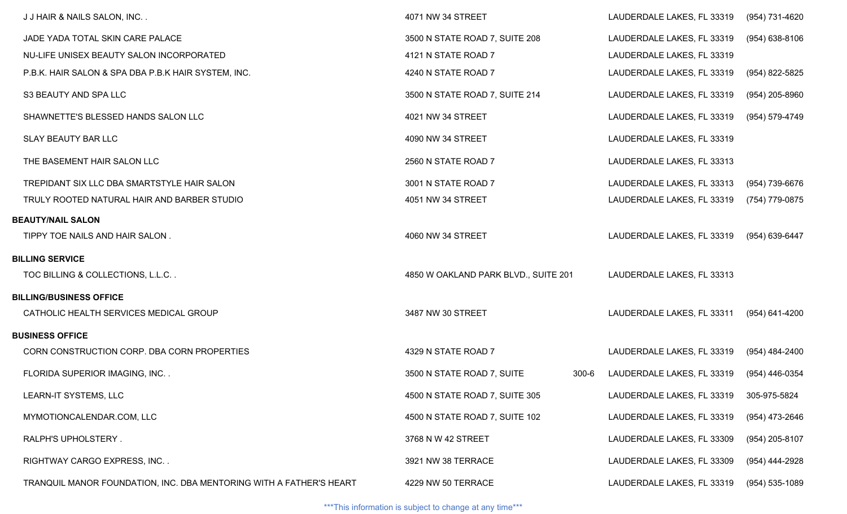| J J HAIR & NAILS SALON, INC                                         | 4071 NW 34 STREET                       | LAUDERDALE LAKES, FL 33319 | (954) 731-4620     |
|---------------------------------------------------------------------|-----------------------------------------|----------------------------|--------------------|
| JADE YADA TOTAL SKIN CARE PALACE                                    | 3500 N STATE ROAD 7, SUITE 208          | LAUDERDALE LAKES, FL 33319 | $(954)$ 638-8106   |
| NU-LIFE UNISEX BEAUTY SALON INCORPORATED                            | 4121 N STATE ROAD 7                     | LAUDERDALE LAKES, FL 33319 |                    |
| P.B.K. HAIR SALON & SPA DBA P.B.K HAIR SYSTEM, INC.                 | 4240 N STATE ROAD 7                     | LAUDERDALE LAKES, FL 33319 | (954) 822-5825     |
| S3 BEAUTY AND SPA LLC                                               | 3500 N STATE ROAD 7, SUITE 214          | LAUDERDALE LAKES, FL 33319 | (954) 205-8960     |
| SHAWNETTE'S BLESSED HANDS SALON LLC                                 | 4021 NW 34 STREET                       | LAUDERDALE LAKES, FL 33319 | (954) 579-4749     |
| <b>SLAY BEAUTY BAR LLC</b>                                          | 4090 NW 34 STREET                       | LAUDERDALE LAKES, FL 33319 |                    |
| THE BASEMENT HAIR SALON LLC                                         | 2560 N STATE ROAD 7                     | LAUDERDALE LAKES, FL 33313 |                    |
| TREPIDANT SIX LLC DBA SMARTSTYLE HAIR SALON                         | 3001 N STATE ROAD 7                     | LAUDERDALE LAKES, FL 33313 | (954) 739-6676     |
| TRULY ROOTED NATURAL HAIR AND BARBER STUDIO                         | 4051 NW 34 STREET                       | LAUDERDALE LAKES, FL 33319 | (754) 779-0875     |
| <b>BEAUTY/NAIL SALON</b>                                            |                                         |                            |                    |
| TIPPY TOE NAILS AND HAIR SALON.                                     | 4060 NW 34 STREET                       | LAUDERDALE LAKES, FL 33319 | (954) 639-6447     |
| <b>BILLING SERVICE</b>                                              |                                         |                            |                    |
| TOC BILLING & COLLECTIONS, L.L.C                                    | 4850 W OAKLAND PARK BLVD., SUITE 201    | LAUDERDALE LAKES, FL 33313 |                    |
| <b>BILLING/BUSINESS OFFICE</b>                                      |                                         |                            |                    |
| CATHOLIC HEALTH SERVICES MEDICAL GROUP                              | 3487 NW 30 STREET                       | LAUDERDALE LAKES, FL 33311 | (954) 641-4200     |
| <b>BUSINESS OFFICE</b>                                              |                                         |                            |                    |
| CORN CONSTRUCTION CORP. DBA CORN PROPERTIES                         | 4329 N STATE ROAD 7                     | LAUDERDALE LAKES, FL 33319 | (954) 484-2400     |
| FLORIDA SUPERIOR IMAGING, INC                                       | 3500 N STATE ROAD 7, SUITE<br>$300 - 6$ | LAUDERDALE LAKES, FL 33319 | (954) 446-0354     |
| <b>LEARN-IT SYSTEMS, LLC</b>                                        | 4500 N STATE ROAD 7, SUITE 305          | LAUDERDALE LAKES, FL 33319 | 305-975-5824       |
| MYMOTIONCALENDAR.COM, LLC                                           | 4500 N STATE ROAD 7, SUITE 102          | LAUDERDALE LAKES, FL 33319 | (954) 473-2646     |
| RALPH'S UPHOLSTERY.                                                 | 3768 N W 42 STREET                      | LAUDERDALE LAKES, FL 33309 | (954) 205-8107     |
| RIGHTWAY CARGO EXPRESS, INC                                         | 3921 NW 38 TERRACE                      | LAUDERDALE LAKES, FL 33309 | (954) 444-2928     |
| TRANQUIL MANOR FOUNDATION, INC. DBA MENTORING WITH A FATHER'S HEART | 4229 NW 50 TERRACE                      | LAUDERDALE LAKES, FL 33319 | $(954) 535 - 1089$ |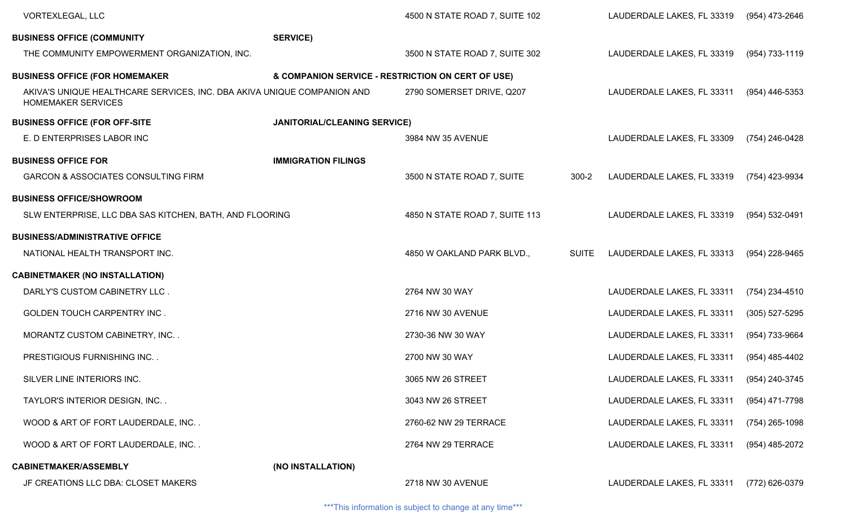| <b>VORTEXLEGAL, LLC</b>                                                                              |                                                   | 4500 N STATE ROAD 7, SUITE 102 |              | LAUDERDALE LAKES, FL 33319 | (954) 473-2646   |
|------------------------------------------------------------------------------------------------------|---------------------------------------------------|--------------------------------|--------------|----------------------------|------------------|
| <b>BUSINESS OFFICE (COMMUNITY</b>                                                                    | <b>SERVICE)</b>                                   |                                |              |                            |                  |
| THE COMMUNITY EMPOWERMENT ORGANIZATION, INC.                                                         |                                                   | 3500 N STATE ROAD 7, SUITE 302 |              | LAUDERDALE LAKES, FL 33319 | (954) 733-1119   |
| <b>BUSINESS OFFICE (FOR HOMEMAKER</b>                                                                | & COMPANION SERVICE - RESTRICTION ON CERT OF USE) |                                |              |                            |                  |
| AKIVA'S UNIQUE HEALTHCARE SERVICES, INC. DBA AKIVA UNIQUE COMPANION AND<br><b>HOMEMAKER SERVICES</b> |                                                   | 2790 SOMERSET DRIVE, Q207      |              | LAUDERDALE LAKES, FL 33311 | (954) 446-5353   |
| <b>BUSINESS OFFICE (FOR OFF-SITE)</b>                                                                | <b>JANITORIAL/CLEANING SERVICE)</b>               |                                |              |                            |                  |
| E. D ENTERPRISES LABOR INC                                                                           |                                                   | 3984 NW 35 AVENUE              |              | LAUDERDALE LAKES, FL 33309 | (754) 246-0428   |
| <b>BUSINESS OFFICE FOR</b>                                                                           | <b>IMMIGRATION FILINGS</b>                        |                                |              |                            |                  |
| <b>GARCON &amp; ASSOCIATES CONSULTING FIRM</b>                                                       |                                                   | 3500 N STATE ROAD 7, SUITE     | $300 - 2$    | LAUDERDALE LAKES, FL 33319 | (754) 423-9934   |
| <b>BUSINESS OFFICE/SHOWROOM</b>                                                                      |                                                   |                                |              |                            |                  |
| SLW ENTERPRISE, LLC DBA SAS KITCHEN, BATH, AND FLOORING                                              |                                                   | 4850 N STATE ROAD 7, SUITE 113 |              | LAUDERDALE LAKES, FL 33319 | (954) 532-0491   |
| <b>BUSINESS/ADMINISTRATIVE OFFICE</b>                                                                |                                                   |                                |              |                            |                  |
| NATIONAL HEALTH TRANSPORT INC.                                                                       |                                                   | 4850 W OAKLAND PARK BLVD.,     | <b>SUITE</b> | LAUDERDALE LAKES, FL 33313 | (954) 228-9465   |
| <b>CABINETMAKER (NO INSTALLATION)</b>                                                                |                                                   |                                |              |                            |                  |
| DARLY'S CUSTOM CABINETRY LLC.                                                                        |                                                   | 2764 NW 30 WAY                 |              | LAUDERDALE LAKES, FL 33311 | (754) 234-4510   |
| <b>GOLDEN TOUCH CARPENTRY INC.</b>                                                                   |                                                   | 2716 NW 30 AVENUE              |              | LAUDERDALE LAKES, FL 33311 | $(305)$ 527-5295 |
| MORANTZ CUSTOM CABINETRY, INC                                                                        |                                                   | 2730-36 NW 30 WAY              |              | LAUDERDALE LAKES, FL 33311 | (954) 733-9664   |
| PRESTIGIOUS FURNISHING INC                                                                           |                                                   | 2700 NW 30 WAY                 |              | LAUDERDALE LAKES, FL 33311 | (954) 485-4402   |
| SILVER LINE INTERIORS INC.                                                                           |                                                   | 3065 NW 26 STREET              |              | LAUDERDALE LAKES, FL 33311 | (954) 240-3745   |
| TAYLOR'S INTERIOR DESIGN, INC. .                                                                     |                                                   | 3043 NW 26 STREET              |              | LAUDERDALE LAKES, FL 33311 | (954) 471-7798   |
| WOOD & ART OF FORT LAUDERDALE, INC                                                                   |                                                   | 2760-62 NW 29 TERRACE          |              | LAUDERDALE LAKES, FL 33311 | $(754)$ 265-1098 |
| WOOD & ART OF FORT LAUDERDALE, INC                                                                   |                                                   | 2764 NW 29 TERRACE             |              | LAUDERDALE LAKES, FL 33311 | (954) 485-2072   |
| <b>CABINETMAKER/ASSEMBLY</b>                                                                         | (NO INSTALLATION)                                 |                                |              |                            |                  |
| JF CREATIONS LLC DBA: CLOSET MAKERS                                                                  |                                                   | 2718 NW 30 AVENUE              |              | LAUDERDALE LAKES, FL 33311 | (772) 626-0379   |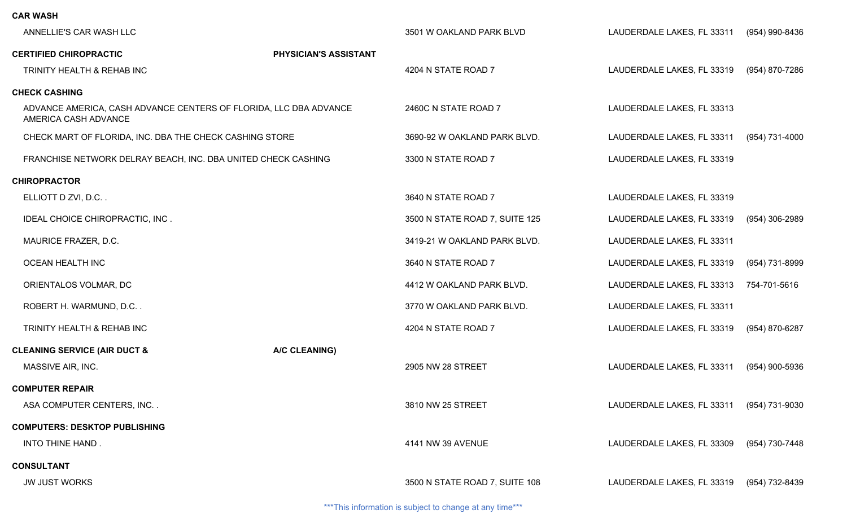| CAR WASH                                                                                  |                       |                                |                            |                |
|-------------------------------------------------------------------------------------------|-----------------------|--------------------------------|----------------------------|----------------|
| ANNELLIE'S CAR WASH LLC                                                                   |                       | 3501 W OAKLAND PARK BLVD       | LAUDERDALE LAKES, FL 33311 | (954) 990-8436 |
| <b>CERTIFIED CHIROPRACTIC</b>                                                             | PHYSICIAN'S ASSISTANT |                                |                            |                |
| TRINITY HEALTH & REHAB INC                                                                |                       | 4204 N STATE ROAD 7            | LAUDERDALE LAKES, FL 33319 | (954) 870-7286 |
| <b>CHECK CASHING</b>                                                                      |                       |                                |                            |                |
| ADVANCE AMERICA, CASH ADVANCE CENTERS OF FLORIDA, LLC DBA ADVANCE<br>AMERICA CASH ADVANCE |                       | 2460C N STATE ROAD 7           | LAUDERDALE LAKES, FL 33313 |                |
| CHECK MART OF FLORIDA, INC. DBA THE CHECK CASHING STORE                                   |                       | 3690-92 W OAKLAND PARK BLVD.   | LAUDERDALE LAKES, FL 33311 | (954) 731-4000 |
| FRANCHISE NETWORK DELRAY BEACH, INC. DBA UNITED CHECK CASHING                             |                       | 3300 N STATE ROAD 7            | LAUDERDALE LAKES, FL 33319 |                |
| <b>CHIROPRACTOR</b>                                                                       |                       |                                |                            |                |
| ELLIOTT D ZVI, D.C                                                                        |                       | 3640 N STATE ROAD 7            | LAUDERDALE LAKES, FL 33319 |                |
| IDEAL CHOICE CHIROPRACTIC, INC.                                                           |                       | 3500 N STATE ROAD 7, SUITE 125 | LAUDERDALE LAKES, FL 33319 | (954) 306-2989 |
| MAURICE FRAZER, D.C.                                                                      |                       | 3419-21 W OAKLAND PARK BLVD.   | LAUDERDALE LAKES, FL 33311 |                |
| <b>OCEAN HEALTH INC</b>                                                                   |                       | 3640 N STATE ROAD 7            | LAUDERDALE LAKES, FL 33319 | (954) 731-8999 |
| ORIENTALOS VOLMAR, DC                                                                     |                       | 4412 W OAKLAND PARK BLVD.      | LAUDERDALE LAKES, FL 33313 | 754-701-5616   |
| ROBERT H. WARMUND, D.C                                                                    |                       | 3770 W OAKLAND PARK BLVD.      | LAUDERDALE LAKES, FL 33311 |                |
| TRINITY HEALTH & REHAB INC                                                                |                       | 4204 N STATE ROAD 7            | LAUDERDALE LAKES, FL 33319 | (954) 870-6287 |
| <b>CLEANING SERVICE (AIR DUCT &amp;</b>                                                   | A/C CLEANING)         |                                |                            |                |
| MASSIVE AIR, INC.                                                                         |                       | 2905 NW 28 STREET              | LAUDERDALE LAKES, FL 33311 | (954) 900-5936 |
| <b>COMPUTER REPAIR</b>                                                                    |                       |                                |                            |                |
| ASA COMPUTER CENTERS, INC                                                                 |                       | 3810 NW 25 STREET              | LAUDERDALE LAKES, FL 33311 | (954) 731-9030 |
| <b>COMPUTERS: DESKTOP PUBLISHING</b>                                                      |                       |                                |                            |                |
| INTO THINE HAND.                                                                          |                       | 4141 NW 39 AVENUE              | LAUDERDALE LAKES, FL 33309 | (954) 730-7448 |
| <b>CONSULTANT</b>                                                                         |                       |                                |                            |                |
| <b>JW JUST WORKS</b>                                                                      |                       | 3500 N STATE ROAD 7, SUITE 108 | LAUDERDALE LAKES, FL 33319 | (954) 732-8439 |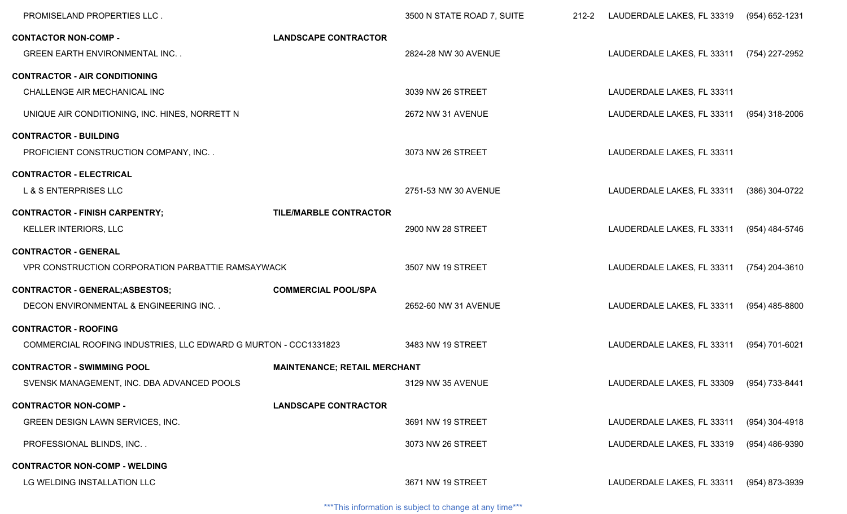| PROMISELAND PROPERTIES LLC.                                     |                                     | 3500 N STATE ROAD 7, SUITE | $212 - 2$ | LAUDERDALE LAKES, FL 33319 | (954) 652-1231   |
|-----------------------------------------------------------------|-------------------------------------|----------------------------|-----------|----------------------------|------------------|
| <b>CONTACTOR NON-COMP -</b>                                     | <b>LANDSCAPE CONTRACTOR</b>         |                            |           |                            |                  |
| <b>GREEN EARTH ENVIRONMENTAL INC</b>                            |                                     | 2824-28 NW 30 AVENUE       |           | LAUDERDALE LAKES, FL 33311 | (754) 227-2952   |
| <b>CONTRACTOR - AIR CONDITIONING</b>                            |                                     |                            |           |                            |                  |
| CHALLENGE AIR MECHANICAL INC                                    |                                     | 3039 NW 26 STREET          |           | LAUDERDALE LAKES, FL 33311 |                  |
| UNIQUE AIR CONDITIONING, INC. HINES, NORRETT N                  |                                     | 2672 NW 31 AVENUE          |           | LAUDERDALE LAKES, FL 33311 | (954) 318-2006   |
| <b>CONTRACTOR - BUILDING</b>                                    |                                     |                            |           |                            |                  |
| PROFICIENT CONSTRUCTION COMPANY, INC. .                         |                                     | 3073 NW 26 STREET          |           | LAUDERDALE LAKES, FL 33311 |                  |
| <b>CONTRACTOR - ELECTRICAL</b>                                  |                                     |                            |           |                            |                  |
| L & S ENTERPRISES LLC                                           |                                     | 2751-53 NW 30 AVENUE       |           | LAUDERDALE LAKES, FL 33311 | (386) 304-0722   |
| <b>CONTRACTOR - FINISH CARPENTRY;</b>                           | <b>TILE/MARBLE CONTRACTOR</b>       |                            |           |                            |                  |
| KELLER INTERIORS, LLC                                           |                                     | 2900 NW 28 STREET          |           | LAUDERDALE LAKES, FL 33311 | (954) 484-5746   |
| <b>CONTRACTOR - GENERAL</b>                                     |                                     |                            |           |                            |                  |
| VPR CONSTRUCTION CORPORATION PARBATTIE RAMSAYWACK               |                                     | 3507 NW 19 STREET          |           | LAUDERDALE LAKES, FL 33311 | (754) 204-3610   |
| <b>CONTRACTOR - GENERAL; ASBESTOS;</b>                          | <b>COMMERCIAL POOL/SPA</b>          |                            |           |                            |                  |
| DECON ENVIRONMENTAL & ENGINEERING INC                           |                                     | 2652-60 NW 31 AVENUE       |           | LAUDERDALE LAKES, FL 33311 | (954) 485-8800   |
| <b>CONTRACTOR - ROOFING</b>                                     |                                     |                            |           |                            |                  |
| COMMERCIAL ROOFING INDUSTRIES, LLC EDWARD G MURTON - CCC1331823 |                                     | 3483 NW 19 STREET          |           | LAUDERDALE LAKES, FL 33311 | (954) 701-6021   |
| <b>CONTRACTOR - SWIMMING POOL</b>                               | <b>MAINTENANCE; RETAIL MERCHANT</b> |                            |           |                            |                  |
| SVENSK MANAGEMENT, INC. DBA ADVANCED POOLS                      |                                     | 3129 NW 35 AVENUE          |           | LAUDERDALE LAKES, FL 33309 | (954) 733-8441   |
| <b>CONTRACTOR NON-COMP -</b>                                    | <b>LANDSCAPE CONTRACTOR</b>         |                            |           |                            |                  |
| GREEN DESIGN LAWN SERVICES, INC.                                |                                     | 3691 NW 19 STREET          |           | LAUDERDALE LAKES, FL 33311 | $(954)$ 304-4918 |
| PROFESSIONAL BLINDS, INC                                        |                                     | 3073 NW 26 STREET          |           | LAUDERDALE LAKES, FL 33319 | (954) 486-9390   |
| <b>CONTRACTOR NON-COMP - WELDING</b>                            |                                     |                            |           |                            |                  |
| LG WELDING INSTALLATION LLC                                     |                                     | 3671 NW 19 STREET          |           | LAUDERDALE LAKES, FL 33311 | (954) 873-3939   |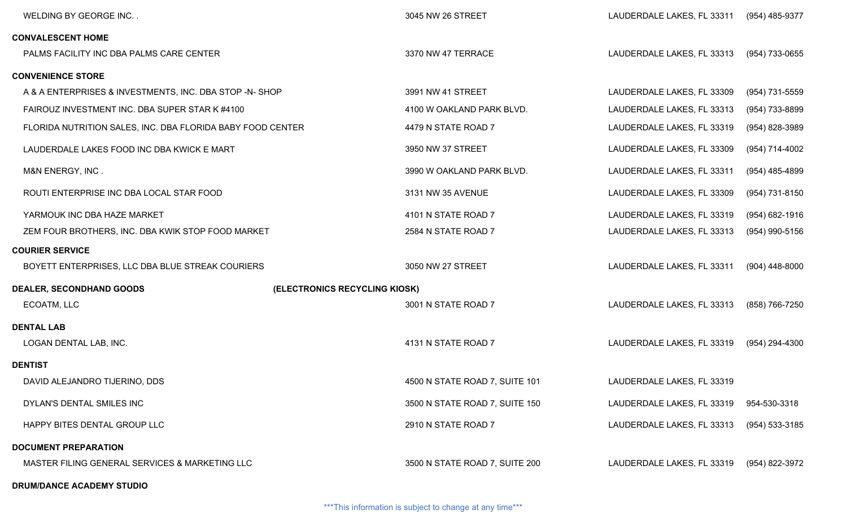| WELDING BY GEORGE INC                                      |                               | 3045 NW 26 STREET              | LAUDERDALE LAKES, FL 33311              | (954) 485-9377     |
|------------------------------------------------------------|-------------------------------|--------------------------------|-----------------------------------------|--------------------|
| <b>CONVALESCENT HOME</b>                                   |                               |                                |                                         |                    |
| PALMS FACILITY INC DBA PALMS CARE CENTER                   |                               | 3370 NW 47 TERRACE             | LAUDERDALE LAKES, FL 33313              | (954) 733-0655     |
| <b>CONVENIENCE STORE</b>                                   |                               |                                |                                         |                    |
| A & A ENTERPRISES & INVESTMENTS, INC. DBA STOP -N- SHOP    |                               | 3991 NW 41 STREET              | LAUDERDALE LAKES, FL 33309              | (954) 731-5559     |
| FAIROUZ INVESTMENT INC. DBA SUPER STAR K #4100             |                               | 4100 W OAKLAND PARK BLVD.      | LAUDERDALE LAKES, FL 33313              | (954) 733-8899     |
| FLORIDA NUTRITION SALES, INC. DBA FLORIDA BABY FOOD CENTER |                               | 4479 N STATE ROAD 7            | LAUDERDALE LAKES, FL 33319              | (954) 828-3989     |
| LAUDERDALE LAKES FOOD INC DBA KWICK E MART                 |                               | 3950 NW 37 STREET              | LAUDERDALE LAKES, FL 33309              | (954) 714-4002     |
| M&N ENERGY, INC.                                           |                               | 3990 W OAKLAND PARK BLVD.      | LAUDERDALE LAKES, FL 33311              | $(954)$ 485-4899   |
| ROUTI ENTERPRISE INC DBA LOCAL STAR FOOD                   |                               | 3131 NW 35 AVENUE              | LAUDERDALE LAKES, FL 33309              | (954) 731-8150     |
| YARMOUK INC DBA HAZE MARKET                                |                               | 4101 N STATE ROAD 7            | LAUDERDALE LAKES, FL 33319              | $(954) 682 - 1916$ |
| ZEM FOUR BROTHERS, INC. DBA KWIK STOP FOOD MARKET          |                               | 2584 N STATE ROAD 7            | LAUDERDALE LAKES, FL 33313              | $(954)$ 990-5156   |
| <b>COURIER SERVICE</b>                                     |                               |                                |                                         |                    |
| BOYETT ENTERPRISES, LLC DBA BLUE STREAK COURIERS           |                               | 3050 NW 27 STREET              | LAUDERDALE LAKES, FL 33311              | $(904)$ 448-8000   |
| <b>DEALER, SECONDHAND GOODS</b>                            | (ELECTRONICS RECYCLING KIOSK) |                                |                                         |                    |
| ECOATM, LLC                                                |                               | 3001 N STATE ROAD 7            | LAUDERDALE LAKES, FL 33313              | (858) 766-7250     |
| <b>DENTAL LAB</b>                                          |                               |                                |                                         |                    |
| LOGAN DENTAL LAB, INC.                                     |                               | 4131 N STATE ROAD 7            | LAUDERDALE LAKES, FL 33319              | (954) 294-4300     |
| <b>DENTIST</b>                                             |                               |                                |                                         |                    |
| DAVID ALEJANDRO TIJERINO, DDS                              |                               | 4500 N STATE ROAD 7, SUITE 101 | LAUDERDALE LAKES, FL 33319              |                    |
| DYLAN'S DENTAL SMILES INC                                  |                               | 3500 N STATE ROAD 7, SUITE 150 | LAUDERDALE LAKES, FL 33319 954-530-3318 |                    |
| HAPPY BITES DENTAL GROUP LLC                               |                               | 2910 N STATE ROAD 7            | LAUDERDALE LAKES, FL 33313              | (954) 533-3185     |
| <b>DOCUMENT PREPARATION</b>                                |                               |                                |                                         |                    |
| MASTER FILING GENERAL SERVICES & MARKETING LLC             |                               | 3500 N STATE ROAD 7, SUITE 200 | LAUDERDALE LAKES, FL 33319              | (954) 822-3972     |
| <b>DRUM/DANCE ACADEMY STUDIO</b>                           |                               |                                |                                         |                    |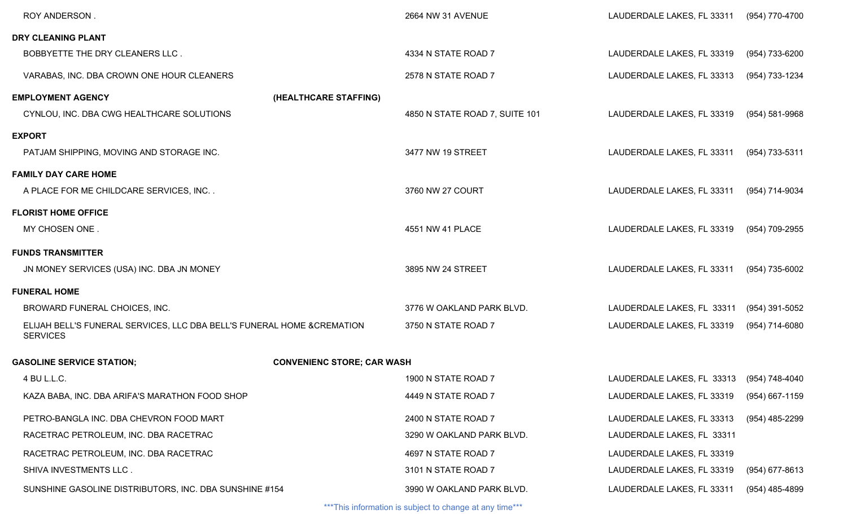| ROY ANDERSON.                                                                              |                                   | 2664 NW 31 AVENUE              | LAUDERDALE LAKES, FL 33311                | (954) 770-4700 |
|--------------------------------------------------------------------------------------------|-----------------------------------|--------------------------------|-------------------------------------------|----------------|
| DRY CLEANING PLANT                                                                         |                                   |                                |                                           |                |
| BOBBYETTE THE DRY CLEANERS LLC.                                                            |                                   | 4334 N STATE ROAD 7            | LAUDERDALE LAKES, FL 33319                | (954) 733-6200 |
| VARABAS, INC. DBA CROWN ONE HOUR CLEANERS                                                  |                                   | 2578 N STATE ROAD 7            | LAUDERDALE LAKES, FL 33313                | (954) 733-1234 |
| <b>EMPLOYMENT AGENCY</b>                                                                   | (HEALTHCARE STAFFING)             |                                |                                           |                |
| CYNLOU, INC. DBA CWG HEALTHCARE SOLUTIONS                                                  |                                   | 4850 N STATE ROAD 7, SUITE 101 | LAUDERDALE LAKES, FL 33319                | (954) 581-9968 |
| <b>EXPORT</b>                                                                              |                                   |                                |                                           |                |
| PATJAM SHIPPING, MOVING AND STORAGE INC.                                                   |                                   | 3477 NW 19 STREET              | LAUDERDALE LAKES, FL 33311                | (954) 733-5311 |
| <b>FAMILY DAY CARE HOME</b>                                                                |                                   |                                |                                           |                |
| A PLACE FOR ME CHILDCARE SERVICES, INC                                                     |                                   | 3760 NW 27 COURT               | LAUDERDALE LAKES, FL 33311                | (954) 714-9034 |
| <b>FLORIST HOME OFFICE</b>                                                                 |                                   |                                |                                           |                |
| MY CHOSEN ONE.                                                                             |                                   | 4551 NW 41 PLACE               | LAUDERDALE LAKES, FL 33319                | (954) 709-2955 |
| <b>FUNDS TRANSMITTER</b>                                                                   |                                   |                                |                                           |                |
| JN MONEY SERVICES (USA) INC. DBA JN MONEY                                                  |                                   | 3895 NW 24 STREET              | LAUDERDALE LAKES, FL 33311                | (954) 735-6002 |
| <b>FUNERAL HOME</b>                                                                        |                                   |                                |                                           |                |
| BROWARD FUNERAL CHOICES, INC.                                                              |                                   | 3776 W OAKLAND PARK BLVD.      | LAUDERDALE LAKES, FL 33311                | (954) 391-5052 |
| ELIJAH BELL'S FUNERAL SERVICES, LLC DBA BELL'S FUNERAL HOME & CREMATION<br><b>SERVICES</b> |                                   | 3750 N STATE ROAD 7            | LAUDERDALE LAKES, FL 33319                | (954) 714-6080 |
| <b>GASOLINE SERVICE STATION;</b>                                                           | <b>CONVENIENC STORE; CAR WASH</b> |                                |                                           |                |
| 4 BU L.L.C.                                                                                |                                   | 1900 N STATE ROAD 7            | LAUDERDALE LAKES, FL 33313 (954) 748-4040 |                |
| KAZA BABA, INC. DBA ARIFA'S MARATHON FOOD SHOP                                             |                                   | 4449 N STATE ROAD 7            | LAUDERDALE LAKES, FL 33319                | (954) 667-1159 |
| PETRO-BANGLA INC. DBA CHEVRON FOOD MART                                                    |                                   | 2400 N STATE ROAD 7            | LAUDERDALE LAKES, FL 33313                | (954) 485-2299 |
| RACETRAC PETROLEUM, INC. DBA RACETRAC                                                      |                                   | 3290 W OAKLAND PARK BLVD.      | LAUDERDALE LAKES, FL 33311                |                |
| RACETRAC PETROLEUM, INC. DBA RACETRAC                                                      |                                   | 4697 N STATE ROAD 7            | LAUDERDALE LAKES, FL 33319                |                |
| SHIVA INVESTMENTS LLC.                                                                     |                                   | 3101 N STATE ROAD 7            | LAUDERDALE LAKES, FL 33319                | (954) 677-8613 |
| SUNSHINE GASOLINE DISTRIBUTORS, INC. DBA SUNSHINE #154                                     |                                   | 3990 W OAKLAND PARK BLVD.      | LAUDERDALE LAKES, FL 33311                | (954) 485-4899 |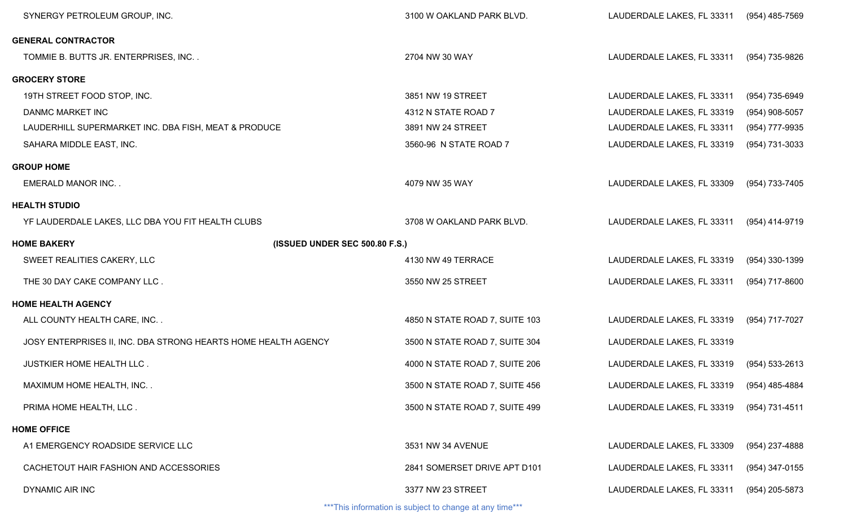| SYNERGY PETROLEUM GROUP, INC.                                  | 3100 W OAKLAND PARK BLVD.      | LAUDERDALE LAKES, FL 33311                | (954) 485-7569 |
|----------------------------------------------------------------|--------------------------------|-------------------------------------------|----------------|
| <b>GENERAL CONTRACTOR</b>                                      |                                |                                           |                |
| TOMMIE B. BUTTS JR. ENTERPRISES, INC                           | 2704 NW 30 WAY                 | LAUDERDALE LAKES, FL 33311                | (954) 735-9826 |
| <b>GROCERY STORE</b>                                           |                                |                                           |                |
| 19TH STREET FOOD STOP, INC.                                    | 3851 NW 19 STREET              | LAUDERDALE LAKES, FL 33311                | (954) 735-6949 |
| <b>DANMC MARKET INC</b>                                        | 4312 N STATE ROAD 7            | LAUDERDALE LAKES, FL 33319                | (954) 908-5057 |
| LAUDERHILL SUPERMARKET INC. DBA FISH, MEAT & PRODUCE           | 3891 NW 24 STREET              | LAUDERDALE LAKES, FL 33311                | (954) 777-9935 |
| SAHARA MIDDLE EAST, INC.                                       | 3560-96 N STATE ROAD 7         | LAUDERDALE LAKES, FL 33319                | (954) 731-3033 |
| <b>GROUP HOME</b>                                              |                                |                                           |                |
| <b>EMERALD MANOR INC</b>                                       | 4079 NW 35 WAY                 | LAUDERDALE LAKES, FL 33309                | (954) 733-7405 |
| <b>HEALTH STUDIO</b>                                           |                                |                                           |                |
| YF LAUDERDALE LAKES, LLC DBA YOU FIT HEALTH CLUBS              | 3708 W OAKLAND PARK BLVD.      | LAUDERDALE LAKES, FL 33311                | (954) 414-9719 |
| <b>HOME BAKERY</b><br>(ISSUED UNDER SEC 500.80 F.S.)           |                                |                                           |                |
| SWEET REALITIES CAKERY, LLC                                    | 4130 NW 49 TERRACE             | LAUDERDALE LAKES, FL 33319                | (954) 330-1399 |
| THE 30 DAY CAKE COMPANY LLC.                                   | 3550 NW 25 STREET              | LAUDERDALE LAKES, FL 33311                | (954) 717-8600 |
| <b>HOME HEALTH AGENCY</b>                                      |                                |                                           |                |
| ALL COUNTY HEALTH CARE, INC                                    | 4850 N STATE ROAD 7, SUITE 103 | LAUDERDALE LAKES, FL 33319                | (954) 717-7027 |
| JOSY ENTERPRISES II, INC. DBA STRONG HEARTS HOME HEALTH AGENCY | 3500 N STATE ROAD 7, SUITE 304 | LAUDERDALE LAKES, FL 33319                |                |
| JUSTKIER HOME HEALTH LLC.                                      | 4000 N STATE ROAD 7, SUITE 206 | LAUDERDALE LAKES, FL 33319                | (954) 533-2613 |
| MAXIMUM HOME HEALTH, INC. .                                    | 3500 N STATE ROAD 7, SUITE 456 | LAUDERDALE LAKES, FL 33319 (954) 485-4884 |                |
| PRIMA HOME HEALTH, LLC.                                        | 3500 N STATE ROAD 7, SUITE 499 | LAUDERDALE LAKES, FL 33319                | (954) 731-4511 |
| <b>HOME OFFICE</b>                                             |                                |                                           |                |
| A1 EMERGENCY ROADSIDE SERVICE LLC                              | 3531 NW 34 AVENUE              | LAUDERDALE LAKES, FL 33309                | (954) 237-4888 |
| CACHETOUT HAIR FASHION AND ACCESSORIES                         | 2841 SOMERSET DRIVE APT D101   | LAUDERDALE LAKES, FL 33311                | (954) 347-0155 |
| <b>DYNAMIC AIR INC</b>                                         | 3377 NW 23 STREET              | LAUDERDALE LAKES, FL 33311                | (954) 205-5873 |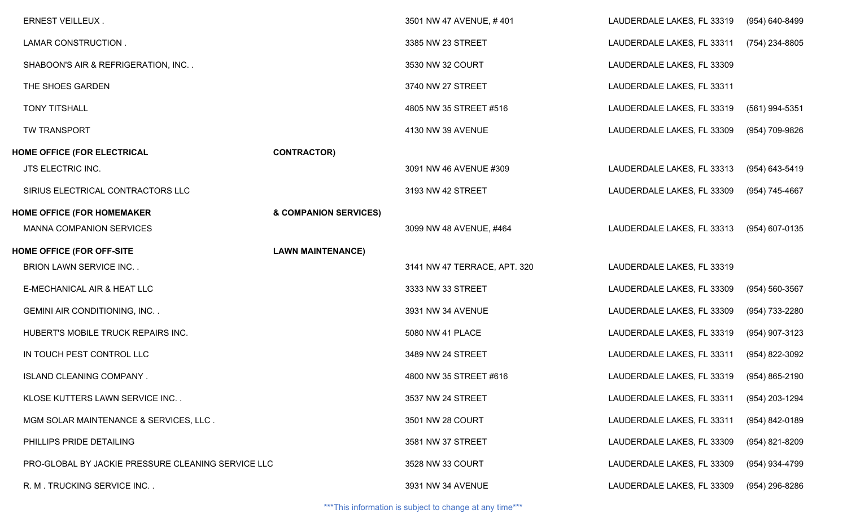| <b>ERNEST VEILLEUX.</b>                            |                          | 3501 NW 47 AVENUE, #401      | LAUDERDALE LAKES, FL 33319 | (954) 640-8499     |
|----------------------------------------------------|--------------------------|------------------------------|----------------------------|--------------------|
| LAMAR CONSTRUCTION.                                |                          | 3385 NW 23 STREET            | LAUDERDALE LAKES, FL 33311 | (754) 234-8805     |
| SHABOON'S AIR & REFRIGERATION, INC                 |                          | 3530 NW 32 COURT             | LAUDERDALE LAKES, FL 33309 |                    |
| THE SHOES GARDEN                                   |                          | 3740 NW 27 STREET            | LAUDERDALE LAKES, FL 33311 |                    |
| <b>TONY TITSHALL</b>                               |                          | 4805 NW 35 STREET #516       | LAUDERDALE LAKES, FL 33319 | (561) 994-5351     |
| TW TRANSPORT                                       |                          | 4130 NW 39 AVENUE            | LAUDERDALE LAKES, FL 33309 | (954) 709-9826     |
| HOME OFFICE (FOR ELECTRICAL                        | <b>CONTRACTOR)</b>       |                              |                            |                    |
| JTS ELECTRIC INC.                                  |                          | 3091 NW 46 AVENUE #309       | LAUDERDALE LAKES, FL 33313 | (954) 643-5419     |
| SIRIUS ELECTRICAL CONTRACTORS LLC                  |                          | 3193 NW 42 STREET            | LAUDERDALE LAKES, FL 33309 | (954) 745-4667     |
| <b>HOME OFFICE (FOR HOMEMAKER</b>                  | & COMPANION SERVICES)    |                              |                            |                    |
| <b>MANNA COMPANION SERVICES</b>                    |                          | 3099 NW 48 AVENUE, #464      | LAUDERDALE LAKES, FL 33313 | (954) 607-0135     |
| <b>HOME OFFICE (FOR OFF-SITE</b>                   | <b>LAWN MAINTENANCE)</b> |                              |                            |                    |
| <b>BRION LAWN SERVICE INC</b>                      |                          | 3141 NW 47 TERRACE, APT. 320 | LAUDERDALE LAKES, FL 33319 |                    |
| E-MECHANICAL AIR & HEAT LLC                        |                          | 3333 NW 33 STREET            | LAUDERDALE LAKES, FL 33309 | $(954) 560 - 3567$ |
| <b>GEMINI AIR CONDITIONING, INC</b>                |                          | 3931 NW 34 AVENUE            | LAUDERDALE LAKES, FL 33309 | (954) 733-2280     |
| HUBERT'S MOBILE TRUCK REPAIRS INC.                 |                          | 5080 NW 41 PLACE             | LAUDERDALE LAKES, FL 33319 | (954) 907-3123     |
| IN TOUCH PEST CONTROL LLC                          |                          | 3489 NW 24 STREET            | LAUDERDALE LAKES, FL 33311 | (954) 822-3092     |
| ISLAND CLEANING COMPANY.                           |                          | 4800 NW 35 STREET #616       | LAUDERDALE LAKES, FL 33319 | (954) 865-2190     |
| KLOSE KUTTERS LAWN SERVICE INC                     |                          | 3537 NW 24 STREET            | LAUDERDALE LAKES, FL 33311 | (954) 203-1294     |
| MGM SOLAR MAINTENANCE & SERVICES, LLC.             |                          | 3501 NW 28 COURT             | LAUDERDALE LAKES, FL 33311 | (954) 842-0189     |
| PHILLIPS PRIDE DETAILING                           |                          | 3581 NW 37 STREET            | LAUDERDALE LAKES, FL 33309 | (954) 821-8209     |
| PRO-GLOBAL BY JACKIE PRESSURE CLEANING SERVICE LLC |                          | 3528 NW 33 COURT             | LAUDERDALE LAKES, FL 33309 | (954) 934-4799     |
| R. M. TRUCKING SERVICE INC                         |                          | 3931 NW 34 AVENUE            | LAUDERDALE LAKES, FL 33309 | (954) 296-8286     |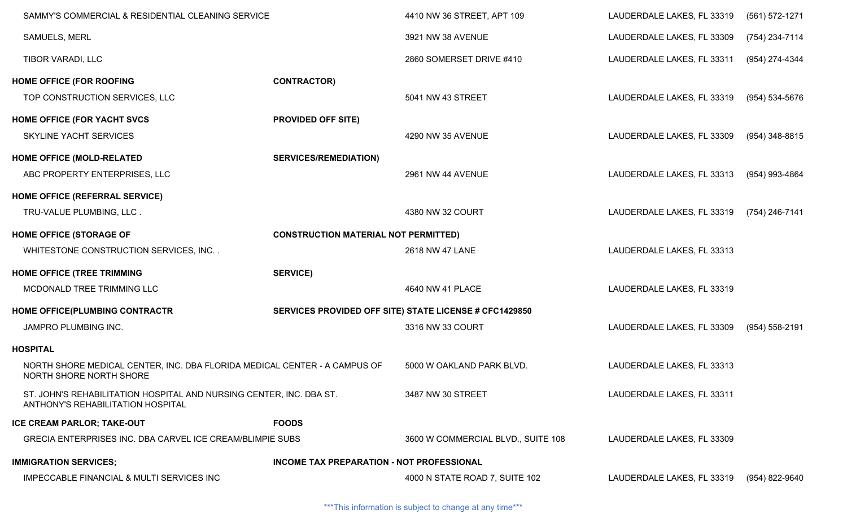| SAMMY'S COMMERCIAL & RESIDENTIAL CLEANING SERVICE                                                        |                                             | 4410 NW 36 STREET, APT 109                             | LAUDERDALE LAKES, FL 33319 | (561) 572-1271 |
|----------------------------------------------------------------------------------------------------------|---------------------------------------------|--------------------------------------------------------|----------------------------|----------------|
| SAMUELS, MERL                                                                                            |                                             | 3921 NW 38 AVENUE                                      | LAUDERDALE LAKES, FL 33309 | (754) 234-7114 |
| TIBOR VARADI, LLC                                                                                        |                                             | 2860 SOMERSET DRIVE #410                               | LAUDERDALE LAKES, FL 33311 | (954) 274-4344 |
| <b>HOME OFFICE (FOR ROOFING</b>                                                                          | <b>CONTRACTOR)</b>                          |                                                        |                            |                |
| TOP CONSTRUCTION SERVICES, LLC                                                                           |                                             | 5041 NW 43 STREET                                      | LAUDERDALE LAKES, FL 33319 | (954) 534-5676 |
| HOME OFFICE (FOR YACHT SVCS                                                                              | <b>PROVIDED OFF SITE)</b>                   |                                                        |                            |                |
| SKYLINE YACHT SERVICES                                                                                   |                                             | 4290 NW 35 AVENUE                                      | LAUDERDALE LAKES, FL 33309 | (954) 348-8815 |
| <b>HOME OFFICE (MOLD-RELATED</b>                                                                         | <b>SERVICES/REMEDIATION)</b>                |                                                        |                            |                |
| ABC PROPERTY ENTERPRISES, LLC                                                                            |                                             | 2961 NW 44 AVENUE                                      | LAUDERDALE LAKES, FL 33313 | (954) 993-4864 |
| HOME OFFICE (REFERRAL SERVICE)                                                                           |                                             |                                                        |                            |                |
| TRU-VALUE PLUMBING, LLC.                                                                                 |                                             | 4380 NW 32 COURT                                       | LAUDERDALE LAKES, FL 33319 | (754) 246-7141 |
| <b>HOME OFFICE (STORAGE OF</b>                                                                           | <b>CONSTRUCTION MATERIAL NOT PERMITTED)</b> |                                                        |                            |                |
| WHITESTONE CONSTRUCTION SERVICES, INC                                                                    |                                             | 2618 NW 47 LANE                                        | LAUDERDALE LAKES, FL 33313 |                |
| HOME OFFICE (TREE TRIMMING                                                                               | <b>SERVICE)</b>                             |                                                        |                            |                |
| MCDONALD TREE TRIMMING LLC                                                                               |                                             | 4640 NW 41 PLACE                                       | LAUDERDALE LAKES, FL 33319 |                |
| HOME OFFICE(PLUMBING CONTRACTR                                                                           |                                             | SERVICES PROVIDED OFF SITE) STATE LICENSE # CFC1429850 |                            |                |
| JAMPRO PLUMBING INC.                                                                                     |                                             | 3316 NW 33 COURT                                       | LAUDERDALE LAKES, FL 33309 | (954) 558-2191 |
| <b>HOSPITAL</b>                                                                                          |                                             |                                                        |                            |                |
| NORTH SHORE MEDICAL CENTER, INC. DBA FLORIDA MEDICAL CENTER - A CAMPUS OF<br>NORTH SHORE NORTH SHORE     |                                             | 5000 W OAKLAND PARK BLVD.                              | LAUDERDALE LAKES, FL 33313 |                |
| ST. JOHN'S REHABILITATION HOSPITAL AND NURSING CENTER, INC. DBA ST.<br>ANTHONY'S REHABILITATION HOSPITAL |                                             | 3487 NW 30 STREET                                      | LAUDERDALE LAKES, FL 33311 |                |
| <b>ICE CREAM PARLOR; TAKE-OUT</b>                                                                        | <b>FOODS</b>                                |                                                        |                            |                |
| GRECIA ENTERPRISES INC. DBA CARVEL ICE CREAM/BLIMPIE SUBS                                                |                                             | 3600 W COMMERCIAL BLVD., SUITE 108                     | LAUDERDALE LAKES, FL 33309 |                |
| <b>IMMIGRATION SERVICES;</b>                                                                             | INCOME TAX PREPARATION - NOT PROFESSIONAL   |                                                        |                            |                |
| <b>IMPECCABLE FINANCIAL &amp; MULTI SERVICES INC</b>                                                     |                                             | 4000 N STATE ROAD 7, SUITE 102                         | LAUDERDALE LAKES, FL 33319 | (954) 822-9640 |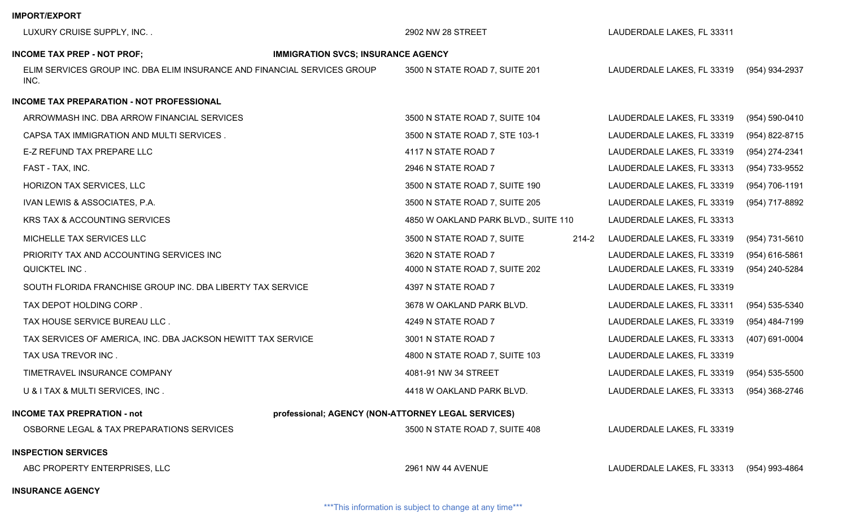| LUXURY CRUISE SUPPLY, INC                                                        |                                                    | 2902 NW 28 STREET                    |           | LAUDERDALE LAKES, FL 33311 |                    |
|----------------------------------------------------------------------------------|----------------------------------------------------|--------------------------------------|-----------|----------------------------|--------------------|
|                                                                                  |                                                    |                                      |           |                            |                    |
| <b>INCOME TAX PREP - NOT PROF;</b>                                               | <b>IMMIGRATION SVCS; INSURANCE AGENCY</b>          |                                      |           |                            |                    |
| ELIM SERVICES GROUP INC. DBA ELIM INSURANCE AND FINANCIAL SERVICES GROUP<br>INC. |                                                    | 3500 N STATE ROAD 7, SUITE 201       |           | LAUDERDALE LAKES, FL 33319 | (954) 934-2937     |
| INCOME TAX PREPARATION - NOT PROFESSIONAL                                        |                                                    |                                      |           |                            |                    |
| ARROWMASH INC. DBA ARROW FINANCIAL SERVICES                                      |                                                    | 3500 N STATE ROAD 7, SUITE 104       |           | LAUDERDALE LAKES, FL 33319 | $(954) 590 - 0410$ |
| CAPSA TAX IMMIGRATION AND MULTI SERVICES.                                        |                                                    | 3500 N STATE ROAD 7, STE 103-1       |           | LAUDERDALE LAKES, FL 33319 | (954) 822-8715     |
| E-Z REFUND TAX PREPARE LLC                                                       |                                                    | 4117 N STATE ROAD 7                  |           | LAUDERDALE LAKES, FL 33319 | (954) 274-2341     |
| FAST - TAX, INC.                                                                 |                                                    | 2946 N STATE ROAD 7                  |           | LAUDERDALE LAKES, FL 33313 | (954) 733-9552     |
| HORIZON TAX SERVICES, LLC                                                        |                                                    | 3500 N STATE ROAD 7, SUITE 190       |           | LAUDERDALE LAKES, FL 33319 | (954) 706-1191     |
| IVAN LEWIS & ASSOCIATES, P.A.                                                    |                                                    | 3500 N STATE ROAD 7, SUITE 205       |           | LAUDERDALE LAKES, FL 33319 | (954) 717-8892     |
| KRS TAX & ACCOUNTING SERVICES                                                    |                                                    | 4850 W OAKLAND PARK BLVD., SUITE 110 |           | LAUDERDALE LAKES, FL 33313 |                    |
| MICHELLE TAX SERVICES LLC                                                        |                                                    | 3500 N STATE ROAD 7, SUITE           | $214 - 2$ | LAUDERDALE LAKES, FL 33319 | (954) 731-5610     |
| PRIORITY TAX AND ACCOUNTING SERVICES INC                                         |                                                    | 3620 N STATE ROAD 7                  |           | LAUDERDALE LAKES, FL 33319 | $(954)$ 616-5861   |
| QUICKTEL INC.                                                                    |                                                    | 4000 N STATE ROAD 7, SUITE 202       |           | LAUDERDALE LAKES, FL 33319 | (954) 240-5284     |
| SOUTH FLORIDA FRANCHISE GROUP INC. DBA LIBERTY TAX SERVICE                       |                                                    | 4397 N STATE ROAD 7                  |           | LAUDERDALE LAKES, FL 33319 |                    |
| TAX DEPOT HOLDING CORP.                                                          |                                                    | 3678 W OAKLAND PARK BLVD.            |           | LAUDERDALE LAKES, FL 33311 | (954) 535-5340     |
| TAX HOUSE SERVICE BUREAU LLC.                                                    |                                                    | 4249 N STATE ROAD 7                  |           | LAUDERDALE LAKES, FL 33319 | (954) 484-7199     |
| TAX SERVICES OF AMERICA, INC. DBA JACKSON HEWITT TAX SERVICE                     |                                                    | 3001 N STATE ROAD 7                  |           | LAUDERDALE LAKES, FL 33313 | (407) 691-0004     |
| TAX USA TREVOR INC.                                                              |                                                    | 4800 N STATE ROAD 7, SUITE 103       |           | LAUDERDALE LAKES, FL 33319 |                    |
| TIMETRAVEL INSURANCE COMPANY                                                     |                                                    | 4081-91 NW 34 STREET                 |           | LAUDERDALE LAKES, FL 33319 | (954) 535-5500     |
| U & I TAX & MULTI SERVICES, INC.                                                 |                                                    | 4418 W OAKLAND PARK BLVD.            |           | LAUDERDALE LAKES, FL 33313 | (954) 368-2746     |
| <b>INCOME TAX PREPRATION - not</b>                                               | professional; AGENCY (NON-ATTORNEY LEGAL SERVICES) |                                      |           |                            |                    |
| OSBORNE LEGAL & TAX PREPARATIONS SERVICES                                        |                                                    | 3500 N STATE ROAD 7, SUITE 408       |           | LAUDERDALE LAKES, FL 33319 |                    |
| <b>INSPECTION SERVICES</b>                                                       |                                                    |                                      |           |                            |                    |
| ABC PROPERTY ENTERPRISES, LLC                                                    |                                                    | <b>2961 NW 44 AVENUE</b>             |           | LAUDERDALE LAKES, FL 33313 | (954) 993-4864     |
| <b>INSURANCE AGENCY</b>                                                          |                                                    |                                      |           |                            |                    |
|                                                                                  |                                                    |                                      |           |                            |                    |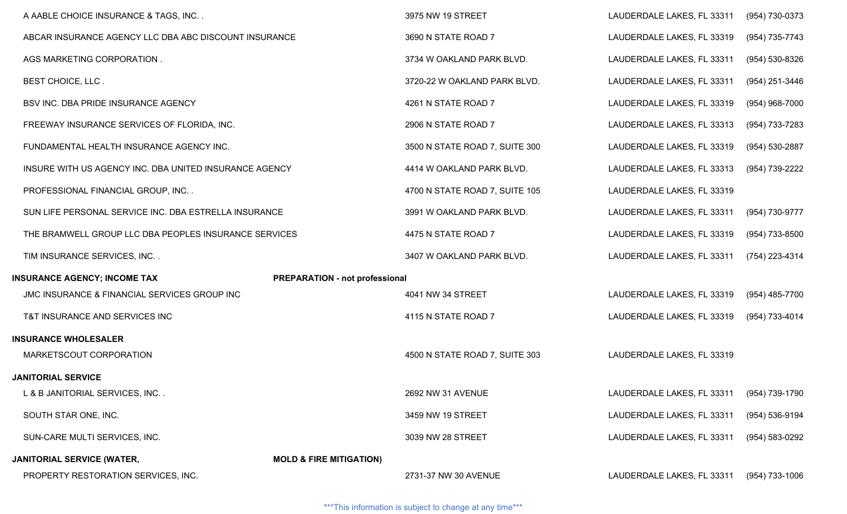| A AABLE CHOICE INSURANCE & TAGS, INC                   |                                       | 3975 NW 19 STREET              | LAUDERDALE LAKES, FL 33311 | (954) 730-0373 |
|--------------------------------------------------------|---------------------------------------|--------------------------------|----------------------------|----------------|
| ABCAR INSURANCE AGENCY LLC DBA ABC DISCOUNT INSURANCE  |                                       | 3690 N STATE ROAD 7            | LAUDERDALE LAKES, FL 33319 | (954) 735-7743 |
| AGS MARKETING CORPORATION.                             |                                       | 3734 W OAKLAND PARK BLVD.      | LAUDERDALE LAKES, FL 33311 | (954) 530-8326 |
| BEST CHOICE, LLC.                                      |                                       | 3720-22 W OAKLAND PARK BLVD.   | LAUDERDALE LAKES, FL 33311 | (954) 251-3446 |
| BSV INC. DBA PRIDE INSURANCE AGENCY                    |                                       | 4261 N STATE ROAD 7            | LAUDERDALE LAKES, FL 33319 | (954) 968-7000 |
| FREEWAY INSURANCE SERVICES OF FLORIDA, INC.            |                                       | 2906 N STATE ROAD 7            | LAUDERDALE LAKES, FL 33313 | (954) 733-7283 |
| FUNDAMENTAL HEALTH INSURANCE AGENCY INC.               |                                       | 3500 N STATE ROAD 7, SUITE 300 | LAUDERDALE LAKES, FL 33319 | (954) 530-2887 |
| INSURE WITH US AGENCY INC. DBA UNITED INSURANCE AGENCY |                                       | 4414 W OAKLAND PARK BLVD.      | LAUDERDALE LAKES, FL 33313 | (954) 739-2222 |
| PROFESSIONAL FINANCIAL GROUP, INC                      |                                       | 4700 N STATE ROAD 7, SUITE 105 | LAUDERDALE LAKES, FL 33319 |                |
| SUN LIFE PERSONAL SERVICE INC. DBA ESTRELLA INSURANCE  |                                       | 3991 W OAKLAND PARK BLVD.      | LAUDERDALE LAKES, FL 33311 | (954) 730-9777 |
| THE BRAMWELL GROUP LLC DBA PEOPLES INSURANCE SERVICES  |                                       | 4475 N STATE ROAD 7            | LAUDERDALE LAKES, FL 33319 | (954) 733-8500 |
| TIM INSURANCE SERVICES, INC                            |                                       | 3407 W OAKLAND PARK BLVD.      | LAUDERDALE LAKES, FL 33311 | (754) 223-4314 |
| <b>INSURANCE AGENCY; INCOME TAX</b>                    | <b>PREPARATION - not professional</b> |                                |                            |                |
| JMC INSURANCE & FINANCIAL SERVICES GROUP INC           |                                       | 4041 NW 34 STREET              | LAUDERDALE LAKES, FL 33319 | (954) 485-7700 |
| T&T INSURANCE AND SERVICES INC                         |                                       | 4115 N STATE ROAD 7            | LAUDERDALE LAKES, FL 33319 | (954) 733-4014 |
| <b>INSURANCE WHOLESALER</b>                            |                                       |                                |                            |                |
| MARKETSCOUT CORPORATION                                |                                       | 4500 N STATE ROAD 7, SUITE 303 | LAUDERDALE LAKES, FL 33319 |                |
| <b>JANITORIAL SERVICE</b>                              |                                       |                                |                            |                |
| L & B JANITORIAL SERVICES, INC                         |                                       | 2692 NW 31 AVENUE              | LAUDERDALE LAKES, FL 33311 | (954) 739-1790 |
| SOUTH STAR ONE, INC.                                   |                                       | 3459 NW 19 STREET              | LAUDERDALE LAKES, FL 33311 | (954) 536-9194 |
| SUN-CARE MULTI SERVICES, INC.                          |                                       | 3039 NW 28 STREET              | LAUDERDALE LAKES, FL 33311 | (954) 583-0292 |
| <b>JANITORIAL SERVICE (WATER,</b>                      | <b>MOLD &amp; FIRE MITIGATION)</b>    |                                |                            |                |
| PROPERTY RESTORATION SERVICES, INC.                    |                                       | 2731-37 NW 30 AVENUE           | LAUDERDALE LAKES, FL 33311 | (954) 733-1006 |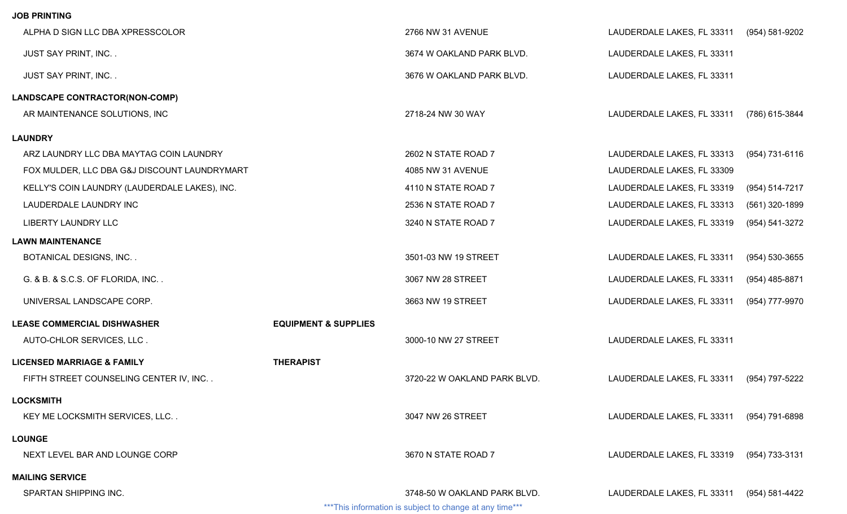## **JOB PRINTING**

| ALPHA D SIGN LLC DBA XPRESSCOLOR              |                                 | 2766 NW 31 AVENUE                                                                        | LAUDERDALE LAKES, FL 33311 | (954) 581-9202     |
|-----------------------------------------------|---------------------------------|------------------------------------------------------------------------------------------|----------------------------|--------------------|
| JUST SAY PRINT, INC                           |                                 | 3674 W OAKLAND PARK BLVD.                                                                | LAUDERDALE LAKES, FL 33311 |                    |
| <b>JUST SAY PRINT, INC</b>                    |                                 | 3676 W OAKLAND PARK BLVD.                                                                | LAUDERDALE LAKES, FL 33311 |                    |
| LANDSCAPE CONTRACTOR(NON-COMP)                |                                 |                                                                                          |                            |                    |
| AR MAINTENANCE SOLUTIONS, INC                 |                                 | 2718-24 NW 30 WAY                                                                        | LAUDERDALE LAKES, FL 33311 | (786) 615-3844     |
| <b>LAUNDRY</b>                                |                                 |                                                                                          |                            |                    |
| ARZ LAUNDRY LLC DBA MAYTAG COIN LAUNDRY       |                                 | 2602 N STATE ROAD 7                                                                      | LAUDERDALE LAKES, FL 33313 | (954) 731-6116     |
| FOX MULDER, LLC DBA G&J DISCOUNT LAUNDRYMART  |                                 | 4085 NW 31 AVENUE                                                                        | LAUDERDALE LAKES, FL 33309 |                    |
| KELLY'S COIN LAUNDRY (LAUDERDALE LAKES), INC. |                                 | 4110 N STATE ROAD 7                                                                      | LAUDERDALE LAKES, FL 33319 | (954) 514-7217     |
| LAUDERDALE LAUNDRY INC                        |                                 | 2536 N STATE ROAD 7                                                                      | LAUDERDALE LAKES, FL 33313 | (561) 320-1899     |
| <b>LIBERTY LAUNDRY LLC</b>                    |                                 | 3240 N STATE ROAD 7                                                                      | LAUDERDALE LAKES, FL 33319 | (954) 541-3272     |
| <b>LAWN MAINTENANCE</b>                       |                                 |                                                                                          |                            |                    |
| <b>BOTANICAL DESIGNS, INC</b>                 |                                 | 3501-03 NW 19 STREET                                                                     | LAUDERDALE LAKES, FL 33311 | $(954) 530 - 3655$ |
| G. & B. & S.C.S. OF FLORIDA, INC              |                                 | 3067 NW 28 STREET                                                                        | LAUDERDALE LAKES, FL 33311 | (954) 485-8871     |
| UNIVERSAL LANDSCAPE CORP.                     |                                 | 3663 NW 19 STREET                                                                        | LAUDERDALE LAKES, FL 33311 | (954) 777-9970     |
| <b>LEASE COMMERCIAL DISHWASHER</b>            | <b>EQUIPMENT &amp; SUPPLIES</b> |                                                                                          |                            |                    |
| AUTO-CHLOR SERVICES, LLC.                     |                                 | 3000-10 NW 27 STREET                                                                     | LAUDERDALE LAKES, FL 33311 |                    |
| <b>LICENSED MARRIAGE &amp; FAMILY</b>         | <b>THERAPIST</b>                |                                                                                          |                            |                    |
| FIFTH STREET COUNSELING CENTER IV, INC        |                                 | 3720-22 W OAKLAND PARK BLVD.                                                             | LAUDERDALE LAKES, FL 33311 | (954) 797-5222     |
| <b>LOCKSMITH</b>                              |                                 |                                                                                          |                            |                    |
| KEY ME LOCKSMITH SERVICES, LLC                |                                 | 3047 NW 26 STREET                                                                        | LAUDERDALE LAKES, FL 33311 | (954) 791-6898     |
| <b>LOUNGE</b>                                 |                                 |                                                                                          |                            |                    |
| NEXT LEVEL BAR AND LOUNGE CORP                |                                 | 3670 N STATE ROAD 7                                                                      | LAUDERDALE LAKES, FL 33319 | (954) 733-3131     |
| <b>MAILING SERVICE</b>                        |                                 |                                                                                          |                            |                    |
| SPARTAN SHIPPING INC.                         |                                 | 3748-50 W OAKLAND PARK BLVD.<br>*** This information is subject to change at any time*** | LAUDERDALE LAKES, FL 33311 | (954) 581-4422     |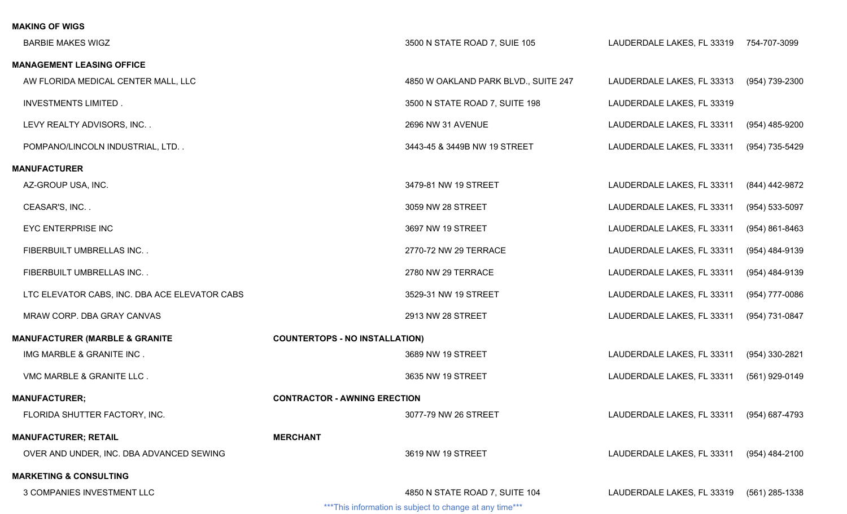| <b>MAKING OF WIGS</b>                         |                                       |                                                          |                            |                    |
|-----------------------------------------------|---------------------------------------|----------------------------------------------------------|----------------------------|--------------------|
| <b>BARBIE MAKES WIGZ</b>                      |                                       | 3500 N STATE ROAD 7, SUIE 105                            | LAUDERDALE LAKES, FL 33319 | 754-707-3099       |
| <b>MANAGEMENT LEASING OFFICE</b>              |                                       |                                                          |                            |                    |
| AW FLORIDA MEDICAL CENTER MALL, LLC           |                                       | 4850 W OAKLAND PARK BLVD., SUITE 247                     | LAUDERDALE LAKES, FL 33313 | (954) 739-2300     |
| <b>INVESTMENTS LIMITED.</b>                   |                                       | 3500 N STATE ROAD 7, SUITE 198                           | LAUDERDALE LAKES, FL 33319 |                    |
| LEVY REALTY ADVISORS, INC                     |                                       | 2696 NW 31 AVENUE                                        | LAUDERDALE LAKES, FL 33311 | (954) 485-9200     |
| POMPANO/LINCOLN INDUSTRIAL, LTD. .            |                                       | 3443-45 & 3449B NW 19 STREET                             | LAUDERDALE LAKES, FL 33311 | (954) 735-5429     |
| <b>MANUFACTURER</b>                           |                                       |                                                          |                            |                    |
| AZ-GROUP USA, INC.                            |                                       | 3479-81 NW 19 STREET                                     | LAUDERDALE LAKES, FL 33311 | (844) 442-9872     |
| CEASAR'S, INC                                 |                                       | 3059 NW 28 STREET                                        | LAUDERDALE LAKES, FL 33311 | (954) 533-5097     |
| <b>EYC ENTERPRISE INC</b>                     |                                       | 3697 NW 19 STREET                                        | LAUDERDALE LAKES, FL 33311 | $(954) 861 - 8463$ |
| FIBERBUILT UMBRELLAS INC                      |                                       | 2770-72 NW 29 TERRACE                                    | LAUDERDALE LAKES, FL 33311 | (954) 484-9139     |
| FIBERBUILT UMBRELLAS INC                      |                                       | 2780 NW 29 TERRACE                                       | LAUDERDALE LAKES, FL 33311 | (954) 484-9139     |
| LTC ELEVATOR CABS, INC. DBA ACE ELEVATOR CABS |                                       | 3529-31 NW 19 STREET                                     | LAUDERDALE LAKES, FL 33311 | (954) 777-0086     |
| MRAW CORP. DBA GRAY CANVAS                    |                                       | 2913 NW 28 STREET                                        | LAUDERDALE LAKES, FL 33311 | (954) 731-0847     |
| <b>MANUFACTURER (MARBLE &amp; GRANITE</b>     | <b>COUNTERTOPS - NO INSTALLATION)</b> |                                                          |                            |                    |
| IMG MARBLE & GRANITE INC.                     |                                       | 3689 NW 19 STREET                                        | LAUDERDALE LAKES, FL 33311 | (954) 330-2821     |
| VMC MARBLE & GRANITE LLC.                     |                                       | 3635 NW 19 STREET                                        | LAUDERDALE LAKES, FL 33311 | (561) 929-0149     |
| <b>MANUFACTURER;</b>                          | <b>CONTRACTOR - AWNING ERECTION</b>   |                                                          |                            |                    |
| FLORIDA SHUTTER FACTORY, INC.                 |                                       | 3077-79 NW 26 STREET                                     | LAUDERDALE LAKES, FL 33311 | (954) 687-4793     |
| <b>MANUFACTURER; RETAIL</b>                   | <b>MERCHANT</b>                       |                                                          |                            |                    |
| OVER AND UNDER, INC. DBA ADVANCED SEWING      |                                       | 3619 NW 19 STREET                                        | LAUDERDALE LAKES, FL 33311 | (954) 484-2100     |
| <b>MARKETING &amp; CONSULTING</b>             |                                       |                                                          |                            |                    |
| 3 COMPANIES INVESTMENT LLC                    |                                       | 4850 N STATE ROAD 7, SUITE 104                           | LAUDERDALE LAKES, FL 33319 | (561) 285-1338     |
|                                               |                                       | *** This information is subject to change at any time*** |                            |                    |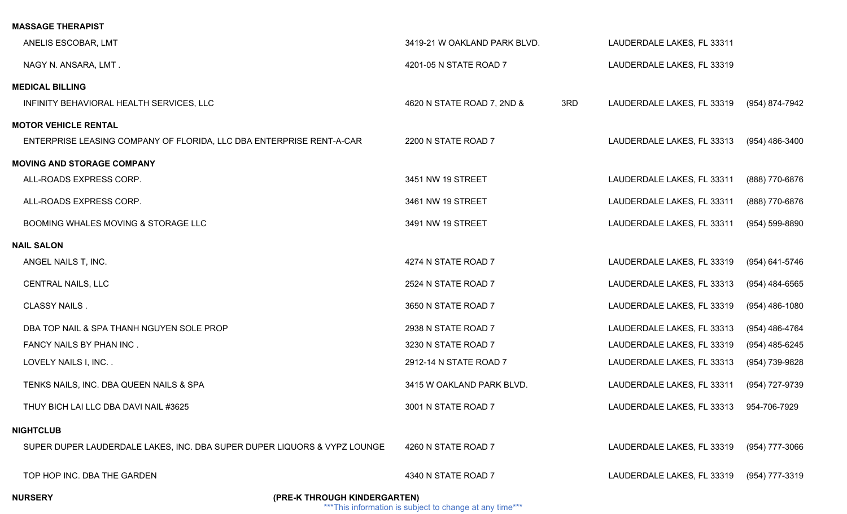| <b>MASSAGE THERAPIST</b>                                                 |                                   |                                         |                  |
|--------------------------------------------------------------------------|-----------------------------------|-----------------------------------------|------------------|
| ANELIS ESCOBAR, LMT                                                      | 3419-21 W OAKLAND PARK BLVD.      | LAUDERDALE LAKES, FL 33311              |                  |
| NAGY N. ANSARA, LMT.                                                     | 4201-05 N STATE ROAD 7            | LAUDERDALE LAKES, FL 33319              |                  |
| <b>MEDICAL BILLING</b>                                                   |                                   |                                         |                  |
| INFINITY BEHAVIORAL HEALTH SERVICES, LLC                                 | 3RD<br>4620 N STATE ROAD 7, 2ND & | LAUDERDALE LAKES, FL 33319              | (954) 874-7942   |
| <b>MOTOR VEHICLE RENTAL</b>                                              |                                   |                                         |                  |
| ENTERPRISE LEASING COMPANY OF FLORIDA, LLC DBA ENTERPRISE RENT-A-CAR     | 2200 N STATE ROAD 7               | LAUDERDALE LAKES, FL 33313              | (954) 486-3400   |
| <b>MOVING AND STORAGE COMPANY</b>                                        |                                   |                                         |                  |
| ALL-ROADS EXPRESS CORP.                                                  | 3451 NW 19 STREET                 | LAUDERDALE LAKES, FL 33311              | (888) 770-6876   |
| ALL-ROADS EXPRESS CORP.                                                  | 3461 NW 19 STREET                 | LAUDERDALE LAKES, FL 33311              | (888) 770-6876   |
| BOOMING WHALES MOVING & STORAGE LLC                                      | 3491 NW 19 STREET                 | LAUDERDALE LAKES, FL 33311              | (954) 599-8890   |
| <b>NAIL SALON</b>                                                        |                                   |                                         |                  |
| ANGEL NAILS T, INC.                                                      | 4274 N STATE ROAD 7               | LAUDERDALE LAKES, FL 33319              | (954) 641-5746   |
| <b>CENTRAL NAILS, LLC</b>                                                | 2524 N STATE ROAD 7               | LAUDERDALE LAKES, FL 33313              | $(954)$ 484-6565 |
| <b>CLASSY NAILS.</b>                                                     | 3650 N STATE ROAD 7               | LAUDERDALE LAKES, FL 33319              | $(954)$ 486-1080 |
| DBA TOP NAIL & SPA THANH NGUYEN SOLE PROP                                | 2938 N STATE ROAD 7               | LAUDERDALE LAKES, FL 33313              | (954) 486-4764   |
| FANCY NAILS BY PHAN INC.                                                 | 3230 N STATE ROAD 7               | LAUDERDALE LAKES, FL 33319              | $(954)$ 485-6245 |
| LOVELY NAILS I, INC. .                                                   | 2912-14 N STATE ROAD 7            | LAUDERDALE LAKES, FL 33313              | (954) 739-9828   |
| TENKS NAILS, INC. DBA QUEEN NAILS & SPA                                  | 3415 W OAKLAND PARK BLVD.         | LAUDERDALE LAKES, FL 33311              | (954) 727-9739   |
| THUY BICH LAI LLC DBA DAVI NAIL #3625                                    | 3001 N STATE ROAD 7               | LAUDERDALE LAKES, FL 33313 954-706-7929 |                  |
| <b>NIGHTCLUB</b>                                                         |                                   |                                         |                  |
| SUPER DUPER LAUDERDALE LAKES, INC. DBA SUPER DUPER LIQUORS & VYPZ LOUNGE | 4260 N STATE ROAD 7               | LAUDERDALE LAKES, FL 33319              | (954) 777-3066   |
| TOP HOP INC. DBA THE GARDEN                                              | 4340 N STATE ROAD 7               | LAUDERDALE LAKES, FL 33319              | (954) 777-3319   |

**NURSERY (PRE-K THROUGH KINDERGARTEN)**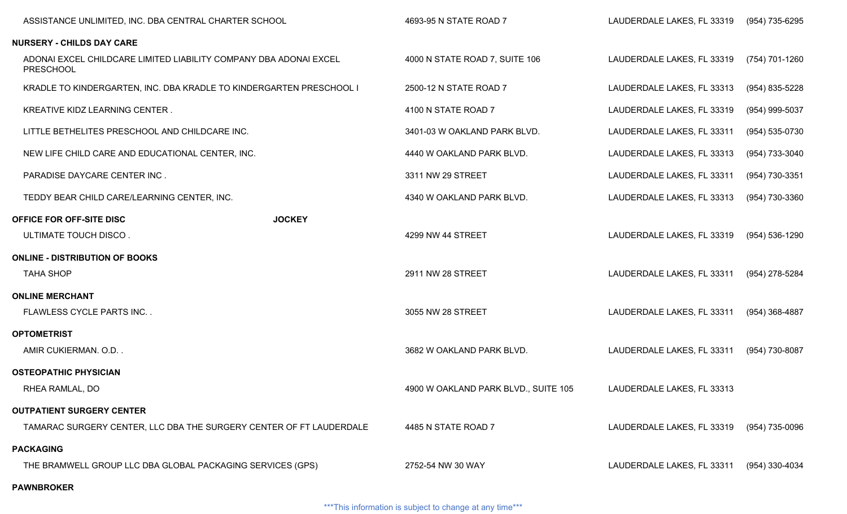| ASSISTANCE UNLIMITED, INC. DBA CENTRAL CHARTER SCHOOL                                 |               | 4693-95 N STATE ROAD 7               | LAUDERDALE LAKES, FL 33319 | (954) 735-6295 |
|---------------------------------------------------------------------------------------|---------------|--------------------------------------|----------------------------|----------------|
| <b>NURSERY - CHILDS DAY CARE</b>                                                      |               |                                      |                            |                |
| ADONAI EXCEL CHILDCARE LIMITED LIABILITY COMPANY DBA ADONAI EXCEL<br><b>PRESCHOOL</b> |               | 4000 N STATE ROAD 7, SUITE 106       | LAUDERDALE LAKES, FL 33319 | (754) 701-1260 |
| KRADLE TO KINDERGARTEN, INC. DBA KRADLE TO KINDERGARTEN PRESCHOOL I                   |               | 2500-12 N STATE ROAD 7               | LAUDERDALE LAKES, FL 33313 | (954) 835-5228 |
| KREATIVE KIDZ LEARNING CENTER.                                                        |               | 4100 N STATE ROAD 7                  | LAUDERDALE LAKES, FL 33319 | (954) 999-5037 |
| LITTLE BETHELITES PRESCHOOL AND CHILDCARE INC.                                        |               | 3401-03 W OAKLAND PARK BLVD.         | LAUDERDALE LAKES, FL 33311 | (954) 535-0730 |
| NEW LIFE CHILD CARE AND EDUCATIONAL CENTER, INC.                                      |               | 4440 W OAKLAND PARK BLVD.            | LAUDERDALE LAKES, FL 33313 | (954) 733-3040 |
| PARADISE DAYCARE CENTER INC.                                                          |               | 3311 NW 29 STREET                    | LAUDERDALE LAKES, FL 33311 | (954) 730-3351 |
| TEDDY BEAR CHILD CARE/LEARNING CENTER, INC.                                           |               | 4340 W OAKLAND PARK BLVD.            | LAUDERDALE LAKES, FL 33313 | (954) 730-3360 |
| OFFICE FOR OFF-SITE DISC                                                              | <b>JOCKEY</b> |                                      |                            |                |
| ULTIMATE TOUCH DISCO.                                                                 |               | 4299 NW 44 STREET                    | LAUDERDALE LAKES, FL 33319 | (954) 536-1290 |
| <b>ONLINE - DISTRIBUTION OF BOOKS</b>                                                 |               |                                      |                            |                |
| <b>TAHA SHOP</b>                                                                      |               | 2911 NW 28 STREET                    | LAUDERDALE LAKES, FL 33311 | (954) 278-5284 |
| <b>ONLINE MERCHANT</b>                                                                |               |                                      |                            |                |
| FLAWLESS CYCLE PARTS INC                                                              |               | 3055 NW 28 STREET                    | LAUDERDALE LAKES, FL 33311 | (954) 368-4887 |
| <b>OPTOMETRIST</b>                                                                    |               |                                      |                            |                |
| AMIR CUKIERMAN. O.D                                                                   |               | 3682 W OAKLAND PARK BLVD.            | LAUDERDALE LAKES, FL 33311 | (954) 730-8087 |
| <b>OSTEOPATHIC PHYSICIAN</b>                                                          |               |                                      |                            |                |
| RHEA RAMLAL, DO                                                                       |               | 4900 W OAKLAND PARK BLVD., SUITE 105 | LAUDERDALE LAKES, FL 33313 |                |
| <b>OUTPATIENT SURGERY CENTER</b>                                                      |               |                                      |                            |                |
| TAMARAC SURGERY CENTER, LLC DBA THE SURGERY CENTER OF FT LAUDERDALE                   |               | 4485 N STATE ROAD 7                  | LAUDERDALE LAKES, FL 33319 | (954) 735-0096 |
| <b>PACKAGING</b>                                                                      |               |                                      |                            |                |
| THE BRAMWELL GROUP LLC DBA GLOBAL PACKAGING SERVICES (GPS)                            |               | 2752-54 NW 30 WAY                    | LAUDERDALE LAKES, FL 33311 | (954) 330-4034 |
| <b>PAWNBROKER</b>                                                                     |               |                                      |                            |                |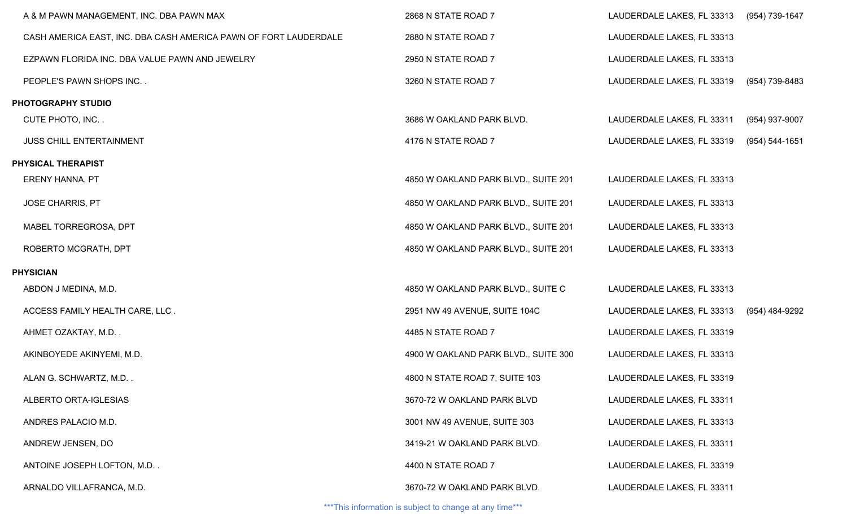| A & M PAWN MANAGEMENT, INC. DBA PAWN MAX                         | 2868 N STATE ROAD 7                  | LAUDERDALE LAKES, FL 33313 (954) 739-1647 |                |
|------------------------------------------------------------------|--------------------------------------|-------------------------------------------|----------------|
| CASH AMERICA EAST, INC. DBA CASH AMERICA PAWN OF FORT LAUDERDALE | 2880 N STATE ROAD 7                  | LAUDERDALE LAKES, FL 33313                |                |
| EZPAWN FLORIDA INC. DBA VALUE PAWN AND JEWELRY                   | 2950 N STATE ROAD 7                  | LAUDERDALE LAKES, FL 33313                |                |
| PEOPLE'S PAWN SHOPS INC                                          | 3260 N STATE ROAD 7                  | LAUDERDALE LAKES, FL 33319                | (954) 739-8483 |
| PHOTOGRAPHY STUDIO                                               |                                      |                                           |                |
| CUTE PHOTO, INC                                                  | 3686 W OAKLAND PARK BLVD.            | LAUDERDALE LAKES, FL 33311                | (954) 937-9007 |
| <b>JUSS CHILL ENTERTAINMENT</b>                                  | 4176 N STATE ROAD 7                  | LAUDERDALE LAKES, FL 33319                | (954) 544-1651 |
| PHYSICAL THERAPIST                                               |                                      |                                           |                |
| ERENY HANNA, PT                                                  | 4850 W OAKLAND PARK BLVD., SUITE 201 | LAUDERDALE LAKES, FL 33313                |                |
| <b>JOSE CHARRIS, PT</b>                                          | 4850 W OAKLAND PARK BLVD., SUITE 201 | LAUDERDALE LAKES, FL 33313                |                |
| MABEL TORREGROSA, DPT                                            | 4850 W OAKLAND PARK BLVD., SUITE 201 | LAUDERDALE LAKES, FL 33313                |                |
| ROBERTO MCGRATH, DPT                                             | 4850 W OAKLAND PARK BLVD., SUITE 201 | LAUDERDALE LAKES, FL 33313                |                |
| PHYSICIAN                                                        |                                      |                                           |                |
| ABDON J MEDINA, M.D.                                             | 4850 W OAKLAND PARK BLVD., SUITE C   | LAUDERDALE LAKES, FL 33313                |                |
| ACCESS FAMILY HEALTH CARE, LLC.                                  | 2951 NW 49 AVENUE, SUITE 104C        | LAUDERDALE LAKES, FL 33313                | (954) 484-9292 |
| AHMET OZAKTAY, M.D                                               | 4485 N STATE ROAD 7                  | LAUDERDALE LAKES, FL 33319                |                |
| AKINBOYEDE AKINYEMI, M.D.                                        | 4900 W OAKLAND PARK BLVD., SUITE 300 | LAUDERDALE LAKES, FL 33313                |                |
| ALAN G. SCHWARTZ, M.D                                            | 4800 N STATE ROAD 7, SUITE 103       | LAUDERDALE LAKES, FL 33319                |                |
| ALBERTO ORTA-IGLESIAS                                            | 3670-72 W OAKLAND PARK BLVD          | LAUDERDALE LAKES, FL 33311                |                |
| ANDRES PALACIO M.D.                                              | 3001 NW 49 AVENUE, SUITE 303         | LAUDERDALE LAKES, FL 33313                |                |
| ANDREW JENSEN, DO                                                | 3419-21 W OAKLAND PARK BLVD.         | LAUDERDALE LAKES, FL 33311                |                |
| ANTOINE JOSEPH LOFTON, M.D                                       | 4400 N STATE ROAD 7                  | LAUDERDALE LAKES, FL 33319                |                |
| ARNALDO VILLAFRANCA, M.D.                                        | 3670-72 W OAKLAND PARK BLVD.         | LAUDERDALE LAKES, FL 33311                |                |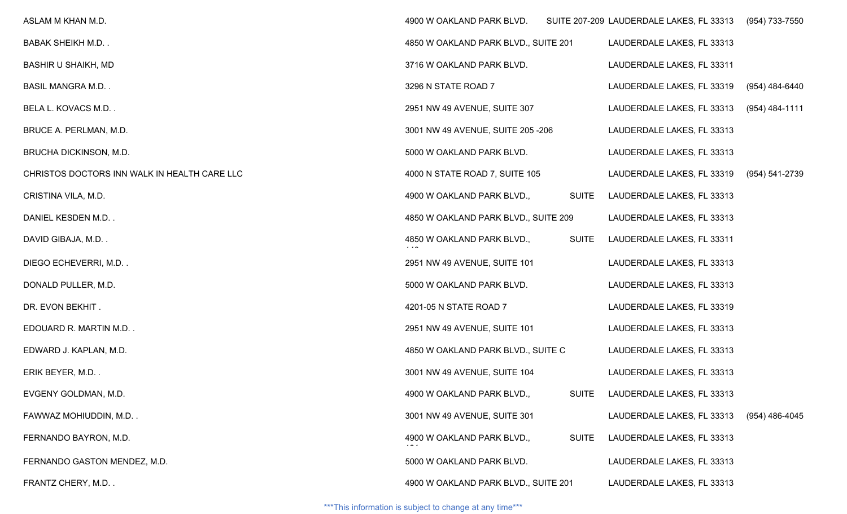| ASLAM M KHAN M.D.                            | 4900 W OAKLAND PARK BLVD.            |              | SUITE 207-209 LAUDERDALE LAKES, FL 33313 (954) 733-7550 |                  |
|----------------------------------------------|--------------------------------------|--------------|---------------------------------------------------------|------------------|
| <b>BABAK SHEIKH M.D</b>                      | 4850 W OAKLAND PARK BLVD., SUITE 201 |              | LAUDERDALE LAKES, FL 33313                              |                  |
| <b>BASHIR U SHAIKH, MD</b>                   | 3716 W OAKLAND PARK BLVD.            |              | LAUDERDALE LAKES, FL 33311                              |                  |
| <b>BASIL MANGRA M.D</b>                      | 3296 N STATE ROAD 7                  |              | LAUDERDALE LAKES, FL 33319                              | (954) 484-6440   |
| BELA L. KOVACS M.D                           | 2951 NW 49 AVENUE, SUITE 307         |              | LAUDERDALE LAKES, FL 33313                              | (954) 484-1111   |
| BRUCE A. PERLMAN, M.D.                       | 3001 NW 49 AVENUE, SUITE 205-206     |              | LAUDERDALE LAKES, FL 33313                              |                  |
| BRUCHA DICKINSON, M.D.                       | 5000 W OAKLAND PARK BLVD.            |              | LAUDERDALE LAKES, FL 33313                              |                  |
| CHRISTOS DOCTORS INN WALK IN HEALTH CARE LLC | 4000 N STATE ROAD 7, SUITE 105       |              | LAUDERDALE LAKES, FL 33319                              | (954) 541-2739   |
| CRISTINA VILA, M.D.                          | 4900 W OAKLAND PARK BLVD.,           | <b>SUITE</b> | LAUDERDALE LAKES, FL 33313                              |                  |
| DANIEL KESDEN M.D. .                         | 4850 W OAKLAND PARK BLVD., SUITE 209 |              | LAUDERDALE LAKES, FL 33313                              |                  |
| DAVID GIBAJA, M.D                            | 4850 W OAKLAND PARK BLVD.,           | <b>SUITE</b> | LAUDERDALE LAKES, FL 33311                              |                  |
| DIEGO ECHEVERRI, M.D                         | 2951 NW 49 AVENUE, SUITE 101         |              | LAUDERDALE LAKES, FL 33313                              |                  |
| DONALD PULLER, M.D.                          | 5000 W OAKLAND PARK BLVD.            |              | LAUDERDALE LAKES, FL 33313                              |                  |
| DR. EVON BEKHIT.                             | 4201-05 N STATE ROAD 7               |              | LAUDERDALE LAKES, FL 33319                              |                  |
| EDOUARD R. MARTIN M.D                        | 2951 NW 49 AVENUE, SUITE 101         |              | LAUDERDALE LAKES, FL 33313                              |                  |
| EDWARD J. KAPLAN, M.D.                       | 4850 W OAKLAND PARK BLVD., SUITE C   |              | LAUDERDALE LAKES, FL 33313                              |                  |
| ERIK BEYER, M.D                              | 3001 NW 49 AVENUE, SUITE 104         |              | LAUDERDALE LAKES, FL 33313                              |                  |
| EVGENY GOLDMAN, M.D.                         | 4900 W OAKLAND PARK BLVD.,           | <b>SUITE</b> | LAUDERDALE LAKES, FL 33313                              |                  |
| FAWWAZ MOHIUDDIN, M.D                        | 3001 NW 49 AVENUE, SUITE 301         |              | LAUDERDALE LAKES, FL 33313                              | $(954)$ 486-4045 |
| FERNANDO BAYRON, M.D.                        | 4900 W OAKLAND PARK BLVD.,           | <b>SUITE</b> | LAUDERDALE LAKES, FL 33313                              |                  |
| FERNANDO GASTON MENDEZ, M.D.                 | 5000 W OAKLAND PARK BLVD.            |              | LAUDERDALE LAKES, FL 33313                              |                  |
| FRANTZ CHERY, M.D                            | 4900 W OAKLAND PARK BLVD., SUITE 201 |              | LAUDERDALE LAKES, FL 33313                              |                  |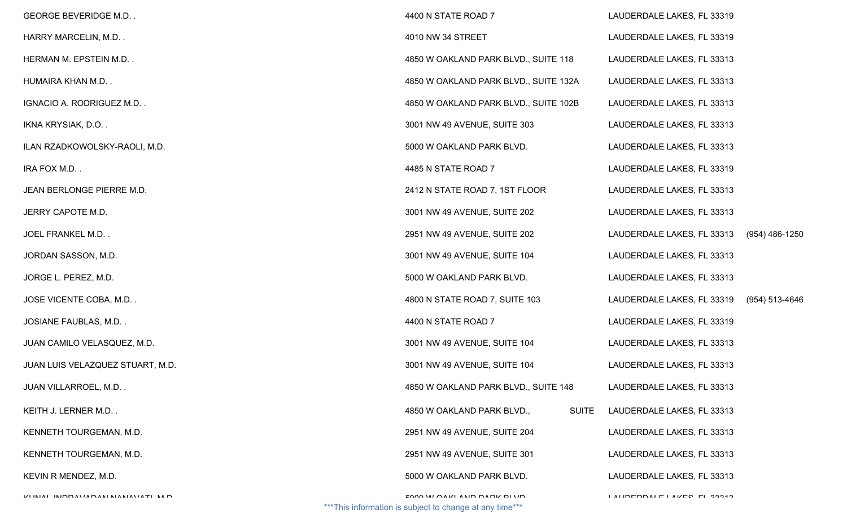| <b>GEORGE BEVERIDGE M.D</b>              | 4400 N STATE ROAD 7                                                                    | LAUDERDALE LAKES, FL 33319     |                |
|------------------------------------------|----------------------------------------------------------------------------------------|--------------------------------|----------------|
| HARRY MARCELIN, M.D                      | 4010 NW 34 STREET                                                                      | LAUDERDALE LAKES, FL 33319     |                |
| HERMAN M. EPSTEIN M.D                    | 4850 W OAKLAND PARK BLVD., SUITE 118                                                   | LAUDERDALE LAKES, FL 33313     |                |
| HUMAIRA KHAN M.D                         | 4850 W OAKLAND PARK BLVD., SUITE 132A                                                  | LAUDERDALE LAKES, FL 33313     |                |
| IGNACIO A. RODRIGUEZ M.D                 | 4850 W OAKLAND PARK BLVD., SUITE 102B                                                  | LAUDERDALE LAKES, FL 33313     |                |
| IKNA KRYSIAK, D.O                        | 3001 NW 49 AVENUE, SUITE 303                                                           | LAUDERDALE LAKES, FL 33313     |                |
| ILAN RZADKOWOLSKY-RAOLI, M.D.            | 5000 W OAKLAND PARK BLVD.                                                              | LAUDERDALE LAKES, FL 33313     |                |
| IRA FOX M.D                              | 4485 N STATE ROAD 7                                                                    | LAUDERDALE LAKES, FL 33319     |                |
| JEAN BERLONGE PIERRE M.D.                | 2412 N STATE ROAD 7, 1ST FLOOR                                                         | LAUDERDALE LAKES, FL 33313     |                |
| JERRY CAPOTE M.D.                        | 3001 NW 49 AVENUE, SUITE 202                                                           | LAUDERDALE LAKES, FL 33313     |                |
| JOEL FRANKEL M.D                         | 2951 NW 49 AVENUE, SUITE 202                                                           | LAUDERDALE LAKES, FL 33313     | (954) 486-1250 |
| JORDAN SASSON, M.D.                      | 3001 NW 49 AVENUE, SUITE 104                                                           | LAUDERDALE LAKES, FL 33313     |                |
| JORGE L. PEREZ, M.D.                     | 5000 W OAKLAND PARK BLVD.                                                              | LAUDERDALE LAKES, FL 33313     |                |
| JOSE VICENTE COBA, M.D                   | 4800 N STATE ROAD 7, SUITE 103                                                         | LAUDERDALE LAKES, FL 33319     | (954) 513-4646 |
| JOSIANE FAUBLAS, M.D                     | 4400 N STATE ROAD 7                                                                    | LAUDERDALE LAKES, FL 33319     |                |
| JUAN CAMILO VELASQUEZ, M.D.              | 3001 NW 49 AVENUE, SUITE 104                                                           | LAUDERDALE LAKES, FL 33313     |                |
| JUAN LUIS VELAZQUEZ STUART, M.D.         | 3001 NW 49 AVENUE, SUITE 104                                                           | LAUDERDALE LAKES, FL 33313     |                |
| JUAN VILLARROEL, M.D                     | 4850 W OAKLAND PARK BLVD., SUITE 148                                                   | LAUDERDALE LAKES, FL 33313     |                |
| KEITH J. LERNER M.D                      | <b>SUITE</b><br>4850 W OAKLAND PARK BLVD.,                                             | LAUDERDALE LAKES, FL 33313     |                |
| KENNETH TOURGEMAN, M.D.                  | 2951 NW 49 AVENUE, SUITE 204                                                           | LAUDERDALE LAKES, FL 33313     |                |
| KENNETH TOURGEMAN, M.D.                  | 2951 NW 49 AVENUE, SUITE 301                                                           | LAUDERDALE LAKES, FL 33313     |                |
| KEVIN R MENDEZ, M.D.                     | 5000 W OAKLAND PARK BLVD.                                                              | LAUDERDALE LAKES, FL 33313     |                |
| IZI INIAI ININDAVIANANI NIANIAVIATI NA N | EMM IN ANKI AND DADK DI VD<br>*** This information is subject to change at any time*** | I ALIDEDDAI E I AIZEC EL 99949 |                |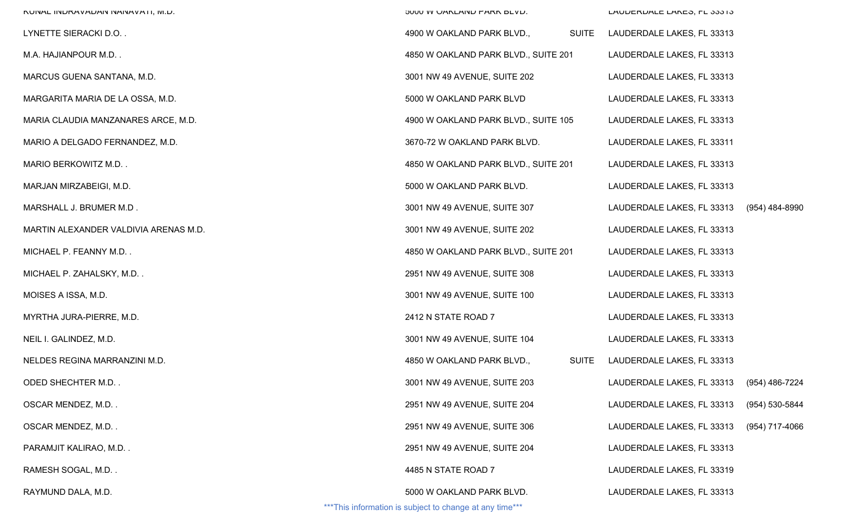| NUNAL INUKAVADAN NANAVATI, M.D.       | JUUU VV UANLAINU MARN DLVU.                | LAUDERDALE LANED, FL 33313                |                |
|---------------------------------------|--------------------------------------------|-------------------------------------------|----------------|
| LYNETTE SIERACKI D.O. .               | 4900 W OAKLAND PARK BLVD.,<br><b>SUITE</b> | LAUDERDALE LAKES, FL 33313                |                |
| M.A. HAJIANPOUR M.D. .                | 4850 W OAKLAND PARK BLVD., SUITE 201       | LAUDERDALE LAKES, FL 33313                |                |
| MARCUS GUENA SANTANA, M.D.            | 3001 NW 49 AVENUE, SUITE 202               | LAUDERDALE LAKES, FL 33313                |                |
| MARGARITA MARIA DE LA OSSA, M.D.      | 5000 W OAKLAND PARK BLVD                   | LAUDERDALE LAKES, FL 33313                |                |
| MARIA CLAUDIA MANZANARES ARCE, M.D.   | 4900 W OAKLAND PARK BLVD., SUITE 105       | LAUDERDALE LAKES, FL 33313                |                |
| MARIO A DELGADO FERNANDEZ, M.D.       | 3670-72 W OAKLAND PARK BLVD.               | LAUDERDALE LAKES, FL 33311                |                |
| MARIO BERKOWITZ M.D. .                | 4850 W OAKLAND PARK BLVD., SUITE 201       | LAUDERDALE LAKES, FL 33313                |                |
| MARJAN MIRZABEIGI, M.D.               | 5000 W OAKLAND PARK BLVD.                  | LAUDERDALE LAKES, FL 33313                |                |
| MARSHALL J. BRUMER M.D .              | 3001 NW 49 AVENUE, SUITE 307               | LAUDERDALE LAKES, FL 33313                | (954) 484-8990 |
| MARTIN ALEXANDER VALDIVIA ARENAS M.D. | 3001 NW 49 AVENUE, SUITE 202               | LAUDERDALE LAKES, FL 33313                |                |
| MICHAEL P. FEANNY M.D. .              | 4850 W OAKLAND PARK BLVD., SUITE 201       | LAUDERDALE LAKES, FL 33313                |                |
| MICHAEL P. ZAHALSKY, M.D. .           | 2951 NW 49 AVENUE, SUITE 308               | LAUDERDALE LAKES, FL 33313                |                |
| MOISES A ISSA, M.D.                   | 3001 NW 49 AVENUE, SUITE 100               | LAUDERDALE LAKES, FL 33313                |                |
| MYRTHA JURA-PIERRE, M.D.              | 2412 N STATE ROAD 7                        | LAUDERDALE LAKES, FL 33313                |                |
| NEIL I. GALINDEZ, M.D.                | 3001 NW 49 AVENUE, SUITE 104               | LAUDERDALE LAKES, FL 33313                |                |
| NELDES REGINA MARRANZINI M.D.         | <b>SUITE</b><br>4850 W OAKLAND PARK BLVD., | LAUDERDALE LAKES, FL 33313                |                |
| ODED SHECHTER M.D. .                  | 3001 NW 49 AVENUE, SUITE 203               | LAUDERDALE LAKES, FL 33313 (954) 486-7224 |                |
| OSCAR MENDEZ, M.D. .                  | 2951 NW 49 AVENUE, SUITE 204               | LAUDERDALE LAKES, FL 33313                | (954) 530-5844 |
| OSCAR MENDEZ, M.D. .                  | 2951 NW 49 AVENUE, SUITE 306               | LAUDERDALE LAKES, FL 33313                | (954) 717-4066 |
| PARAMJIT KALIRAO, M.D. .              | 2951 NW 49 AVENUE, SUITE 204               | LAUDERDALE LAKES, FL 33313                |                |
| RAMESH SOGAL, M.D. .                  | 4485 N STATE ROAD 7                        | LAUDERDALE LAKES, FL 33319                |                |
| RAYMUND DALA, M.D.                    | 5000 W OAKLAND PARK BLVD.                  | LAUDERDALE LAKES, FL 33313                |                |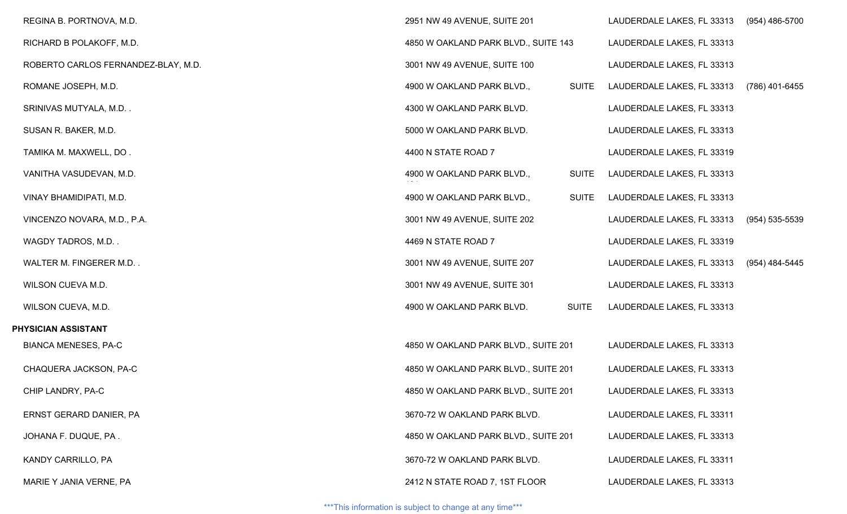| REGINA B. PORTNOVA, M.D.            | 2951 NW 49 AVENUE, SUITE 201         |              | LAUDERDALE LAKES, FL 33313 | (954) 486-5700 |
|-------------------------------------|--------------------------------------|--------------|----------------------------|----------------|
| RICHARD B POLAKOFF, M.D.            | 4850 W OAKLAND PARK BLVD., SUITE 143 |              | LAUDERDALE LAKES, FL 33313 |                |
| ROBERTO CARLOS FERNANDEZ-BLAY, M.D. | 3001 NW 49 AVENUE, SUITE 100         |              | LAUDERDALE LAKES, FL 33313 |                |
| ROMANE JOSEPH, M.D.                 | 4900 W OAKLAND PARK BLVD.,           | <b>SUITE</b> | LAUDERDALE LAKES, FL 33313 | (786) 401-6455 |
| SRINIVAS MUTYALA, M.D               | 4300 W OAKLAND PARK BLVD.            |              | LAUDERDALE LAKES, FL 33313 |                |
| SUSAN R. BAKER, M.D.                | 5000 W OAKLAND PARK BLVD.            |              | LAUDERDALE LAKES, FL 33313 |                |
| TAMIKA M. MAXWELL, DO.              | 4400 N STATE ROAD 7                  |              | LAUDERDALE LAKES, FL 33319 |                |
| VANITHA VASUDEVAN, M.D.             | 4900 W OAKLAND PARK BLVD.,           | <b>SUITE</b> | LAUDERDALE LAKES, FL 33313 |                |
| VINAY BHAMIDIPATI, M.D.             | 4900 W OAKLAND PARK BLVD.,           | <b>SUITE</b> | LAUDERDALE LAKES, FL 33313 |                |
| VINCENZO NOVARA, M.D., P.A.         | 3001 NW 49 AVENUE, SUITE 202         |              | LAUDERDALE LAKES, FL 33313 | (954) 535-5539 |
| WAGDY TADROS, M.D                   | 4469 N STATE ROAD 7                  |              | LAUDERDALE LAKES, FL 33319 |                |
| WALTER M. FINGERER M.D              | 3001 NW 49 AVENUE, SUITE 207         |              | LAUDERDALE LAKES, FL 33313 | (954) 484-5445 |
| WILSON CUEVA M.D.                   | 3001 NW 49 AVENUE, SUITE 301         |              | LAUDERDALE LAKES, FL 33313 |                |
| WILSON CUEVA, M.D.                  | 4900 W OAKLAND PARK BLVD.            | <b>SUITE</b> | LAUDERDALE LAKES, FL 33313 |                |
| PHYSICIAN ASSISTANT                 |                                      |              |                            |                |
| <b>BIANCA MENESES, PA-C</b>         | 4850 W OAKLAND PARK BLVD., SUITE 201 |              | LAUDERDALE LAKES, FL 33313 |                |
| CHAQUERA JACKSON, PA-C              | 4850 W OAKLAND PARK BLVD., SUITE 201 |              | LAUDERDALE LAKES, FL 33313 |                |
| CHIP LANDRY, PA-C                   | 4850 W OAKLAND PARK BLVD., SUITE 201 |              | LAUDERDALE LAKES, FL 33313 |                |
| ERNST GERARD DANIER, PA             | 3670-72 W OAKLAND PARK BLVD.         |              | LAUDERDALE LAKES, FL 33311 |                |
| JOHANA F. DUQUE, PA.                | 4850 W OAKLAND PARK BLVD., SUITE 201 |              | LAUDERDALE LAKES, FL 33313 |                |
| KANDY CARRILLO, PA                  | 3670-72 W OAKLAND PARK BLVD.         |              | LAUDERDALE LAKES, FL 33311 |                |
| MARIE Y JANIA VERNE, PA             | 2412 N STATE ROAD 7, 1ST FLOOR       |              | LAUDERDALE LAKES, FL 33313 |                |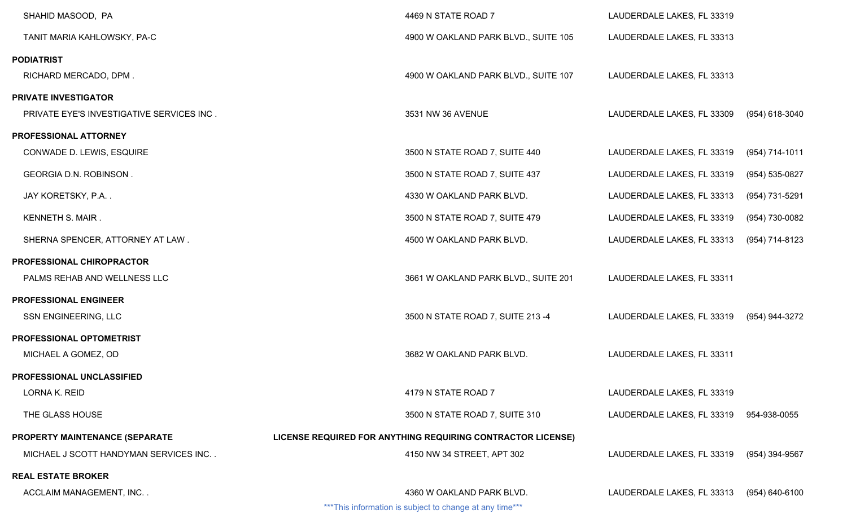| 4469 N STATE ROAD 7                                         | LAUDERDALE LAKES, FL 33319 |                |
|-------------------------------------------------------------|----------------------------|----------------|
| 4900 W OAKLAND PARK BLVD., SUITE 105                        | LAUDERDALE LAKES, FL 33313 |                |
|                                                             |                            |                |
| 4900 W OAKLAND PARK BLVD., SUITE 107                        | LAUDERDALE LAKES, FL 33313 |                |
|                                                             |                            |                |
| 3531 NW 36 AVENUE                                           | LAUDERDALE LAKES, FL 33309 | (954) 618-3040 |
|                                                             |                            |                |
| 3500 N STATE ROAD 7, SUITE 440                              | LAUDERDALE LAKES, FL 33319 | (954) 714-1011 |
| 3500 N STATE ROAD 7, SUITE 437                              | LAUDERDALE LAKES, FL 33319 | (954) 535-0827 |
| 4330 W OAKLAND PARK BLVD.                                   | LAUDERDALE LAKES, FL 33313 | (954) 731-5291 |
| 3500 N STATE ROAD 7, SUITE 479                              | LAUDERDALE LAKES, FL 33319 | (954) 730-0082 |
| 4500 W OAKLAND PARK BLVD.                                   | LAUDERDALE LAKES, FL 33313 | (954) 714-8123 |
|                                                             |                            |                |
| 3661 W OAKLAND PARK BLVD., SUITE 201                        | LAUDERDALE LAKES, FL 33311 |                |
|                                                             |                            |                |
| 3500 N STATE ROAD 7, SUITE 213 -4                           | LAUDERDALE LAKES, FL 33319 | (954) 944-3272 |
|                                                             |                            |                |
| 3682 W OAKLAND PARK BLVD.                                   | LAUDERDALE LAKES, FL 33311 |                |
|                                                             |                            |                |
| 4179 N STATE ROAD 7                                         | LAUDERDALE LAKES, FL 33319 |                |
| 3500 N STATE ROAD 7, SUITE 310                              | LAUDERDALE LAKES, FL 33319 | 954-938-0055   |
| LICENSE REQUIRED FOR ANYTHING REQUIRING CONTRACTOR LICENSE) |                            |                |
| 4150 NW 34 STREET, APT 302                                  | LAUDERDALE LAKES, FL 33319 | (954) 394-9567 |
|                                                             |                            |                |
| 4360 W OAKLAND PARK BLVD.                                   | LAUDERDALE LAKES, FL 33313 | (954) 640-6100 |
|                                                             |                            |                |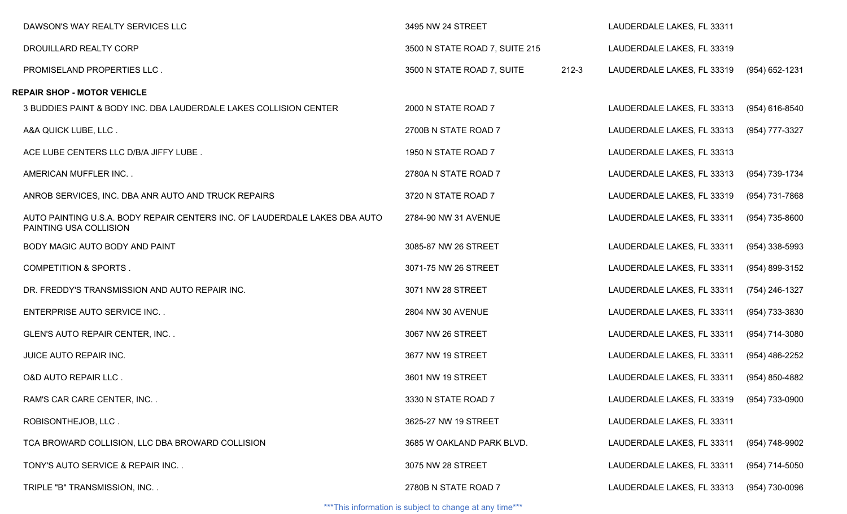| DAWSON'S WAY REALTY SERVICES LLC                                                                     | 3495 NW 24 STREET              |           | LAUDERDALE LAKES, FL 33311 |                  |
|------------------------------------------------------------------------------------------------------|--------------------------------|-----------|----------------------------|------------------|
| DROUILLARD REALTY CORP                                                                               | 3500 N STATE ROAD 7, SUITE 215 |           | LAUDERDALE LAKES, FL 33319 |                  |
| PROMISELAND PROPERTIES LLC.                                                                          | 3500 N STATE ROAD 7, SUITE     | $212 - 3$ | LAUDERDALE LAKES, FL 33319 | (954) 652-1231   |
| <b>REPAIR SHOP - MOTOR VEHICLE</b>                                                                   |                                |           |                            |                  |
| 3 BUDDIES PAINT & BODY INC. DBA LAUDERDALE LAKES COLLISION CENTER                                    | 2000 N STATE ROAD 7            |           | LAUDERDALE LAKES, FL 33313 | (954) 616-8540   |
| A&A QUICK LUBE, LLC.                                                                                 | 2700B N STATE ROAD 7           |           | LAUDERDALE LAKES, FL 33313 | (954) 777-3327   |
| ACE LUBE CENTERS LLC D/B/A JIFFY LUBE.                                                               | 1950 N STATE ROAD 7            |           | LAUDERDALE LAKES, FL 33313 |                  |
| AMERICAN MUFFLER INC. .                                                                              | 2780A N STATE ROAD 7           |           | LAUDERDALE LAKES, FL 33313 | (954) 739-1734   |
| ANROB SERVICES, INC. DBA ANR AUTO AND TRUCK REPAIRS                                                  | 3720 N STATE ROAD 7            |           | LAUDERDALE LAKES, FL 33319 | (954) 731-7868   |
| AUTO PAINTING U.S.A. BODY REPAIR CENTERS INC. OF LAUDERDALE LAKES DBA AUTO<br>PAINTING USA COLLISION | 2784-90 NW 31 AVENUE           |           | LAUDERDALE LAKES, FL 33311 | (954) 735-8600   |
| BODY MAGIC AUTO BODY AND PAINT                                                                       | 3085-87 NW 26 STREET           |           | LAUDERDALE LAKES, FL 33311 | $(954)$ 338-5993 |
| <b>COMPETITION &amp; SPORTS.</b>                                                                     | 3071-75 NW 26 STREET           |           | LAUDERDALE LAKES, FL 33311 | (954) 899-3152   |
| DR. FREDDY'S TRANSMISSION AND AUTO REPAIR INC.                                                       | 3071 NW 28 STREET              |           | LAUDERDALE LAKES, FL 33311 | (754) 246-1327   |
| <b>ENTERPRISE AUTO SERVICE INC</b>                                                                   | 2804 NW 30 AVENUE              |           | LAUDERDALE LAKES, FL 33311 | (954) 733-3830   |
| GLEN'S AUTO REPAIR CENTER, INC                                                                       | 3067 NW 26 STREET              |           | LAUDERDALE LAKES, FL 33311 | (954) 714-3080   |
| JUICE AUTO REPAIR INC.                                                                               | 3677 NW 19 STREET              |           | LAUDERDALE LAKES, FL 33311 | (954) 486-2252   |
| <b>O&amp;D AUTO REPAIR LLC.</b>                                                                      | 3601 NW 19 STREET              |           | LAUDERDALE LAKES, FL 33311 | (954) 850-4882   |
| RAM'S CAR CARE CENTER, INC                                                                           | 3330 N STATE ROAD 7            |           | LAUDERDALE LAKES, FL 33319 | (954) 733-0900   |
| ROBISONTHEJOB, LLC.                                                                                  | 3625-27 NW 19 STREET           |           | LAUDERDALE LAKES, FL 33311 |                  |
| TCA BROWARD COLLISION, LLC DBA BROWARD COLLISION                                                     | 3685 W OAKLAND PARK BLVD.      |           | LAUDERDALE LAKES, FL 33311 | (954) 748-9902   |
| TONY'S AUTO SERVICE & REPAIR INC                                                                     | 3075 NW 28 STREET              |           | LAUDERDALE LAKES, FL 33311 | $(954)$ 714-5050 |
| TRIPLE "B" TRANSMISSION, INC                                                                         | 2780B N STATE ROAD 7           |           | LAUDERDALE LAKES, FL 33313 | (954) 730-0096   |
|                                                                                                      |                                |           |                            |                  |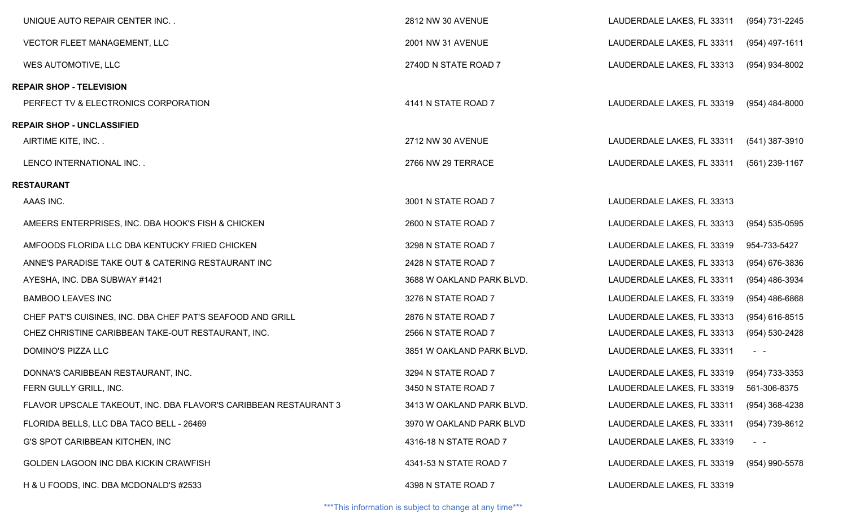| UNIQUE AUTO REPAIR CENTER INC                                    | 2812 NW 30 AVENUE         | LAUDERDALE LAKES, FL 33311 | (954) 731-2245   |
|------------------------------------------------------------------|---------------------------|----------------------------|------------------|
| VECTOR FLEET MANAGEMENT, LLC                                     | 2001 NW 31 AVENUE         | LAUDERDALE LAKES, FL 33311 | (954) 497-1611   |
| WES AUTOMOTIVE, LLC                                              | 2740D N STATE ROAD 7      | LAUDERDALE LAKES, FL 33313 | (954) 934-8002   |
| <b>REPAIR SHOP - TELEVISION</b>                                  |                           |                            |                  |
| PERFECT TV & ELECTRONICS CORPORATION                             | 4141 N STATE ROAD 7       | LAUDERDALE LAKES, FL 33319 | (954) 484-8000   |
| <b>REPAIR SHOP - UNCLASSIFIED</b>                                |                           |                            |                  |
| AIRTIME KITE, INC                                                | 2712 NW 30 AVENUE         | LAUDERDALE LAKES, FL 33311 | (541) 387-3910   |
| LENCO INTERNATIONAL INC                                          | 2766 NW 29 TERRACE        | LAUDERDALE LAKES, FL 33311 | (561) 239-1167   |
| RESTAURANT                                                       |                           |                            |                  |
| AAAS INC.                                                        | 3001 N STATE ROAD 7       | LAUDERDALE LAKES, FL 33313 |                  |
| AMEERS ENTERPRISES, INC. DBA HOOK'S FISH & CHICKEN               | 2600 N STATE ROAD 7       | LAUDERDALE LAKES, FL 33313 | (954) 535-0595   |
| AMFOODS FLORIDA LLC DBA KENTUCKY FRIED CHICKEN                   | 3298 N STATE ROAD 7       | LAUDERDALE LAKES, FL 33319 | 954-733-5427     |
| ANNE'S PARADISE TAKE OUT & CATERING RESTAURANT INC               | 2428 N STATE ROAD 7       | LAUDERDALE LAKES, FL 33313 | (954) 676-3836   |
| AYESHA, INC. DBA SUBWAY #1421                                    | 3688 W OAKLAND PARK BLVD. | LAUDERDALE LAKES, FL 33311 | (954) 486-3934   |
| <b>BAMBOO LEAVES INC</b>                                         | 3276 N STATE ROAD 7       | LAUDERDALE LAKES, FL 33319 | $(954)$ 486-6868 |
| CHEF PAT'S CUISINES, INC. DBA CHEF PAT'S SEAFOOD AND GRILL       | 2876 N STATE ROAD 7       | LAUDERDALE LAKES, FL 33313 | $(954)$ 616-8515 |
| CHEZ CHRISTINE CARIBBEAN TAKE-OUT RESTAURANT, INC.               | 2566 N STATE ROAD 7       | LAUDERDALE LAKES, FL 33313 | (954) 530-2428   |
| DOMINO'S PIZZA LLC                                               | 3851 W OAKLAND PARK BLVD. | LAUDERDALE LAKES, FL 33311 | $\sim$ $ -$      |
| DONNA'S CARIBBEAN RESTAURANT, INC.                               | 3294 N STATE ROAD 7       | LAUDERDALE LAKES, FL 33319 | (954) 733-3353   |
| FERN GULLY GRILL, INC.                                           | 3450 N STATE ROAD 7       | LAUDERDALE LAKES, FL 33319 | 561-306-8375     |
| FLAVOR UPSCALE TAKEOUT, INC. DBA FLAVOR'S CARIBBEAN RESTAURANT 3 | 3413 W OAKLAND PARK BLVD. | LAUDERDALE LAKES, FL 33311 | (954) 368-4238   |
| FLORIDA BELLS, LLC DBA TACO BELL - 26469                         | 3970 W OAKLAND PARK BLVD  | LAUDERDALE LAKES, FL 33311 | (954) 739-8612   |
| G'S SPOT CARIBBEAN KITCHEN, INC                                  | 4316-18 N STATE ROAD 7    | LAUDERDALE LAKES, FL 33319 | $\sim$ $ \sim$   |
| GOLDEN LAGOON INC DBA KICKIN CRAWFISH                            | 4341-53 N STATE ROAD 7    | LAUDERDALE LAKES, FL 33319 | (954) 990-5578   |
| H & U FOODS, INC. DBA MCDONALD'S #2533                           | 4398 N STATE ROAD 7       | LAUDERDALE LAKES, FL 33319 |                  |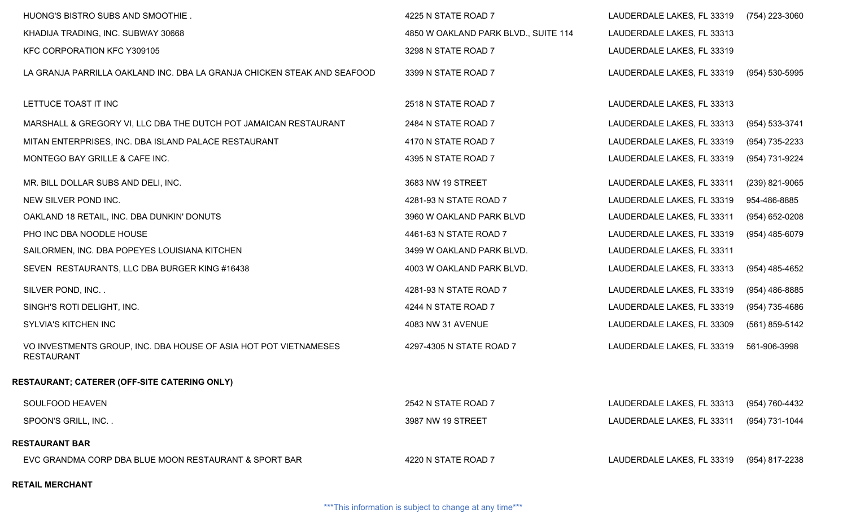| HUONG'S BISTRO SUBS AND SMOOTHIE.                                                     | 4225 N STATE ROAD 7                  | LAUDERDALE LAKES, FL 33319 | (754) 223-3060   |
|---------------------------------------------------------------------------------------|--------------------------------------|----------------------------|------------------|
| KHADIJA TRADING, INC. SUBWAY 30668                                                    | 4850 W OAKLAND PARK BLVD., SUITE 114 | LAUDERDALE LAKES, FL 33313 |                  |
| KFC CORPORATION KFC Y309105                                                           | 3298 N STATE ROAD 7                  | LAUDERDALE LAKES, FL 33319 |                  |
| LA GRANJA PARRILLA OAKLAND INC. DBA LA GRANJA CHICKEN STEAK AND SEAFOOD               | 3399 N STATE ROAD 7                  | LAUDERDALE LAKES, FL 33319 | (954) 530-5995   |
| LETTUCE TOAST IT INC                                                                  | 2518 N STATE ROAD 7                  | LAUDERDALE LAKES, FL 33313 |                  |
| MARSHALL & GREGORY VI, LLC DBA THE DUTCH POT JAMAICAN RESTAURANT                      | 2484 N STATE ROAD 7                  | LAUDERDALE LAKES, FL 33313 | (954) 533-3741   |
| MITAN ENTERPRISES, INC. DBA ISLAND PALACE RESTAURANT                                  | 4170 N STATE ROAD 7                  | LAUDERDALE LAKES, FL 33319 | (954) 735-2233   |
| MONTEGO BAY GRILLE & CAFE INC.                                                        | 4395 N STATE ROAD 7                  | LAUDERDALE LAKES, FL 33319 | (954) 731-9224   |
| MR. BILL DOLLAR SUBS AND DELI, INC.                                                   | 3683 NW 19 STREET                    | LAUDERDALE LAKES, FL 33311 | $(239)$ 821-9065 |
| NEW SILVER POND INC.                                                                  | 4281-93 N STATE ROAD 7               | LAUDERDALE LAKES, FL 33319 | 954-486-8885     |
| OAKLAND 18 RETAIL, INC. DBA DUNKIN' DONUTS                                            | 3960 W OAKLAND PARK BLVD             | LAUDERDALE LAKES, FL 33311 | $(954)$ 652-0208 |
| PHO INC DBA NOODLE HOUSE                                                              | 4461-63 N STATE ROAD 7               | LAUDERDALE LAKES, FL 33319 | $(954)$ 485-6079 |
| SAILORMEN, INC. DBA POPEYES LOUISIANA KITCHEN                                         | 3499 W OAKLAND PARK BLVD.            | LAUDERDALE LAKES, FL 33311 |                  |
| SEVEN RESTAURANTS, LLC DBA BURGER KING #16438                                         | 4003 W OAKLAND PARK BLVD.            | LAUDERDALE LAKES, FL 33313 | $(954)$ 485-4652 |
| SILVER POND, INC. .                                                                   | 4281-93 N STATE ROAD 7               | LAUDERDALE LAKES, FL 33319 | $(954)$ 486-8885 |
| SINGH'S ROTI DELIGHT, INC.                                                            | 4244 N STATE ROAD 7                  | LAUDERDALE LAKES, FL 33319 | (954) 735-4686   |
| SYLVIA'S KITCHEN INC                                                                  | 4083 NW 31 AVENUE                    | LAUDERDALE LAKES, FL 33309 | (561) 859-5142   |
| VO INVESTMENTS GROUP, INC. DBA HOUSE OF ASIA HOT POT VIETNAMESES<br><b>RESTAURANT</b> | 4297-4305 N STATE ROAD 7             | LAUDERDALE LAKES, FL 33319 | 561-906-3998     |
| <b>RESTAURANT; CATERER (OFF-SITE CATERING ONLY)</b>                                   |                                      |                            |                  |
| SOULFOOD HEAVEN                                                                       | 2542 N STATE ROAD 7                  | LAUDERDALE LAKES, FL 33313 | (954) 760-4432   |
| SPOON'S GRILL, INC                                                                    | 3987 NW 19 STREET                    | LAUDERDALE LAKES, FL 33311 | (954) 731-1044   |
| <b>RESTAURANT BAR</b>                                                                 |                                      |                            |                  |
| EVC GRANDMA CORP DBA BLUE MOON RESTAURANT & SPORT BAR                                 | 4220 N STATE ROAD 7                  | LAUDERDALE LAKES, FL 33319 | (954) 817-2238   |
| <b>RETAIL MERCHANT</b>                                                                |                                      |                            |                  |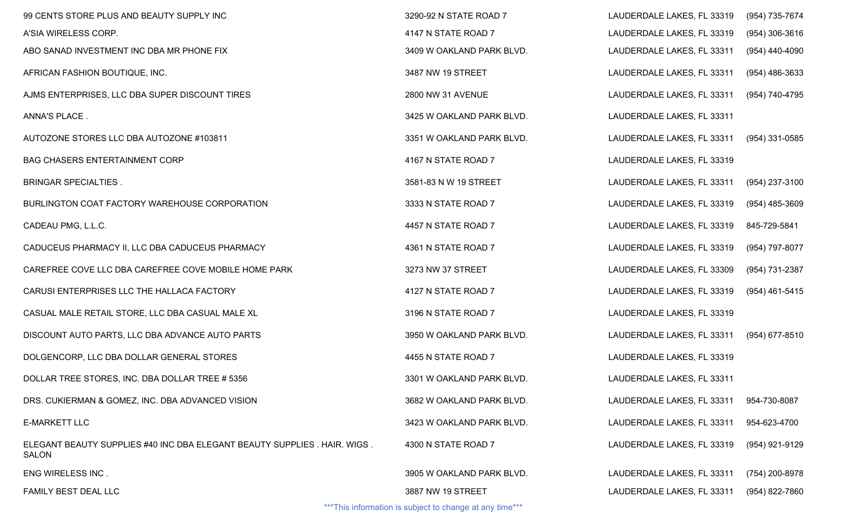| 99 CENTS STORE PLUS AND BEAUTY SUPPLY INC                                                | 3290-92 N STATE ROAD 7                                   | LAUDERDALE LAKES, FL 33319 | (954) 735-7674   |
|------------------------------------------------------------------------------------------|----------------------------------------------------------|----------------------------|------------------|
| A'SIA WIRELESS CORP.                                                                     | 4147 N STATE ROAD 7                                      | LAUDERDALE LAKES, FL 33319 | $(954)$ 306-3616 |
| ABO SANAD INVESTMENT INC DBA MR PHONE FIX                                                | 3409 W OAKLAND PARK BLVD.                                | LAUDERDALE LAKES, FL 33311 | $(954)$ 440-4090 |
| AFRICAN FASHION BOUTIQUE, INC.                                                           | 3487 NW 19 STREET                                        | LAUDERDALE LAKES, FL 33311 | $(954)$ 486-3633 |
| AJMS ENTERPRISES, LLC DBA SUPER DISCOUNT TIRES                                           | 2800 NW 31 AVENUE                                        | LAUDERDALE LAKES, FL 33311 | (954) 740-4795   |
| ANNA'S PLACE.                                                                            | 3425 W OAKLAND PARK BLVD.                                | LAUDERDALE LAKES, FL 33311 |                  |
| AUTOZONE STORES LLC DBA AUTOZONE #103811                                                 | 3351 W OAKLAND PARK BLVD.                                | LAUDERDALE LAKES, FL 33311 | (954) 331-0585   |
| <b>BAG CHASERS ENTERTAINMENT CORP</b>                                                    | 4167 N STATE ROAD 7                                      | LAUDERDALE LAKES, FL 33319 |                  |
| <b>BRINGAR SPECIALTIES.</b>                                                              | 3581-83 N W 19 STREET                                    | LAUDERDALE LAKES, FL 33311 | (954) 237-3100   |
| BURLINGTON COAT FACTORY WAREHOUSE CORPORATION                                            | 3333 N STATE ROAD 7                                      | LAUDERDALE LAKES, FL 33319 | $(954)$ 485-3609 |
| CADEAU PMG, L.L.C.                                                                       | 4457 N STATE ROAD 7                                      | LAUDERDALE LAKES, FL 33319 | 845-729-5841     |
| CADUCEUS PHARMACY II, LLC DBA CADUCEUS PHARMACY                                          | 4361 N STATE ROAD 7                                      | LAUDERDALE LAKES, FL 33319 | (954) 797-8077   |
| CAREFREE COVE LLC DBA CAREFREE COVE MOBILE HOME PARK                                     | 3273 NW 37 STREET                                        | LAUDERDALE LAKES, FL 33309 | (954) 731-2387   |
| CARUSI ENTERPRISES LLC THE HALLACA FACTORY                                               | 4127 N STATE ROAD 7                                      | LAUDERDALE LAKES, FL 33319 | (954) 461-5415   |
| CASUAL MALE RETAIL STORE, LLC DBA CASUAL MALE XL                                         | 3196 N STATE ROAD 7                                      | LAUDERDALE LAKES, FL 33319 |                  |
| DISCOUNT AUTO PARTS, LLC DBA ADVANCE AUTO PARTS                                          | 3950 W OAKLAND PARK BLVD.                                | LAUDERDALE LAKES, FL 33311 | (954) 677-8510   |
| DOLGENCORP, LLC DBA DOLLAR GENERAL STORES                                                | 4455 N STATE ROAD 7                                      | LAUDERDALE LAKES, FL 33319 |                  |
| DOLLAR TREE STORES, INC. DBA DOLLAR TREE # 5356                                          | 3301 W OAKLAND PARK BLVD.                                | LAUDERDALE LAKES, FL 33311 |                  |
| DRS. CUKIERMAN & GOMEZ, INC. DBA ADVANCED VISION                                         | 3682 W OAKLAND PARK BLVD.                                | LAUDERDALE LAKES, FL 33311 | 954-730-8087     |
| <b>E-MARKETT LLC</b>                                                                     | 3423 W OAKLAND PARK BLVD.                                | LAUDERDALE LAKES, FL 33311 | 954-623-4700     |
| ELEGANT BEAUTY SUPPLIES #40 INC DBA ELEGANT BEAUTY SUPPLIES. HAIR. WIGS.<br><b>SALON</b> | 4300 N STATE ROAD 7                                      | LAUDERDALE LAKES, FL 33319 | (954) 921-9129   |
| ENG WIRELESS INC.                                                                        | 3905 W OAKLAND PARK BLVD.                                | LAUDERDALE LAKES, FL 33311 | (754) 200-8978   |
| FAMILY BEST DEAL LLC                                                                     | 3887 NW 19 STREET                                        | LAUDERDALE LAKES, FL 33311 | (954) 822-7860   |
|                                                                                          | *** This information is subject to change at any time*** |                            |                  |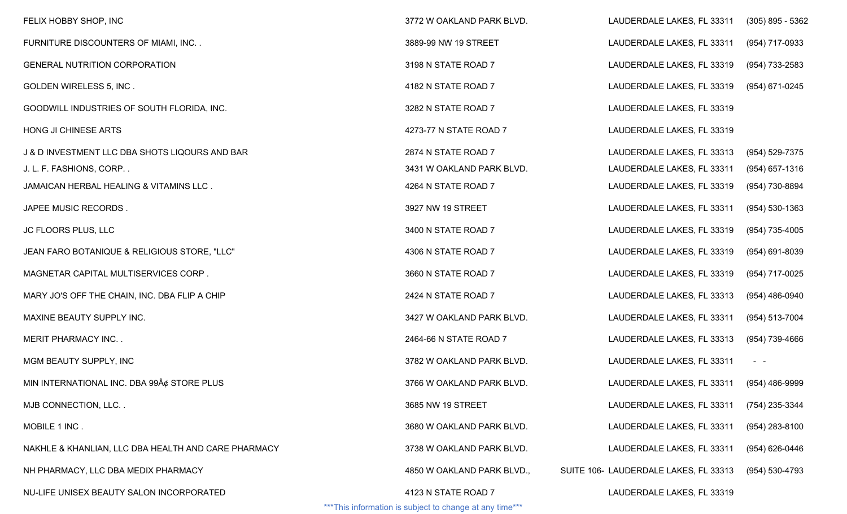| FELIX HOBBY SHOP, INC                               | 3772 W OAKLAND PARK BLVD.                                                       | LAUDERDALE LAKES, FL 33311            | $(305)$ 895 - 5362 |
|-----------------------------------------------------|---------------------------------------------------------------------------------|---------------------------------------|--------------------|
| FURNITURE DISCOUNTERS OF MIAMI, INC. .              | 3889-99 NW 19 STREET                                                            | LAUDERDALE LAKES, FL 33311            | (954) 717-0933     |
| <b>GENERAL NUTRITION CORPORATION</b>                | 3198 N STATE ROAD 7                                                             | LAUDERDALE LAKES, FL 33319            | (954) 733-2583     |
| <b>GOLDEN WIRELESS 5, INC.</b>                      | 4182 N STATE ROAD 7                                                             | LAUDERDALE LAKES, FL 33319            | (954) 671-0245     |
| GOODWILL INDUSTRIES OF SOUTH FLORIDA, INC.          | 3282 N STATE ROAD 7                                                             | LAUDERDALE LAKES, FL 33319            |                    |
| HONG JI CHINESE ARTS                                | 4273-77 N STATE ROAD 7                                                          | LAUDERDALE LAKES, FL 33319            |                    |
| J & D INVESTMENT LLC DBA SHOTS LIQOURS AND BAR      | 2874 N STATE ROAD 7                                                             | LAUDERDALE LAKES, FL 33313            | (954) 529-7375     |
| J. L. F. FASHIONS, CORP                             | 3431 W OAKLAND PARK BLVD.                                                       | LAUDERDALE LAKES, FL 33311            | (954) 657-1316     |
| JAMAICAN HERBAL HEALING & VITAMINS LLC.             | 4264 N STATE ROAD 7                                                             | LAUDERDALE LAKES, FL 33319            | (954) 730-8894     |
| JAPEE MUSIC RECORDS.                                | 3927 NW 19 STREET                                                               | LAUDERDALE LAKES, FL 33311            | $(954) 530 - 1363$ |
| JC FLOORS PLUS, LLC                                 | 3400 N STATE ROAD 7                                                             | LAUDERDALE LAKES, FL 33319            | (954) 735-4005     |
| JEAN FARO BOTANIQUE & RELIGIOUS STORE, "LLC"        | 4306 N STATE ROAD 7                                                             | LAUDERDALE LAKES, FL 33319            | (954) 691-8039     |
| MAGNETAR CAPITAL MULTISERVICES CORP.                | 3660 N STATE ROAD 7                                                             | LAUDERDALE LAKES, FL 33319            | (954) 717-0025     |
| MARY JO'S OFF THE CHAIN, INC. DBA FLIP A CHIP       | 2424 N STATE ROAD 7                                                             | LAUDERDALE LAKES, FL 33313            | (954) 486-0940     |
| MAXINE BEAUTY SUPPLY INC.                           | 3427 W OAKLAND PARK BLVD.                                                       | LAUDERDALE LAKES, FL 33311            | (954) 513-7004     |
| <b>MERIT PHARMACY INC</b>                           | 2464-66 N STATE ROAD 7                                                          | LAUDERDALE LAKES, FL 33313            | (954) 739-4666     |
| MGM BEAUTY SUPPLY, INC                              | 3782 W OAKLAND PARK BLVD.                                                       | LAUDERDALE LAKES, FL 33311            | $\sim$ $ -$        |
| MIN INTERNATIONAL INC. DBA 99¢ STORE PLUS           | 3766 W OAKLAND PARK BLVD.                                                       | LAUDERDALE LAKES, FL 33311            | (954) 486-9999     |
| MJB CONNECTION, LLC                                 | 3685 NW 19 STREET                                                               | LAUDERDALE LAKES, FL 33311            | (754) 235-3344     |
| MOBILE 1 INC.                                       | 3680 W OAKLAND PARK BLVD.                                                       | LAUDERDALE LAKES, FL 33311            | $(954)$ 283-8100   |
| NAKHLE & KHANLIAN, LLC DBA HEALTH AND CARE PHARMACY | 3738 W OAKLAND PARK BLVD.                                                       | LAUDERDALE LAKES, FL 33311            | (954) 626-0446     |
| NH PHARMACY, LLC DBA MEDIX PHARMACY                 | 4850 W OAKLAND PARK BLVD.,                                                      | SUITE 106- LAUDERDALE LAKES, FL 33313 | (954) 530-4793     |
| NU-LIFE UNISEX BEAUTY SALON INCORPORATED            | 4123 N STATE ROAD 7<br>*** This information is subject to change at any time*** | LAUDERDALE LAKES, FL 33319            |                    |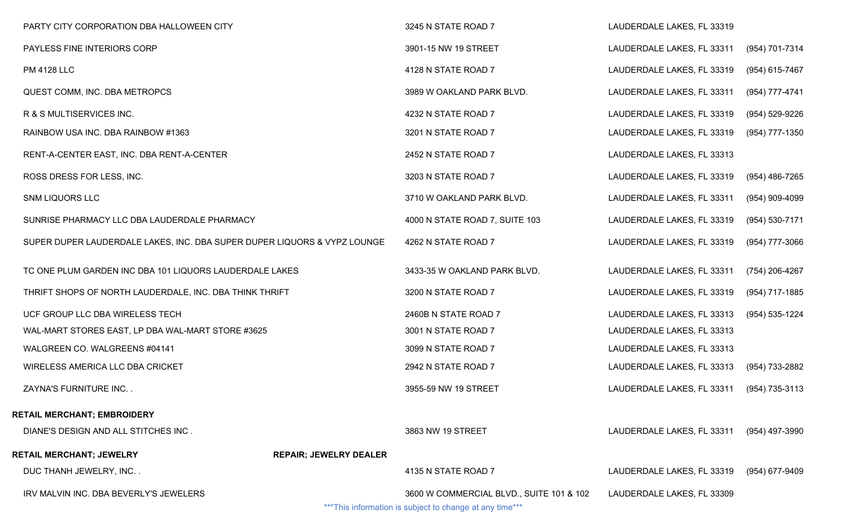| PARTY CITY CORPORATION DBA HALLOWEEN CITY                                |                               | 3245 N STATE ROAD 7                                     | LAUDERDALE LAKES, FL 33319 |                  |
|--------------------------------------------------------------------------|-------------------------------|---------------------------------------------------------|----------------------------|------------------|
| PAYLESS FINE INTERIORS CORP                                              |                               | 3901-15 NW 19 STREET                                    | LAUDERDALE LAKES, FL 33311 | (954) 701-7314   |
| <b>PM 4128 LLC</b>                                                       |                               | 4128 N STATE ROAD 7                                     | LAUDERDALE LAKES, FL 33319 | (954) 615-7467   |
| QUEST COMM, INC. DBA METROPCS                                            |                               | 3989 W OAKLAND PARK BLVD.                               | LAUDERDALE LAKES, FL 33311 | (954) 777-4741   |
| R & S MULTISERVICES INC.                                                 |                               | 4232 N STATE ROAD 7                                     | LAUDERDALE LAKES, FL 33319 | (954) 529-9226   |
| RAINBOW USA INC. DBA RAINBOW #1363                                       |                               | 3201 N STATE ROAD 7                                     | LAUDERDALE LAKES, FL 33319 | (954) 777-1350   |
| RENT-A-CENTER EAST, INC. DBA RENT-A-CENTER                               |                               | 2452 N STATE ROAD 7                                     | LAUDERDALE LAKES, FL 33313 |                  |
| ROSS DRESS FOR LESS, INC.                                                |                               | 3203 N STATE ROAD 7                                     | LAUDERDALE LAKES, FL 33319 | (954) 486-7265   |
| <b>SNM LIQUORS LLC</b>                                                   |                               | 3710 W OAKLAND PARK BLVD.                               | LAUDERDALE LAKES, FL 33311 | $(954)$ 909-4099 |
| SUNRISE PHARMACY LLC DBA LAUDERDALE PHARMACY                             |                               | 4000 N STATE ROAD 7, SUITE 103                          | LAUDERDALE LAKES, FL 33319 | (954) 530-7171   |
| SUPER DUPER LAUDERDALE LAKES, INC. DBA SUPER DUPER LIQUORS & VYPZ LOUNGE |                               | 4262 N STATE ROAD 7                                     | LAUDERDALE LAKES, FL 33319 | (954) 777-3066   |
| TC ONE PLUM GARDEN INC DBA 101 LIQUORS LAUDERDALE LAKES                  |                               | 3433-35 W OAKLAND PARK BLVD.                            | LAUDERDALE LAKES, FL 33311 | (754) 206-4267   |
| THRIFT SHOPS OF NORTH LAUDERDALE, INC. DBA THINK THRIFT                  |                               | 3200 N STATE ROAD 7                                     | LAUDERDALE LAKES, FL 33319 | (954) 717-1885   |
| UCF GROUP LLC DBA WIRELESS TECH                                          |                               | 2460B N STATE ROAD 7                                    | LAUDERDALE LAKES, FL 33313 | (954) 535-1224   |
| WAL-MART STORES EAST, LP DBA WAL-MART STORE #3625                        |                               | 3001 N STATE ROAD 7                                     | LAUDERDALE LAKES, FL 33313 |                  |
| WALGREEN CO. WALGREENS #04141                                            |                               | 3099 N STATE ROAD 7                                     | LAUDERDALE LAKES, FL 33313 |                  |
| WIRELESS AMERICA LLC DBA CRICKET                                         |                               | 2942 N STATE ROAD 7                                     | LAUDERDALE LAKES, FL 33313 | (954) 733-2882   |
| ZAYNA'S FURNITURE INC. .                                                 |                               | 3955-59 NW 19 STREET                                    | LAUDERDALE LAKES, FL 33311 | (954) 735-3113   |
| RETAIL MERCHANT; EMBROIDERY                                              |                               |                                                         |                            |                  |
| DIANE'S DESIGN AND ALL STITCHES INC.                                     |                               | 3863 NW 19 STREET                                       | LAUDERDALE LAKES, FL 33311 | (954) 497-3990   |
| RETAIL MERCHANT; JEWELRY                                                 | <b>REPAIR; JEWELRY DEALER</b> |                                                         |                            |                  |
| DUC THANH JEWELRY, INC. .                                                |                               | 4135 N STATE ROAD 7                                     | LAUDERDALE LAKES, FL 33319 | (954) 677-9409   |
| IRV MALVIN INC. DBA BEVERLY'S JEWELERS                                   |                               | 3600 W COMMERCIAL BLVD., SUITE 101 & 102                | LAUDERDALE LAKES, FL 33309 |                  |
|                                                                          |                               | ***This information is subject to change at any time*** |                            |                  |

 $^{\circ}$  I his information is subject to change at any time $^{\circ}$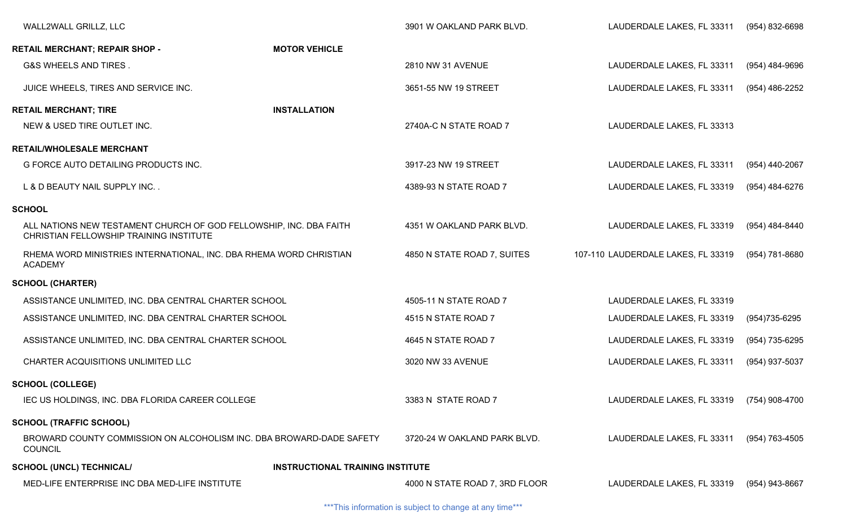| WALL2WALL GRILLZ, LLC                                                                                         |                                         | 3901 W OAKLAND PARK BLVD.      | LAUDERDALE LAKES, FL 33311                | (954) 832-6698 |
|---------------------------------------------------------------------------------------------------------------|-----------------------------------------|--------------------------------|-------------------------------------------|----------------|
| <b>RETAIL MERCHANT; REPAIR SHOP -</b>                                                                         | <b>MOTOR VEHICLE</b>                    |                                |                                           |                |
| G&S WHEELS AND TIRES.                                                                                         |                                         | 2810 NW 31 AVENUE              | LAUDERDALE LAKES, FL 33311                | (954) 484-9696 |
| JUICE WHEELS, TIRES AND SERVICE INC.                                                                          |                                         | 3651-55 NW 19 STREET           | LAUDERDALE LAKES, FL 33311                | (954) 486-2252 |
| <b>RETAIL MERCHANT; TIRE</b>                                                                                  | <b>INSTALLATION</b>                     |                                |                                           |                |
| NEW & USED TIRE OUTLET INC.                                                                                   |                                         | 2740A-C N STATE ROAD 7         | LAUDERDALE LAKES, FL 33313                |                |
| <b>RETAIL/WHOLESALE MERCHANT</b>                                                                              |                                         |                                |                                           |                |
| G FORCE AUTO DETAILING PRODUCTS INC.                                                                          |                                         | 3917-23 NW 19 STREET           | LAUDERDALE LAKES, FL 33311                | (954) 440-2067 |
| L & D BEAUTY NAIL SUPPLY INC                                                                                  |                                         | 4389-93 N STATE ROAD 7         | LAUDERDALE LAKES, FL 33319                | (954) 484-6276 |
| <b>SCHOOL</b>                                                                                                 |                                         |                                |                                           |                |
| ALL NATIONS NEW TESTAMENT CHURCH OF GOD FELLOWSHIP, INC. DBA FAITH<br>CHRISTIAN FELLOWSHIP TRAINING INSTITUTE |                                         | 4351 W OAKLAND PARK BLVD.      | LAUDERDALE LAKES, FL 33319                | (954) 484-8440 |
| RHEMA WORD MINISTRIES INTERNATIONAL, INC. DBA RHEMA WORD CHRISTIAN<br><b>ACADEMY</b>                          |                                         | 4850 N STATE ROAD 7, SUITES    | 107-110 LAUDERDALE LAKES, FL 33319        | (954) 781-8680 |
| <b>SCHOOL (CHARTER)</b>                                                                                       |                                         |                                |                                           |                |
| ASSISTANCE UNLIMITED, INC. DBA CENTRAL CHARTER SCHOOL                                                         |                                         | 4505-11 N STATE ROAD 7         | LAUDERDALE LAKES, FL 33319                |                |
| ASSISTANCE UNLIMITED, INC. DBA CENTRAL CHARTER SCHOOL                                                         |                                         | 4515 N STATE ROAD 7            | LAUDERDALE LAKES, FL 33319                | (954)735-6295  |
| ASSISTANCE UNLIMITED, INC. DBA CENTRAL CHARTER SCHOOL                                                         |                                         | 4645 N STATE ROAD 7            | LAUDERDALE LAKES, FL 33319                | (954) 735-6295 |
| CHARTER ACQUISITIONS UNLIMITED LLC                                                                            |                                         | 3020 NW 33 AVENUE              | LAUDERDALE LAKES, FL 33311                | (954) 937-5037 |
| <b>SCHOOL (COLLEGE)</b>                                                                                       |                                         |                                |                                           |                |
| IEC US HOLDINGS, INC. DBA FLORIDA CAREER COLLEGE                                                              |                                         | 3383 N STATE ROAD 7            | LAUDERDALE LAKES, FL 33319 (754) 908-4700 |                |
| <b>SCHOOL (TRAFFIC SCHOOL)</b>                                                                                |                                         |                                |                                           |                |
| BROWARD COUNTY COMMISSION ON ALCOHOLISM INC. DBA BROWARD-DADE SAFETY<br><b>COUNCIL</b>                        |                                         | 3720-24 W OAKLAND PARK BLVD.   | LAUDERDALE LAKES, FL 33311                | (954) 763-4505 |
| <b>SCHOOL (UNCL) TECHNICAL/</b>                                                                               | <b>INSTRUCTIONAL TRAINING INSTITUTE</b> |                                |                                           |                |
| MED-LIFE ENTERPRISE INC DBA MED-LIFE INSTITUTE                                                                |                                         | 4000 N STATE ROAD 7, 3RD FLOOR | LAUDERDALE LAKES, FL 33319                | (954) 943-8667 |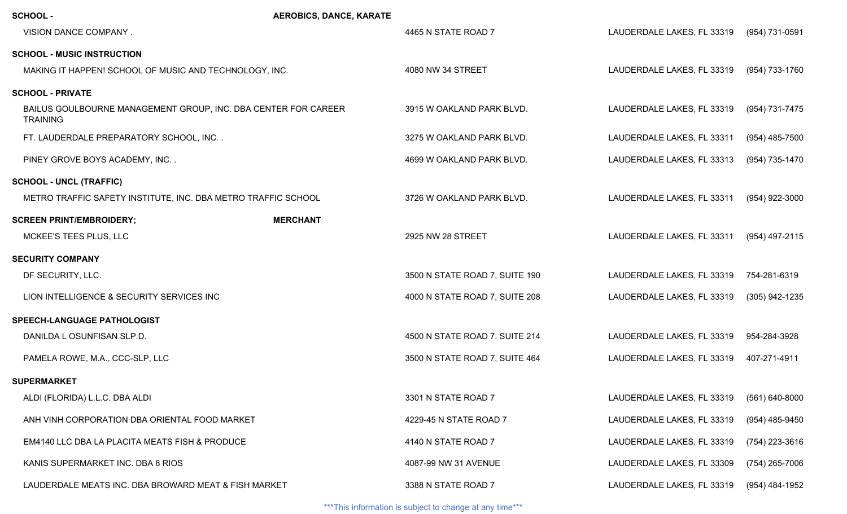| <b>SCHOOL -</b>                                                                   | <b>AEROBICS, DANCE, KARATE</b> |                                |                            |                    |
|-----------------------------------------------------------------------------------|--------------------------------|--------------------------------|----------------------------|--------------------|
| VISION DANCE COMPANY.                                                             |                                | 4465 N STATE ROAD 7            | LAUDERDALE LAKES, FL 33319 | (954) 731-0591     |
| <b>SCHOOL - MUSIC INSTRUCTION</b>                                                 |                                |                                |                            |                    |
| MAKING IT HAPPEN! SCHOOL OF MUSIC AND TECHNOLOGY, INC.                            |                                | 4080 NW 34 STREET              | LAUDERDALE LAKES, FL 33319 | (954) 733-1760     |
| <b>SCHOOL - PRIVATE</b>                                                           |                                |                                |                            |                    |
| BAILUS GOULBOURNE MANAGEMENT GROUP, INC. DBA CENTER FOR CAREER<br><b>TRAINING</b> |                                | 3915 W OAKLAND PARK BLVD.      | LAUDERDALE LAKES, FL 33319 | (954) 731-7475     |
| FT. LAUDERDALE PREPARATORY SCHOOL, INC                                            |                                | 3275 W OAKLAND PARK BLVD.      | LAUDERDALE LAKES, FL 33311 | $(954)$ 485-7500   |
| PINEY GROVE BOYS ACADEMY, INC                                                     |                                | 4699 W OAKLAND PARK BLVD.      | LAUDERDALE LAKES, FL 33313 | (954) 735-1470     |
| <b>SCHOOL - UNCL (TRAFFIC)</b>                                                    |                                |                                |                            |                    |
| METRO TRAFFIC SAFETY INSTITUTE, INC. DBA METRO TRAFFIC SCHOOL                     |                                | 3726 W OAKLAND PARK BLVD.      | LAUDERDALE LAKES, FL 33311 | (954) 922-3000     |
| <b>SCREEN PRINT/EMBROIDERY;</b>                                                   | <b>MERCHANT</b>                |                                |                            |                    |
| MCKEE'S TEES PLUS, LLC                                                            |                                | 2925 NW 28 STREET              | LAUDERDALE LAKES, FL 33311 | (954) 497-2115     |
| <b>SECURITY COMPANY</b>                                                           |                                |                                |                            |                    |
| DF SECURITY, LLC.                                                                 |                                | 3500 N STATE ROAD 7, SUITE 190 | LAUDERDALE LAKES, FL 33319 | 754-281-6319       |
| LION INTELLIGENCE & SECURITY SERVICES INC                                         |                                | 4000 N STATE ROAD 7, SUITE 208 | LAUDERDALE LAKES, FL 33319 | (305) 942-1235     |
| SPEECH-LANGUAGE PATHOLOGIST                                                       |                                |                                |                            |                    |
| DANILDA L OSUNFISAN SLP.D.                                                        |                                | 4500 N STATE ROAD 7, SUITE 214 | LAUDERDALE LAKES, FL 33319 | 954-284-3928       |
| PAMELA ROWE, M.A., CCC-SLP, LLC                                                   |                                | 3500 N STATE ROAD 7, SUITE 464 | LAUDERDALE LAKES, FL 33319 | 407-271-4911       |
| <b>SUPERMARKET</b>                                                                |                                |                                |                            |                    |
| ALDI (FLORIDA) L.L.C. DBA ALDI                                                    |                                | 3301 N STATE ROAD 7            | LAUDERDALE LAKES, FL 33319 | $(561) 640 - 8000$ |
| ANH VINH CORPORATION DBA ORIENTAL FOOD MARKET                                     |                                | 4229-45 N STATE ROAD 7         | LAUDERDALE LAKES, FL 33319 | $(954)$ 485-9450   |
| EM4140 LLC DBA LA PLACITA MEATS FISH & PRODUCE                                    |                                | 4140 N STATE ROAD 7            | LAUDERDALE LAKES, FL 33319 | (754) 223-3616     |
| KANIS SUPERMARKET INC. DBA 8 RIOS                                                 |                                | 4087-99 NW 31 AVENUE           | LAUDERDALE LAKES, FL 33309 | $(754)$ 265-7006   |
| LAUDERDALE MEATS INC. DBA BROWARD MEAT & FISH MARKET                              |                                | 3388 N STATE ROAD 7            | LAUDERDALE LAKES, FL 33319 | (954) 484-1952     |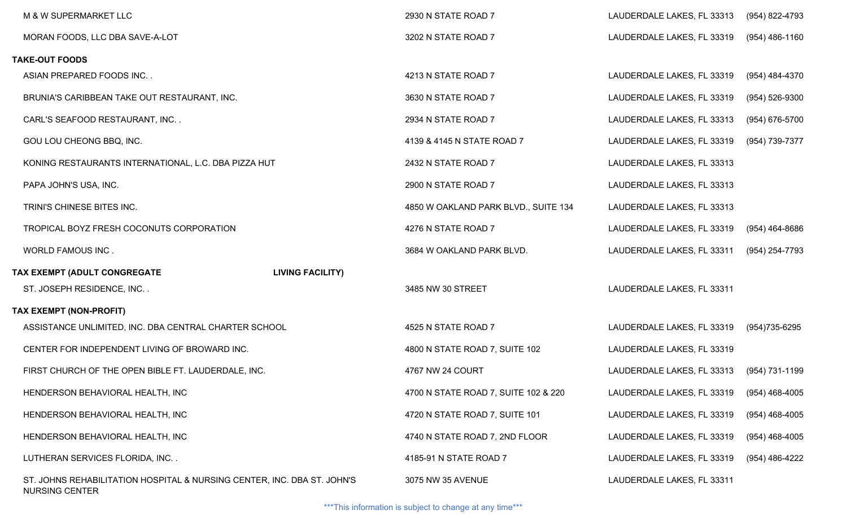|                                                                | M & W SUPERMARKET LLC                                                                            | 2930 N STATE ROAD 7                  | LAUDERDALE LAKES, FL 33313 | (954) 822-4793     |  |
|----------------------------------------------------------------|--------------------------------------------------------------------------------------------------|--------------------------------------|----------------------------|--------------------|--|
|                                                                | MORAN FOODS, LLC DBA SAVE-A-LOT                                                                  | 3202 N STATE ROAD 7                  | LAUDERDALE LAKES, FL 33319 | $(954)$ 486-1160   |  |
| <b>TAKE-OUT FOODS</b>                                          |                                                                                                  |                                      |                            |                    |  |
|                                                                | ASIAN PREPARED FOODS INC                                                                         | 4213 N STATE ROAD 7                  | LAUDERDALE LAKES, FL 33319 | (954) 484-4370     |  |
|                                                                | BRUNIA'S CARIBBEAN TAKE OUT RESTAURANT, INC.                                                     | 3630 N STATE ROAD 7                  | LAUDERDALE LAKES, FL 33319 | $(954) 526 - 9300$ |  |
|                                                                | CARL'S SEAFOOD RESTAURANT, INC                                                                   | 2934 N STATE ROAD 7                  | LAUDERDALE LAKES, FL 33313 | (954) 676-5700     |  |
|                                                                | GOU LOU CHEONG BBQ, INC.                                                                         | 4139 & 4145 N STATE ROAD 7           | LAUDERDALE LAKES, FL 33319 | (954) 739-7377     |  |
|                                                                | KONING RESTAURANTS INTERNATIONAL, L.C. DBA PIZZA HUT                                             | 2432 N STATE ROAD 7                  | LAUDERDALE LAKES, FL 33313 |                    |  |
|                                                                | PAPA JOHN'S USA, INC.                                                                            | 2900 N STATE ROAD 7                  | LAUDERDALE LAKES, FL 33313 |                    |  |
|                                                                | TRINI'S CHINESE BITES INC.                                                                       | 4850 W OAKLAND PARK BLVD., SUITE 134 | LAUDERDALE LAKES, FL 33313 |                    |  |
|                                                                | TROPICAL BOYZ FRESH COCONUTS CORPORATION                                                         | 4276 N STATE ROAD 7                  | LAUDERDALE LAKES, FL 33319 | (954) 464-8686     |  |
|                                                                | WORLD FAMOUS INC.                                                                                | 3684 W OAKLAND PARK BLVD.            | LAUDERDALE LAKES, FL 33311 | (954) 254-7793     |  |
| <b>TAX EXEMPT (ADULT CONGREGATE</b><br><b>LIVING FACILITY)</b> |                                                                                                  |                                      |                            |                    |  |
|                                                                | ST. JOSEPH RESIDENCE, INC                                                                        | 3485 NW 30 STREET                    | LAUDERDALE LAKES, FL 33311 |                    |  |
| TAX EXEMPT (NON-PROFIT)                                        |                                                                                                  |                                      |                            |                    |  |
|                                                                | ASSISTANCE UNLIMITED, INC. DBA CENTRAL CHARTER SCHOOL                                            | 4525 N STATE ROAD 7                  | LAUDERDALE LAKES, FL 33319 | (954)735-6295      |  |
|                                                                | CENTER FOR INDEPENDENT LIVING OF BROWARD INC.                                                    | 4800 N STATE ROAD 7, SUITE 102       | LAUDERDALE LAKES, FL 33319 |                    |  |
|                                                                | FIRST CHURCH OF THE OPEN BIBLE FT. LAUDERDALE, INC.                                              | 4767 NW 24 COURT                     | LAUDERDALE LAKES, FL 33313 | (954) 731-1199     |  |
|                                                                | HENDERSON BEHAVIORAL HEALTH, INC                                                                 | 4700 N STATE ROAD 7, SUITE 102 & 220 | LAUDERDALE LAKES, FL 33319 | $(954)$ 468-4005   |  |
|                                                                | HENDERSON BEHAVIORAL HEALTH, INC                                                                 | 4720 N STATE ROAD 7, SUITE 101       | LAUDERDALE LAKES, FL 33319 | $(954)$ 468-4005   |  |
|                                                                | HENDERSON BEHAVIORAL HEALTH, INC                                                                 | 4740 N STATE ROAD 7, 2ND FLOOR       | LAUDERDALE LAKES, FL 33319 | (954) 468-4005     |  |
|                                                                | LUTHERAN SERVICES FLORIDA, INC                                                                   | 4185-91 N STATE ROAD 7               | LAUDERDALE LAKES, FL 33319 | (954) 486-4222     |  |
|                                                                | ST. JOHNS REHABILITATION HOSPITAL & NURSING CENTER, INC. DBA ST. JOHN'S<br><b>NURSING CENTER</b> | 3075 NW 35 AVENUE                    | LAUDERDALE LAKES, FL 33311 |                    |  |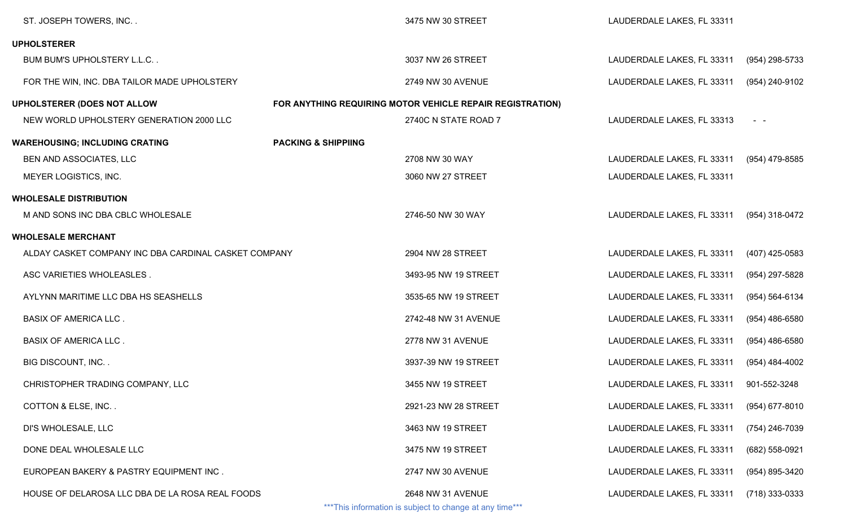| ST. JOSEPH TOWERS, INC                               |                                | 3475 NW 30 STREET                                         | LAUDERDALE LAKES, FL 33311 |                     |
|------------------------------------------------------|--------------------------------|-----------------------------------------------------------|----------------------------|---------------------|
| <b>UPHOLSTERER</b>                                   |                                |                                                           |                            |                     |
| BUM BUM'S UPHOLSTERY L.L.C                           |                                | 3037 NW 26 STREET                                         | LAUDERDALE LAKES, FL 33311 | (954) 298-5733      |
| FOR THE WIN, INC. DBA TAILOR MADE UPHOLSTERY         |                                | 2749 NW 30 AVENUE                                         | LAUDERDALE LAKES, FL 33311 | (954) 240-9102      |
| <b>UPHOLSTERER (DOES NOT ALLOW</b>                   |                                | FOR ANYTHING REQUIRING MOTOR VEHICLE REPAIR REGISTRATION) |                            |                     |
| NEW WORLD UPHOLSTERY GENERATION 2000 LLC             |                                | 2740C N STATE ROAD 7                                      | LAUDERDALE LAKES, FL 33313 | $\omega_{\rm{max}}$ |
| <b>WAREHOUSING; INCLUDING CRATING</b>                | <b>PACKING &amp; SHIPPIING</b> |                                                           |                            |                     |
| BEN AND ASSOCIATES, LLC                              |                                | 2708 NW 30 WAY                                            | LAUDERDALE LAKES, FL 33311 | (954) 479-8585      |
| MEYER LOGISTICS, INC.                                |                                | 3060 NW 27 STREET                                         | LAUDERDALE LAKES, FL 33311 |                     |
| <b>WHOLESALE DISTRIBUTION</b>                        |                                |                                                           |                            |                     |
| M AND SONS INC DBA CBLC WHOLESALE                    |                                | 2746-50 NW 30 WAY                                         | LAUDERDALE LAKES, FL 33311 | (954) 318-0472      |
| <b>WHOLESALE MERCHANT</b>                            |                                |                                                           |                            |                     |
| ALDAY CASKET COMPANY INC DBA CARDINAL CASKET COMPANY |                                | 2904 NW 28 STREET                                         | LAUDERDALE LAKES, FL 33311 | $(407)$ 425-0583    |
| ASC VARIETIES WHOLEASLES.                            |                                | 3493-95 NW 19 STREET                                      | LAUDERDALE LAKES, FL 33311 | (954) 297-5828      |
| AYLYNN MARITIME LLC DBA HS SEASHELLS                 |                                | 3535-65 NW 19 STREET                                      | LAUDERDALE LAKES, FL 33311 | $(954) 564 - 6134$  |
| <b>BASIX OF AMERICA LLC.</b>                         |                                | 2742-48 NW 31 AVENUE                                      | LAUDERDALE LAKES, FL 33311 | $(954)$ 486-6580    |
| <b>BASIX OF AMERICA LLC.</b>                         |                                | 2778 NW 31 AVENUE                                         | LAUDERDALE LAKES, FL 33311 | $(954)$ 486-6580    |
| <b>BIG DISCOUNT, INC</b>                             |                                | 3937-39 NW 19 STREET                                      | LAUDERDALE LAKES, FL 33311 | (954) 484-4002      |
| CHRISTOPHER TRADING COMPANY, LLC                     |                                | 3455 NW 19 STREET                                         | LAUDERDALE LAKES, FL 33311 | 901-552-3248        |
| COTTON & ELSE, INC                                   |                                | 2921-23 NW 28 STREET                                      | LAUDERDALE LAKES, FL 33311 | (954) 677-8010      |
| DI'S WHOLESALE, LLC                                  |                                | 3463 NW 19 STREET                                         | LAUDERDALE LAKES, FL 33311 | (754) 246-7039      |
| DONE DEAL WHOLESALE LLC                              |                                | 3475 NW 19 STREET                                         | LAUDERDALE LAKES, FL 33311 | (682) 558-0921      |
| EUROPEAN BAKERY & PASTRY EQUIPMENT INC.              |                                | 2747 NW 30 AVENUE                                         | LAUDERDALE LAKES, FL 33311 | (954) 895-3420      |
| HOUSE OF DELAROSA LLC DBA DE LA ROSA REAL FOODS      |                                | 2648 NW 31 AVENUE                                         | LAUDERDALE LAKES, FL 33311 | (718) 333-0333      |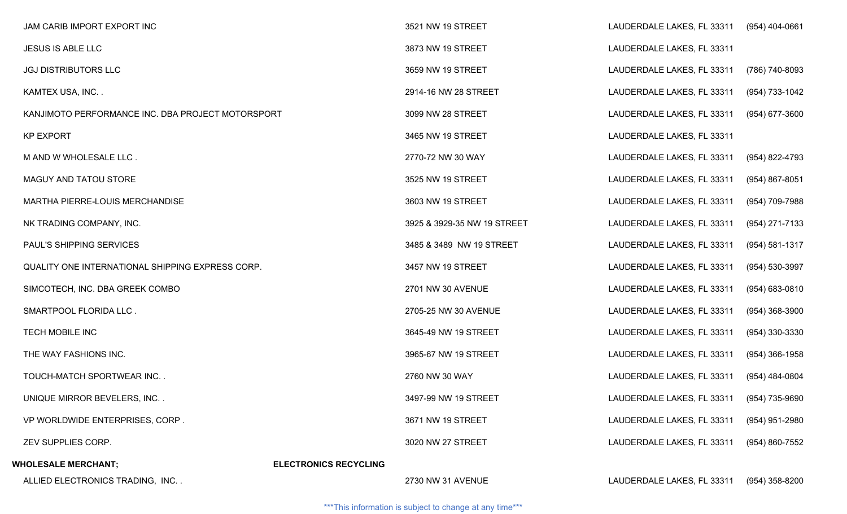| JAM CARIB IMPORT EXPORT INC                       |                              | 3521 NW 19 STREET           | LAUDERDALE LAKES, FL 33311                | $(954)$ 404-0661   |
|---------------------------------------------------|------------------------------|-----------------------------|-------------------------------------------|--------------------|
| JESUS IS ABLE LLC                                 |                              | 3873 NW 19 STREET           | LAUDERDALE LAKES, FL 33311                |                    |
| <b>JGJ DISTRIBUTORS LLC</b>                       |                              | 3659 NW 19 STREET           | LAUDERDALE LAKES, FL 33311                | (786) 740-8093     |
| KAMTEX USA, INC                                   |                              | 2914-16 NW 28 STREET        | LAUDERDALE LAKES, FL 33311                | (954) 733-1042     |
| KANJIMOTO PERFORMANCE INC. DBA PROJECT MOTORSPORT |                              | 3099 NW 28 STREET           | LAUDERDALE LAKES, FL 33311                | $(954)$ 677-3600   |
| <b>KP EXPORT</b>                                  |                              | 3465 NW 19 STREET           | LAUDERDALE LAKES, FL 33311                |                    |
| M AND W WHOLESALE LLC.                            |                              | 2770-72 NW 30 WAY           | LAUDERDALE LAKES, FL 33311                | (954) 822-4793     |
| MAGUY AND TATOU STORE                             |                              | 3525 NW 19 STREET           | LAUDERDALE LAKES, FL 33311                | (954) 867-8051     |
| MARTHA PIERRE-LOUIS MERCHANDISE                   |                              | 3603 NW 19 STREET           | LAUDERDALE LAKES, FL 33311                | (954) 709-7988     |
| NK TRADING COMPANY, INC.                          |                              | 3925 & 3929-35 NW 19 STREET | LAUDERDALE LAKES, FL 33311                | (954) 271-7133     |
| PAUL'S SHIPPING SERVICES                          |                              | 3485 & 3489 NW 19 STREET    | LAUDERDALE LAKES, FL 33311                | $(954) 581 - 1317$ |
| QUALITY ONE INTERNATIONAL SHIPPING EXPRESS CORP.  |                              | 3457 NW 19 STREET           | LAUDERDALE LAKES, FL 33311                | (954) 530-3997     |
| SIMCOTECH, INC. DBA GREEK COMBO                   |                              | 2701 NW 30 AVENUE           | LAUDERDALE LAKES, FL 33311                | $(954) 683 - 0810$ |
| SMARTPOOL FLORIDA LLC.                            |                              | 2705-25 NW 30 AVENUE        | LAUDERDALE LAKES, FL 33311                | $(954)$ 368-3900   |
| <b>TECH MOBILE INC</b>                            |                              | 3645-49 NW 19 STREET        | LAUDERDALE LAKES, FL 33311                | (954) 330-3330     |
| THE WAY FASHIONS INC.                             |                              | 3965-67 NW 19 STREET        | LAUDERDALE LAKES, FL 33311                | $(954)$ 366-1958   |
| TOUCH-MATCH SPORTWEAR INC                         |                              | 2760 NW 30 WAY              | LAUDERDALE LAKES, FL 33311                | (954) 484-0804     |
| UNIQUE MIRROR BEVELERS, INC                       |                              | 3497-99 NW 19 STREET        | LAUDERDALE LAKES, FL 33311 (954) 735-9690 |                    |
| VP WORLDWIDE ENTERPRISES, CORP.                   |                              | 3671 NW 19 STREET           | LAUDERDALE LAKES, FL 33311                | (954) 951-2980     |
| ZEV SUPPLIES CORP.                                |                              | 3020 NW 27 STREET           | LAUDERDALE LAKES, FL 33311                | (954) 860-7552     |
| <b>WHOLESALE MERCHANT;</b>                        | <b>ELECTRONICS RECYCLING</b> |                             |                                           |                    |
| ALLIED ELECTRONICS TRADING, INC                   |                              | 2730 NW 31 AVENUE           | LAUDERDALE LAKES, FL 33311                | (954) 358-8200     |